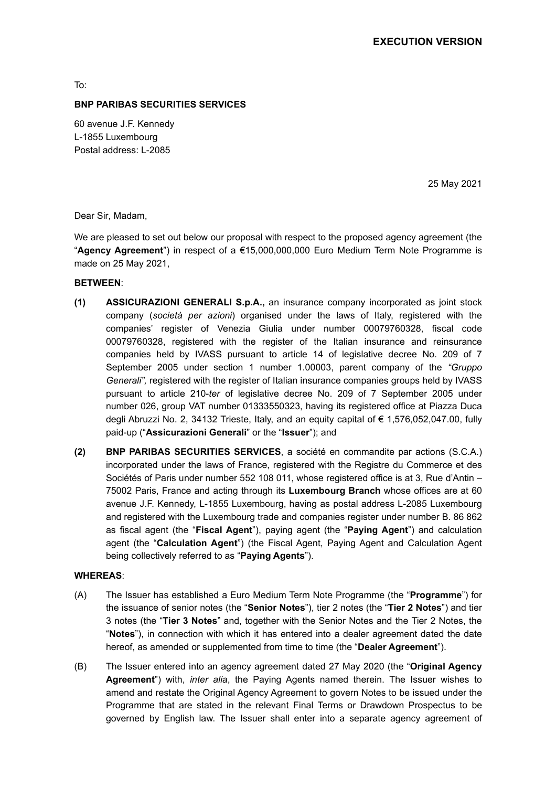To:

#### **BNP PARIBAS SECURITIES SERVICES**

60 avenue J.F. Kennedy L-1855 Luxembourg Postal address: L-2085

25 May 2021

Dear Sir, Madam,

We are pleased to set out below our proposal with respect to the proposed agency agreement (the "**Agency Agreement**") in respect of a €15,000,000,000 Euro Medium Term Note Programme is made on 25 May 2021,

### **BETWEEN**:

- **(1) ASSICURAZIONI GENERALI S.p.A.,** an insurance company incorporated as joint stock company (*società per azioni*) organised under the laws of Italy, registered with the companies' register of Venezia Giulia under number 00079760328, fiscal code 00079760328, registered with the register of the Italian insurance and reinsurance companies held by IVASS pursuant to article 14 of legislative decree No. 209 of 7 September 2005 under section 1 number 1.00003, parent company of the *"Gruppo Generali",* registered with the register of Italian insurance companies groups held by IVASS pursuant to article 210-*ter* of legislative decree No. 209 of 7 September 2005 under number 026, group VAT number 01333550323, having its registered office at Piazza Duca degli Abruzzi No. 2, 34132 Trieste, Italy, and an equity capital of € 1,576,052,047.00, fully paid-up ("**Assicurazioni Generali**" or the "**Issuer**"); and
- **(2) BNP PARIBAS SECURITIES SERVICES**, a société en commandite par actions (S.C.A.) incorporated under the laws of France, registered with the Registre du Commerce et des Sociétés of Paris under number 552 108 011, whose registered office is at 3, Rue d'Antin – 75002 Paris, France and acting through its **Luxembourg Branch** whose offices are at 60 avenue J.F. Kennedy, L-1855 Luxembourg, having as postal address L-2085 Luxembourg and registered with the Luxembourg trade and companies register under number B. 86 862 as fiscal agent (the "**Fiscal Agent**"), paying agent (the "**Paying Agent**") and calculation agent (the "**Calculation Agent**") (the Fiscal Agent, Paying Agent and Calculation Agent being collectively referred to as "**Paying Agents**").

#### **WHEREAS**:

- (A) The Issuer has established a Euro Medium Term Note Programme (the "**Programme**") for the issuance of senior notes (the "**Senior Notes**"), tier 2 notes (the "**Tier 2 Notes**") and tier 3 notes (the "**Tier 3 Notes**" and, together with the Senior Notes and the Tier 2 Notes, the "**Notes**"), in connection with which it has entered into a dealer agreement dated the date hereof, as amended or supplemented from time to time (the "**Dealer Agreement**").
- (B) The Issuer entered into an agency agreement dated 27 May 2020 (the "**Original Agency Agreement**") with, *inter alia*, the Paying Agents named therein. The Issuer wishes to amend and restate the Original Agency Agreement to govern Notes to be issued under the Programme that are stated in the relevant Final Terms or Drawdown Prospectus to be governed by English law. The Issuer shall enter into a separate agency agreement of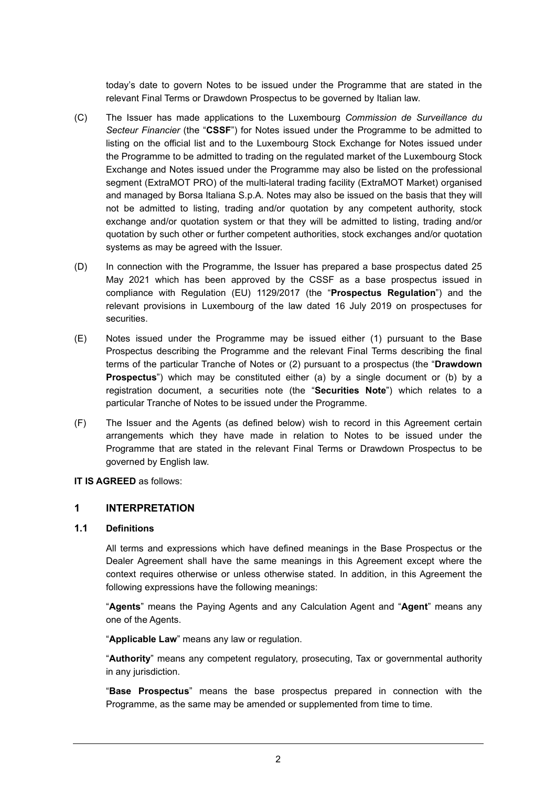today's date to govern Notes to be issued under the Programme that are stated in the relevant Final Terms or Drawdown Prospectus to be governed by Italian law.

- (C) The Issuer has made applications to the Luxembourg *Commission de Surveillance du Secteur Financier* (the "**CSSF**") for Notes issued under the Programme to be admitted to listing on the official list and to the Luxembourg Stock Exchange for Notes issued under the Programme to be admitted to trading on the regulated market of the Luxembourg Stock Exchange and Notes issued under the Programme may also be listed on the professional segment (ExtraMOT PRO) of the multi-lateral trading facility (ExtraMOT Market) organised and managed by Borsa Italiana S.p.A. Notes may also be issued on the basis that they will not be admitted to listing, trading and/or quotation by any competent authority, stock exchange and/or quotation system or that they will be admitted to listing, trading and/or quotation by such other or further competent authorities, stock exchanges and/or quotation systems as may be agreed with the Issuer.
- (D) In connection with the Programme, the Issuer has prepared a base prospectus dated 25 May 2021 which has been approved by the CSSF as a base prospectus issued in compliance with Regulation (EU) 1129/2017 (the "**Prospectus Regulation**") and the relevant provisions in Luxembourg of the law dated 16 July 2019 on prospectuses for securities.
- (E) Notes issued under the Programme may be issued either (1) pursuant to the Base Prospectus describing the Programme and the relevant Final Terms describing the final terms of the particular Tranche of Notes or (2) pursuant to a prospectus (the "**Drawdown Prospectus**") which may be constituted either (a) by a single document or (b) by a registration document, a securities note (the "**Securities Note**") which relates to a particular Tranche of Notes to be issued under the Programme.
- (F) The Issuer and the Agents (as defined below) wish to record in this Agreement certain arrangements which they have made in relation to Notes to be issued under the Programme that are stated in the relevant Final Terms or Drawdown Prospectus to be governed by English law.

#### **IT IS AGREED** as follows:

### **1 INTERPRETATION**

#### **1.1 Definitions**

All terms and expressions which have defined meanings in the Base Prospectus or the Dealer Agreement shall have the same meanings in this Agreement except where the context requires otherwise or unless otherwise stated. In addition, in this Agreement the following expressions have the following meanings:

"**Agents**" means the Paying Agents and any Calculation Agent and "**Agent**" means any one of the Agents.

"**Applicable Law**" means any law or regulation.

"**Authority**" means any competent regulatory, prosecuting, Tax or governmental authority in any jurisdiction.

"**Base Prospectus**" means the base prospectus prepared in connection with the Programme, as the same may be amended or supplemented from time to time.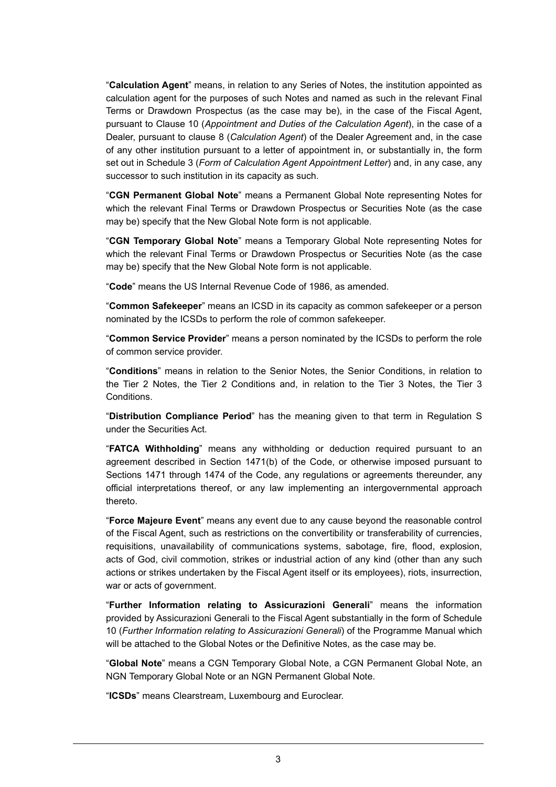"**Calculation Agent**" means, in relation to any Series of Notes, the institution appointed as calculation agent for the purposes of such Notes and named as such in the relevant Final Terms or Drawdown Prospectus (as the case may be), in the case of the Fiscal Agent, pursuant to Clause 10 (*Appointment and Duties of the Calculation Agent*), in the case of a Dealer, pursuant to clause 8 (*Calculation Agent*) of the Dealer Agreement and, in the case of any other institution pursuant to a letter of appointment in, or substantially in, the form set out in Schedule 3 (*Form of Calculation Agent Appointment Letter*) and, in any case, any successor to such institution in its capacity as such.

"**CGN Permanent Global Note**" means a Permanent Global Note representing Notes for which the relevant Final Terms or Drawdown Prospectus or Securities Note (as the case may be) specify that the New Global Note form is not applicable.

"**CGN Temporary Global Note**" means a Temporary Global Note representing Notes for which the relevant Final Terms or Drawdown Prospectus or Securities Note (as the case may be) specify that the New Global Note form is not applicable.

"**Code**" means the US Internal Revenue Code of 1986, as amended.

"**Common Safekeeper**" means an ICSD in its capacity as common safekeeper or a person nominated by the ICSDs to perform the role of common safekeeper.

"**Common Service Provider**" means a person nominated by the ICSDs to perform the role of common service provider.

"**Conditions**" means in relation to the Senior Notes, the Senior Conditions, in relation to the Tier 2 Notes, the Tier 2 Conditions and, in relation to the Tier 3 Notes, the Tier 3 Conditions.

"**Distribution Compliance Period**" has the meaning given to that term in Regulation S under the Securities Act.

"**FATCA Withholding**" means any withholding or deduction required pursuant to an agreement described in Section 1471(b) of the Code, or otherwise imposed pursuant to Sections 1471 through 1474 of the Code, any regulations or agreements thereunder, any official interpretations thereof, or any law implementing an intergovernmental approach thereto.

"**Force Majeure Event**" means any event due to any cause beyond the reasonable control of the Fiscal Agent, such as restrictions on the convertibility or transferability of currencies, requisitions, unavailability of communications systems, sabotage, fire, flood, explosion, acts of God, civil commotion, strikes or industrial action of any kind (other than any such actions or strikes undertaken by the Fiscal Agent itself or its employees), riots, insurrection, war or acts of government.

"**Further Information relating to Assicurazioni Generali**" means the information provided by Assicurazioni Generali to the Fiscal Agent substantially in the form of Schedule 10 (*Further Information relating to Assicurazioni Generali*) of the Programme Manual which will be attached to the Global Notes or the Definitive Notes, as the case may be.

"**Global Note**" means a CGN Temporary Global Note, a CGN Permanent Global Note, an NGN Temporary Global Note or an NGN Permanent Global Note.

"**ICSDs**" means Clearstream, Luxembourg and Euroclear.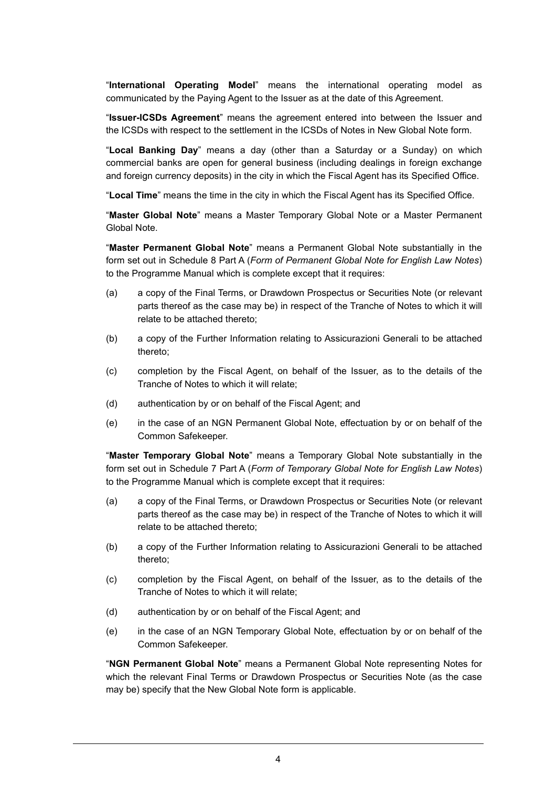"**International Operating Model**" means the international operating model as communicated by the Paying Agent to the Issuer as at the date of this Agreement.

"**Issuer-ICSDs Agreement**" means the agreement entered into between the Issuer and the ICSDs with respect to the settlement in the ICSDs of Notes in New Global Note form.

"**Local Banking Day**" means a day (other than a Saturday or a Sunday) on which commercial banks are open for general business (including dealings in foreign exchange and foreign currency deposits) in the city in which the Fiscal Agent has its Specified Office.

"**Local Time**" means the time in the city in which the Fiscal Agent has its Specified Office.

"**Master Global Note**" means a Master Temporary Global Note or a Master Permanent Global Note.

"**Master Permanent Global Note**" means a Permanent Global Note substantially in the form set out in Schedule 8 Part A (*Form of Permanent Global Note for English Law Notes*) to the Programme Manual which is complete except that it requires:

- (a) a copy of the Final Terms, or Drawdown Prospectus or Securities Note (or relevant parts thereof as the case may be) in respect of the Tranche of Notes to which it will relate to be attached thereto;
- (b) a copy of the Further Information relating to Assicurazioni Generali to be attached thereto;
- (c) completion by the Fiscal Agent, on behalf of the Issuer, as to the details of the Tranche of Notes to which it will relate;
- (d) authentication by or on behalf of the Fiscal Agent; and
- (e) in the case of an NGN Permanent Global Note, effectuation by or on behalf of the Common Safekeeper.

"**Master Temporary Global Note**" means a Temporary Global Note substantially in the form set out in Schedule 7 Part A (*Form of Temporary Global Note for English Law Notes*) to the Programme Manual which is complete except that it requires:

- (a) a copy of the Final Terms, or Drawdown Prospectus or Securities Note (or relevant parts thereof as the case may be) in respect of the Tranche of Notes to which it will relate to be attached thereto;
- (b) a copy of the Further Information relating to Assicurazioni Generali to be attached thereto;
- (c) completion by the Fiscal Agent, on behalf of the Issuer, as to the details of the Tranche of Notes to which it will relate;
- (d) authentication by or on behalf of the Fiscal Agent; and
- (e) in the case of an NGN Temporary Global Note, effectuation by or on behalf of the Common Safekeeper.

"**NGN Permanent Global Note**" means a Permanent Global Note representing Notes for which the relevant Final Terms or Drawdown Prospectus or Securities Note (as the case may be) specify that the New Global Note form is applicable.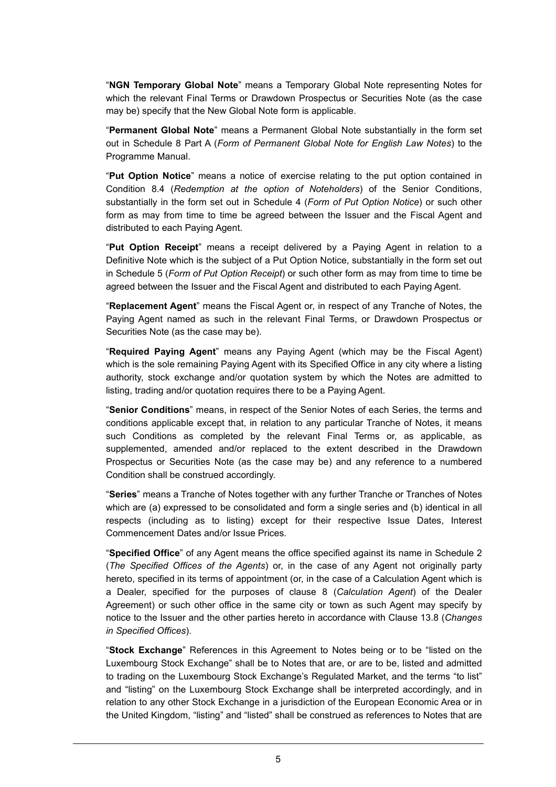"**NGN Temporary Global Note**" means a Temporary Global Note representing Notes for which the relevant Final Terms or Drawdown Prospectus or Securities Note (as the case may be) specify that the New Global Note form is applicable.

"**Permanent Global Note**" means a Permanent Global Note substantially in the form set out in Schedule 8 Part A (*Form of Permanent Global Note for English Law Notes*) to the Programme Manual.

"**Put Option Notice**" means a notice of exercise relating to the put option contained in Condition 8.4 (*Redemption at the option of Noteholders*) of the Senior Conditions, substantially in the form set out in Schedule 4 (*Form of Put Option Notice*) or such other form as may from time to time be agreed between the Issuer and the Fiscal Agent and distributed to each Paying Agent.

"**Put Option Receipt**" means a receipt delivered by a Paying Agent in relation to a Definitive Note which is the subject of a Put Option Notice, substantially in the form set out in Schedule 5 (*Form of Put Option Receipt*) or such other form as may from time to time be agreed between the Issuer and the Fiscal Agent and distributed to each Paying Agent.

"**Replacement Agent**" means the Fiscal Agent or, in respect of any Tranche of Notes, the Paying Agent named as such in the relevant Final Terms, or Drawdown Prospectus or Securities Note (as the case may be).

"**Required Paying Agent**" means any Paying Agent (which may be the Fiscal Agent) which is the sole remaining Paying Agent with its Specified Office in any city where a listing authority, stock exchange and/or quotation system by which the Notes are admitted to listing, trading and/or quotation requires there to be a Paying Agent.

"**Senior Conditions**" means, in respect of the Senior Notes of each Series, the terms and conditions applicable except that, in relation to any particular Tranche of Notes, it means such Conditions as completed by the relevant Final Terms or, as applicable, as supplemented, amended and/or replaced to the extent described in the Drawdown Prospectus or Securities Note (as the case may be) and any reference to a numbered Condition shall be construed accordingly.

"**Series**" means a Tranche of Notes together with any further Tranche or Tranches of Notes which are (a) expressed to be consolidated and form a single series and (b) identical in all respects (including as to listing) except for their respective Issue Dates, Interest Commencement Dates and/or Issue Prices.

"**Specified Office**" of any Agent means the office specified against its name in Schedule 2 (*The Specified Offices of the Agents*) or, in the case of any Agent not originally party hereto, specified in its terms of appointment (or, in the case of a Calculation Agent which is a Dealer, specified for the purposes of clause 8 (*Calculation Agent*) of the Dealer Agreement) or such other office in the same city or town as such Agent may specify by notice to the Issuer and the other parties hereto in accordance with Clause 13.8 (*Changes in Specified Offices*).

"**Stock Exchange**" References in this Agreement to Notes being or to be "listed on the Luxembourg Stock Exchange" shall be to Notes that are, or are to be, listed and admitted to trading on the Luxembourg Stock Exchange's Regulated Market, and the terms "to list" and "listing" on the Luxembourg Stock Exchange shall be interpreted accordingly, and in relation to any other Stock Exchange in a jurisdiction of the European Economic Area or in the United Kingdom, "listing" and "listed" shall be construed as references to Notes that are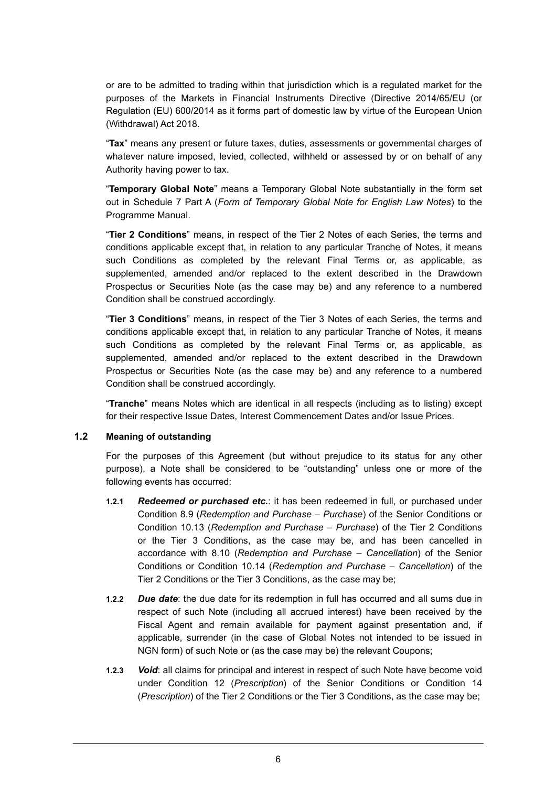or are to be admitted to trading within that jurisdiction which is a regulated market for the purposes of the Markets in Financial Instruments Directive (Directive 2014/65/EU (or Regulation (EU) 600/2014 as it forms part of domestic law by virtue of the European Union (Withdrawal) Act 2018.

"**Tax**" means any present or future taxes, duties, assessments or governmental charges of whatever nature imposed, levied, collected, withheld or assessed by or on behalf of any Authority having power to tax.

"**Temporary Global Note**" means a Temporary Global Note substantially in the form set out in Schedule 7 Part A (*Form of Temporary Global Note for English Law Notes*) to the Programme Manual.

"**Tier 2 Conditions**" means, in respect of the Tier 2 Notes of each Series, the terms and conditions applicable except that, in relation to any particular Tranche of Notes, it means such Conditions as completed by the relevant Final Terms or, as applicable, as supplemented, amended and/or replaced to the extent described in the Drawdown Prospectus or Securities Note (as the case may be) and any reference to a numbered Condition shall be construed accordingly.

"**Tier 3 Conditions**" means, in respect of the Tier 3 Notes of each Series, the terms and conditions applicable except that, in relation to any particular Tranche of Notes, it means such Conditions as completed by the relevant Final Terms or, as applicable, as supplemented, amended and/or replaced to the extent described in the Drawdown Prospectus or Securities Note (as the case may be) and any reference to a numbered Condition shall be construed accordingly.

"**Tranche**" means Notes which are identical in all respects (including as to listing) except for their respective Issue Dates, Interest Commencement Dates and/or Issue Prices.

#### **1.2 Meaning of outstanding**

For the purposes of this Agreement (but without prejudice to its status for any other purpose), a Note shall be considered to be "outstanding" unless one or more of the following events has occurred:

- **1.2.1** *Redeemed or purchased etc.*: it has been redeemed in full, or purchased under Condition 8.9 (*Redemption and Purchase – Purchase*) of the Senior Conditions or Condition 10.13 (*Redemption and Purchase – Purchase*) of the Tier 2 Conditions or the Tier 3 Conditions, as the case may be, and has been cancelled in accordance with 8.10 (*Redemption and Purchase – Cancellation*) of the Senior Conditions or Condition 10.14 (*Redemption and Purchase – Cancellation*) of the Tier 2 Conditions or the Tier 3 Conditions, as the case may be;
- **1.2.2** *Due date*: the due date for its redemption in full has occurred and all sums due in respect of such Note (including all accrued interest) have been received by the Fiscal Agent and remain available for payment against presentation and, if applicable, surrender (in the case of Global Notes not intended to be issued in NGN form) of such Note or (as the case may be) the relevant Coupons;
- **1.2.3** *Void*: all claims for principal and interest in respect of such Note have become void under Condition 12 (*Prescription*) of the Senior Conditions or Condition 14 (*Prescription*) of the Tier 2 Conditions or the Tier 3 Conditions, as the case may be;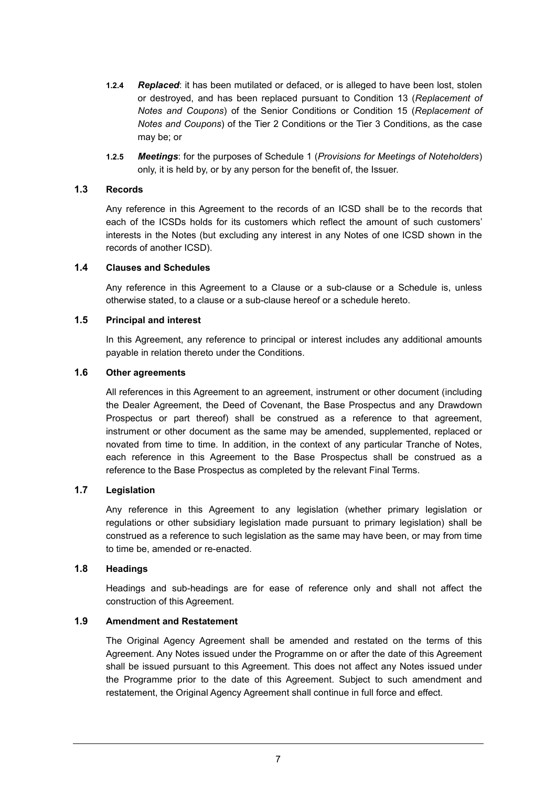- **1.2.4** *Replaced*: it has been mutilated or defaced, or is alleged to have been lost, stolen or destroyed, and has been replaced pursuant to Condition 13 (*Replacement of Notes and Coupons*) of the Senior Conditions or Condition 15 (*Replacement of Notes and Coupons*) of the Tier 2 Conditions or the Tier 3 Conditions, as the case may be; or
- **1.2.5** *Meetings*: for the purposes of Schedule 1 (*Provisions for Meetings of Noteholders*) only, it is held by, or by any person for the benefit of, the Issuer.

#### **1.3 Records**

Any reference in this Agreement to the records of an ICSD shall be to the records that each of the ICSDs holds for its customers which reflect the amount of such customers' interests in the Notes (but excluding any interest in any Notes of one ICSD shown in the records of another ICSD).

#### **1.4 Clauses and Schedules**

Any reference in this Agreement to a Clause or a sub-clause or a Schedule is, unless otherwise stated, to a clause or a sub-clause hereof or a schedule hereto.

#### **1.5 Principal and interest**

In this Agreement, any reference to principal or interest includes any additional amounts payable in relation thereto under the Conditions.

### **1.6 Other agreements**

All references in this Agreement to an agreement, instrument or other document (including the Dealer Agreement, the Deed of Covenant, the Base Prospectus and any Drawdown Prospectus or part thereof) shall be construed as a reference to that agreement, instrument or other document as the same may be amended, supplemented, replaced or novated from time to time. In addition, in the context of any particular Tranche of Notes, each reference in this Agreement to the Base Prospectus shall be construed as a reference to the Base Prospectus as completed by the relevant Final Terms.

#### **1.7 Legislation**

Any reference in this Agreement to any legislation (whether primary legislation or regulations or other subsidiary legislation made pursuant to primary legislation) shall be construed as a reference to such legislation as the same may have been, or may from time to time be, amended or re-enacted.

#### **1.8 Headings**

Headings and sub-headings are for ease of reference only and shall not affect the construction of this Agreement.

#### **1.9 Amendment and Restatement**

The Original Agency Agreement shall be amended and restated on the terms of this Agreement. Any Notes issued under the Programme on or after the date of this Agreement shall be issued pursuant to this Agreement. This does not affect any Notes issued under the Programme prior to the date of this Agreement. Subject to such amendment and restatement, the Original Agency Agreement shall continue in full force and effect.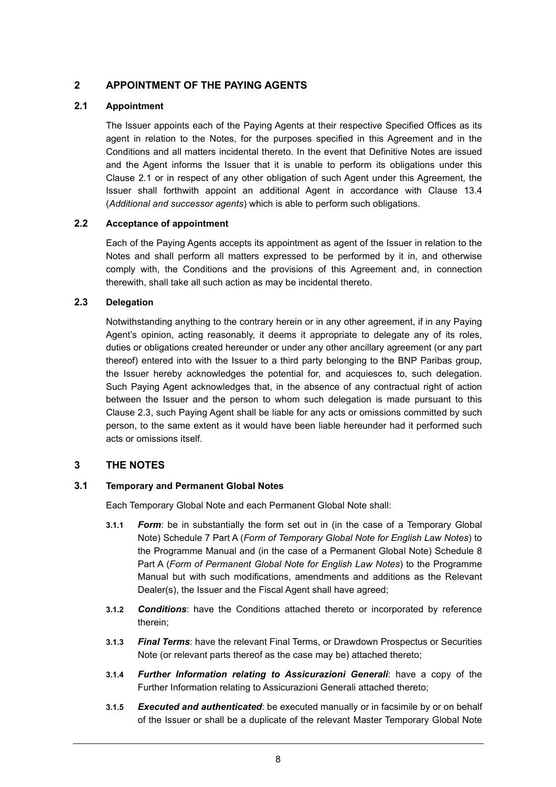# **2 APPOINTMENT OF THE PAYING AGENTS**

### **2.1 Appointment**

The Issuer appoints each of the Paying Agents at their respective Specified Offices as its agent in relation to the Notes, for the purposes specified in this Agreement and in the Conditions and all matters incidental thereto. In the event that Definitive Notes are issued and the Agent informs the Issuer that it is unable to perform its obligations under this Clause 2.1 or in respect of any other obligation of such Agent under this Agreement, the Issuer shall forthwith appoint an additional Agent in accordance with Clause 13.4 (*Additional and successor agents*) which is able to perform such obligations.

### **2.2 Acceptance of appointment**

Each of the Paying Agents accepts its appointment as agent of the Issuer in relation to the Notes and shall perform all matters expressed to be performed by it in, and otherwise comply with, the Conditions and the provisions of this Agreement and, in connection therewith, shall take all such action as may be incidental thereto.

### **2.3 Delegation**

Notwithstanding anything to the contrary herein or in any other agreement, if in any Paying Agent's opinion, acting reasonably, it deems it appropriate to delegate any of its roles, duties or obligations created hereunder or under any other ancillary agreement (or any part thereof) entered into with the Issuer to a third party belonging to the BNP Paribas group, the Issuer hereby acknowledges the potential for, and acquiesces to, such delegation. Such Paying Agent acknowledges that, in the absence of any contractual right of action between the Issuer and the person to whom such delegation is made pursuant to this Clause 2.3, such Paying Agent shall be liable for any acts or omissions committed by such person, to the same extent as it would have been liable hereunder had it performed such acts or omissions itself.

# **3 THE NOTES**

#### **3.1 Temporary and Permanent Global Notes**

Each Temporary Global Note and each Permanent Global Note shall:

- **3.1.1** *Form*: be in substantially the form set out in (in the case of a Temporary Global Note) Schedule 7 Part A (*Form of Temporary Global Note for English Law Notes*) to the Programme Manual and (in the case of a Permanent Global Note) Schedule 8 Part A (*Form of Permanent Global Note for English Law Notes*) to the Programme Manual but with such modifications, amendments and additions as the Relevant Dealer(s), the Issuer and the Fiscal Agent shall have agreed;
- **3.1.2** *Conditions*: have the Conditions attached thereto or incorporated by reference therein;
- **3.1.3** *Final Terms*: have the relevant Final Terms, or Drawdown Prospectus or Securities Note (or relevant parts thereof as the case may be) attached thereto;
- **3.1.4** *Further Information relating to Assicurazioni Generali*: have a copy of the Further Information relating to Assicurazioni Generali attached thereto;
- **3.1.5** *Executed and authenticated*: be executed manually or in facsimile by or on behalf of the Issuer or shall be a duplicate of the relevant Master Temporary Global Note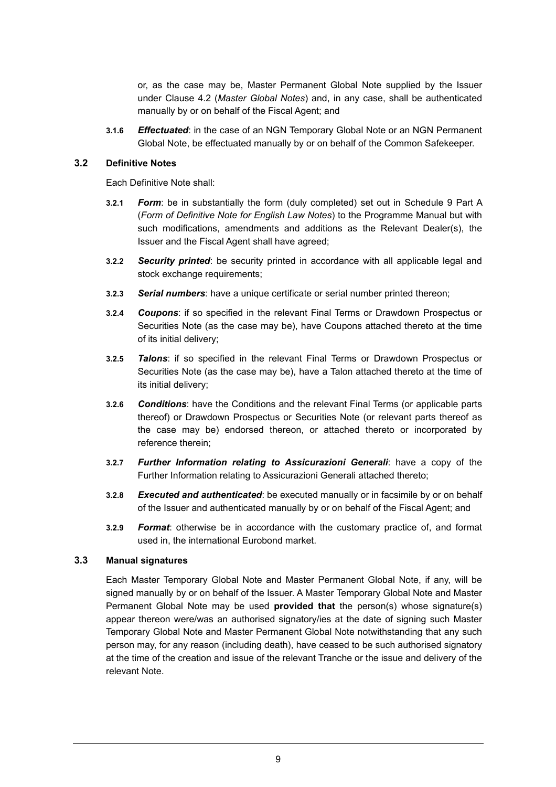or, as the case may be, Master Permanent Global Note supplied by the Issuer under Clause 4.2 (*Master Global Notes*) and, in any case, shall be authenticated manually by or on behalf of the Fiscal Agent; and

**3.1.6** *Effectuated*: in the case of an NGN Temporary Global Note or an NGN Permanent Global Note, be effectuated manually by or on behalf of the Common Safekeeper.

#### **3.2 Definitive Notes**

Each Definitive Note shall:

- **3.2.1** *Form*: be in substantially the form (duly completed) set out in Schedule 9 Part A (*Form of Definitive Note for English Law Notes*) to the Programme Manual but with such modifications, amendments and additions as the Relevant Dealer(s), the Issuer and the Fiscal Agent shall have agreed;
- **3.2.2** *Security printed*: be security printed in accordance with all applicable legal and stock exchange requirements;
- **3.2.3** *Serial numbers*: have a unique certificate or serial number printed thereon;
- **3.2.4** *Coupons*: if so specified in the relevant Final Terms or Drawdown Prospectus or Securities Note (as the case may be), have Coupons attached thereto at the time of its initial delivery;
- **3.2.5** *Talons*: if so specified in the relevant Final Terms or Drawdown Prospectus or Securities Note (as the case may be), have a Talon attached thereto at the time of its initial delivery;
- **3.2.6** *Conditions*: have the Conditions and the relevant Final Terms (or applicable parts thereof) or Drawdown Prospectus or Securities Note (or relevant parts thereof as the case may be) endorsed thereon, or attached thereto or incorporated by reference therein;
- **3.2.7** *Further Information relating to Assicurazioni Generali*: have a copy of the Further Information relating to Assicurazioni Generali attached thereto;
- **3.2.8** *Executed and authenticated*: be executed manually or in facsimile by or on behalf of the Issuer and authenticated manually by or on behalf of the Fiscal Agent; and
- **3.2.9** *Format*: otherwise be in accordance with the customary practice of, and format used in, the international Eurobond market.

#### **3.3 Manual signatures**

Each Master Temporary Global Note and Master Permanent Global Note, if any, will be signed manually by or on behalf of the Issuer. A Master Temporary Global Note and Master Permanent Global Note may be used **provided that** the person(s) whose signature(s) appear thereon were/was an authorised signatory/ies at the date of signing such Master Temporary Global Note and Master Permanent Global Note notwithstanding that any such person may, for any reason (including death), have ceased to be such authorised signatory at the time of the creation and issue of the relevant Tranche or the issue and delivery of the relevant Note.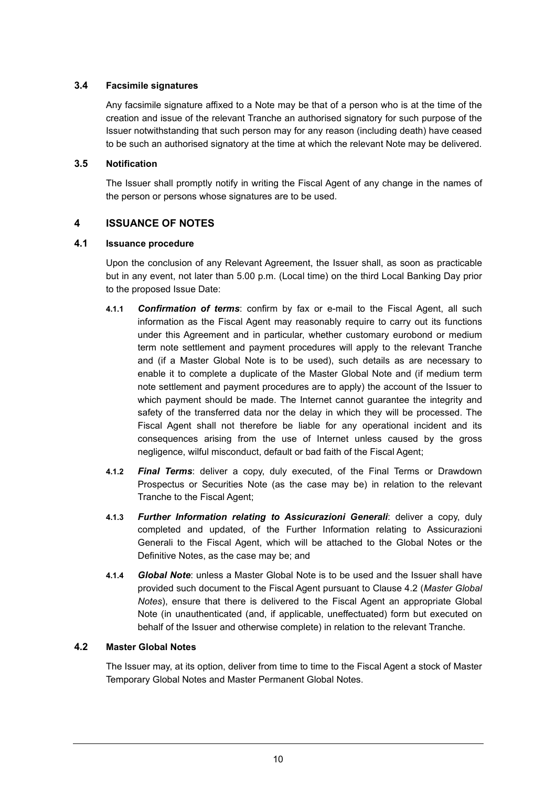### **3.4 Facsimile signatures**

Any facsimile signature affixed to a Note may be that of a person who is at the time of the creation and issue of the relevant Tranche an authorised signatory for such purpose of the Issuer notwithstanding that such person may for any reason (including death) have ceased to be such an authorised signatory at the time at which the relevant Note may be delivered.

### **3.5 Notification**

The Issuer shall promptly notify in writing the Fiscal Agent of any change in the names of the person or persons whose signatures are to be used.

# **4 ISSUANCE OF NOTES**

### **4.1 Issuance procedure**

Upon the conclusion of any Relevant Agreement, the Issuer shall, as soon as practicable but in any event, not later than 5.00 p.m. (Local time) on the third Local Banking Day prior to the proposed Issue Date:

- **4.1.1** *Confirmation of terms*: confirm by fax or e-mail to the Fiscal Agent, all such information as the Fiscal Agent may reasonably require to carry out its functions under this Agreement and in particular, whether customary eurobond or medium term note settlement and payment procedures will apply to the relevant Tranche and (if a Master Global Note is to be used), such details as are necessary to enable it to complete a duplicate of the Master Global Note and (if medium term note settlement and payment procedures are to apply) the account of the Issuer to which payment should be made. The Internet cannot guarantee the integrity and safety of the transferred data nor the delay in which they will be processed. The Fiscal Agent shall not therefore be liable for any operational incident and its consequences arising from the use of Internet unless caused by the gross negligence, wilful misconduct, default or bad faith of the Fiscal Agent;
- **4.1.2** *Final Terms*: deliver a copy, duly executed, of the Final Terms or Drawdown Prospectus or Securities Note (as the case may be) in relation to the relevant Tranche to the Fiscal Agent;
- **4.1.3** *Further Information relating to Assicurazioni Generali*: deliver a copy, duly completed and updated, of the Further Information relating to Assicurazioni Generali to the Fiscal Agent, which will be attached to the Global Notes or the Definitive Notes, as the case may be; and
- **4.1.4** *Global Note*: unless a Master Global Note is to be used and the Issuer shall have provided such document to the Fiscal Agent pursuant to Clause 4.2 (*Master Global Notes*), ensure that there is delivered to the Fiscal Agent an appropriate Global Note (in unauthenticated (and, if applicable, uneffectuated) form but executed on behalf of the Issuer and otherwise complete) in relation to the relevant Tranche.

# **4.2 Master Global Notes**

The Issuer may, at its option, deliver from time to time to the Fiscal Agent a stock of Master Temporary Global Notes and Master Permanent Global Notes.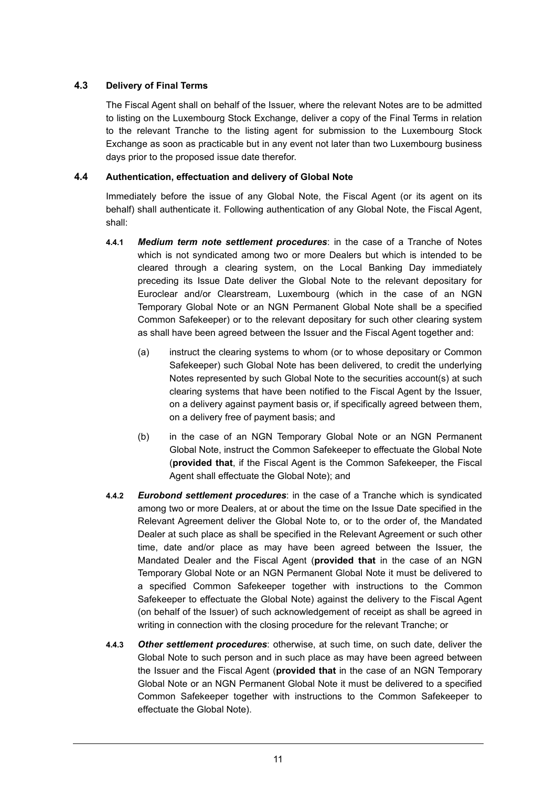### **4.3 Delivery of Final Terms**

The Fiscal Agent shall on behalf of the Issuer, where the relevant Notes are to be admitted to listing on the Luxembourg Stock Exchange, deliver a copy of the Final Terms in relation to the relevant Tranche to the listing agent for submission to the Luxembourg Stock Exchange as soon as practicable but in any event not later than two Luxembourg business days prior to the proposed issue date therefor.

### **4.4 Authentication, effectuation and delivery of Global Note**

Immediately before the issue of any Global Note, the Fiscal Agent (or its agent on its behalf) shall authenticate it. Following authentication of any Global Note, the Fiscal Agent, shall:

- **4.4.1** *Medium term note settlement procedures*: in the case of a Tranche of Notes which is not syndicated among two or more Dealers but which is intended to be cleared through a clearing system, on the Local Banking Day immediately preceding its Issue Date deliver the Global Note to the relevant depositary for Euroclear and/or Clearstream, Luxembourg (which in the case of an NGN Temporary Global Note or an NGN Permanent Global Note shall be a specified Common Safekeeper) or to the relevant depositary for such other clearing system as shall have been agreed between the Issuer and the Fiscal Agent together and:
	- (a) instruct the clearing systems to whom (or to whose depositary or Common Safekeeper) such Global Note has been delivered, to credit the underlying Notes represented by such Global Note to the securities account(s) at such clearing systems that have been notified to the Fiscal Agent by the Issuer, on a delivery against payment basis or, if specifically agreed between them, on a delivery free of payment basis; and
	- (b) in the case of an NGN Temporary Global Note or an NGN Permanent Global Note, instruct the Common Safekeeper to effectuate the Global Note (**provided that**, if the Fiscal Agent is the Common Safekeeper, the Fiscal Agent shall effectuate the Global Note); and
- **4.4.2** *Eurobond settlement procedures*: in the case of a Tranche which is syndicated among two or more Dealers, at or about the time on the Issue Date specified in the Relevant Agreement deliver the Global Note to, or to the order of, the Mandated Dealer at such place as shall be specified in the Relevant Agreement or such other time, date and/or place as may have been agreed between the Issuer, the Mandated Dealer and the Fiscal Agent (**provided that** in the case of an NGN Temporary Global Note or an NGN Permanent Global Note it must be delivered to a specified Common Safekeeper together with instructions to the Common Safekeeper to effectuate the Global Note) against the delivery to the Fiscal Agent (on behalf of the Issuer) of such acknowledgement of receipt as shall be agreed in writing in connection with the closing procedure for the relevant Tranche; or
- **4.4.3** *Other settlement procedures*: otherwise, at such time, on such date, deliver the Global Note to such person and in such place as may have been agreed between the Issuer and the Fiscal Agent (**provided that** in the case of an NGN Temporary Global Note or an NGN Permanent Global Note it must be delivered to a specified Common Safekeeper together with instructions to the Common Safekeeper to effectuate the Global Note).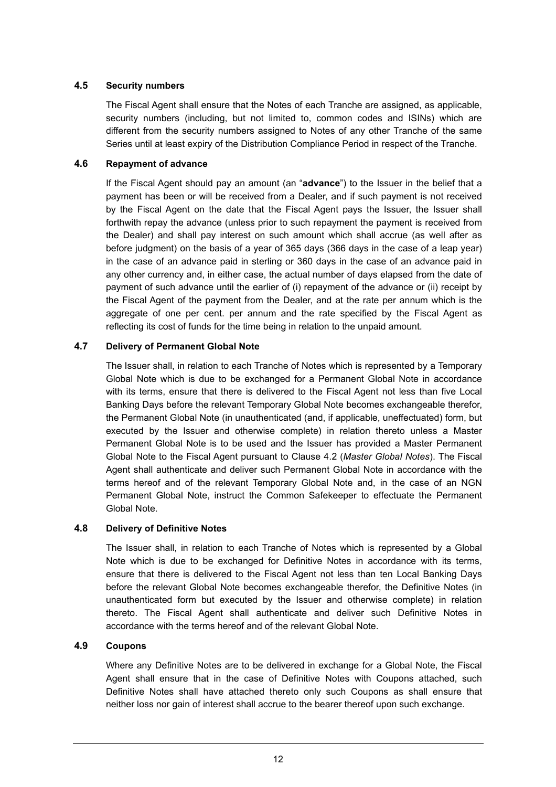### **4.5 Security numbers**

The Fiscal Agent shall ensure that the Notes of each Tranche are assigned, as applicable, security numbers (including, but not limited to, common codes and ISINs) which are different from the security numbers assigned to Notes of any other Tranche of the same Series until at least expiry of the Distribution Compliance Period in respect of the Tranche.

### **4.6 Repayment of advance**

If the Fiscal Agent should pay an amount (an "**advance**") to the Issuer in the belief that a payment has been or will be received from a Dealer, and if such payment is not received by the Fiscal Agent on the date that the Fiscal Agent pays the Issuer, the Issuer shall forthwith repay the advance (unless prior to such repayment the payment is received from the Dealer) and shall pay interest on such amount which shall accrue (as well after as before judgment) on the basis of a year of 365 days (366 days in the case of a leap year) in the case of an advance paid in sterling or 360 days in the case of an advance paid in any other currency and, in either case, the actual number of days elapsed from the date of payment of such advance until the earlier of (i) repayment of the advance or (ii) receipt by the Fiscal Agent of the payment from the Dealer, and at the rate per annum which is the aggregate of one per cent. per annum and the rate specified by the Fiscal Agent as reflecting its cost of funds for the time being in relation to the unpaid amount.

### **4.7 Delivery of Permanent Global Note**

The Issuer shall, in relation to each Tranche of Notes which is represented by a Temporary Global Note which is due to be exchanged for a Permanent Global Note in accordance with its terms, ensure that there is delivered to the Fiscal Agent not less than five Local Banking Days before the relevant Temporary Global Note becomes exchangeable therefor, the Permanent Global Note (in unauthenticated (and, if applicable, uneffectuated) form, but executed by the Issuer and otherwise complete) in relation thereto unless a Master Permanent Global Note is to be used and the Issuer has provided a Master Permanent Global Note to the Fiscal Agent pursuant to Clause 4.2 (*Master Global Notes*). The Fiscal Agent shall authenticate and deliver such Permanent Global Note in accordance with the terms hereof and of the relevant Temporary Global Note and, in the case of an NGN Permanent Global Note, instruct the Common Safekeeper to effectuate the Permanent Global Note.

#### **4.8 Delivery of Definitive Notes**

The Issuer shall, in relation to each Tranche of Notes which is represented by a Global Note which is due to be exchanged for Definitive Notes in accordance with its terms, ensure that there is delivered to the Fiscal Agent not less than ten Local Banking Days before the relevant Global Note becomes exchangeable therefor, the Definitive Notes (in unauthenticated form but executed by the Issuer and otherwise complete) in relation thereto. The Fiscal Agent shall authenticate and deliver such Definitive Notes in accordance with the terms hereof and of the relevant Global Note.

### **4.9 Coupons**

Where any Definitive Notes are to be delivered in exchange for a Global Note, the Fiscal Agent shall ensure that in the case of Definitive Notes with Coupons attached, such Definitive Notes shall have attached thereto only such Coupons as shall ensure that neither loss nor gain of interest shall accrue to the bearer thereof upon such exchange.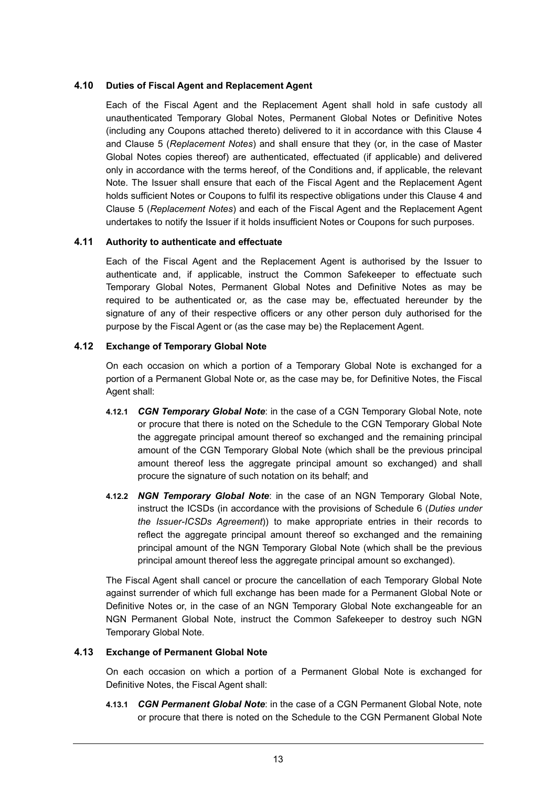### **4.10 Duties of Fiscal Agent and Replacement Agent**

Each of the Fiscal Agent and the Replacement Agent shall hold in safe custody all unauthenticated Temporary Global Notes, Permanent Global Notes or Definitive Notes (including any Coupons attached thereto) delivered to it in accordance with this Clause 4 and Clause 5 (*Replacement Notes*) and shall ensure that they (or, in the case of Master Global Notes copies thereof) are authenticated, effectuated (if applicable) and delivered only in accordance with the terms hereof, of the Conditions and, if applicable, the relevant Note. The Issuer shall ensure that each of the Fiscal Agent and the Replacement Agent holds sufficient Notes or Coupons to fulfil its respective obligations under this Clause 4 and Clause 5 (*Replacement Notes*) and each of the Fiscal Agent and the Replacement Agent undertakes to notify the Issuer if it holds insufficient Notes or Coupons for such purposes.

### **4.11 Authority to authenticate and effectuate**

Each of the Fiscal Agent and the Replacement Agent is authorised by the Issuer to authenticate and, if applicable, instruct the Common Safekeeper to effectuate such Temporary Global Notes, Permanent Global Notes and Definitive Notes as may be required to be authenticated or, as the case may be, effectuated hereunder by the signature of any of their respective officers or any other person duly authorised for the purpose by the Fiscal Agent or (as the case may be) the Replacement Agent.

### **4.12 Exchange of Temporary Global Note**

On each occasion on which a portion of a Temporary Global Note is exchanged for a portion of a Permanent Global Note or, as the case may be, for Definitive Notes, the Fiscal Agent shall:

- **4.12.1** *CGN Temporary Global Note*: in the case of a CGN Temporary Global Note, note or procure that there is noted on the Schedule to the CGN Temporary Global Note the aggregate principal amount thereof so exchanged and the remaining principal amount of the CGN Temporary Global Note (which shall be the previous principal amount thereof less the aggregate principal amount so exchanged) and shall procure the signature of such notation on its behalf; and
- **4.12.2** *NGN Temporary Global Note*: in the case of an NGN Temporary Global Note, instruct the ICSDs (in accordance with the provisions of Schedule 6 (*Duties under the Issuer-ICSDs Agreement*)) to make appropriate entries in their records to reflect the aggregate principal amount thereof so exchanged and the remaining principal amount of the NGN Temporary Global Note (which shall be the previous principal amount thereof less the aggregate principal amount so exchanged).

The Fiscal Agent shall cancel or procure the cancellation of each Temporary Global Note against surrender of which full exchange has been made for a Permanent Global Note or Definitive Notes or, in the case of an NGN Temporary Global Note exchangeable for an NGN Permanent Global Note, instruct the Common Safekeeper to destroy such NGN Temporary Global Note.

# **4.13 Exchange of Permanent Global Note**

On each occasion on which a portion of a Permanent Global Note is exchanged for Definitive Notes, the Fiscal Agent shall:

**4.13.1** *CGN Permanent Global Note*: in the case of a CGN Permanent Global Note, note or procure that there is noted on the Schedule to the CGN Permanent Global Note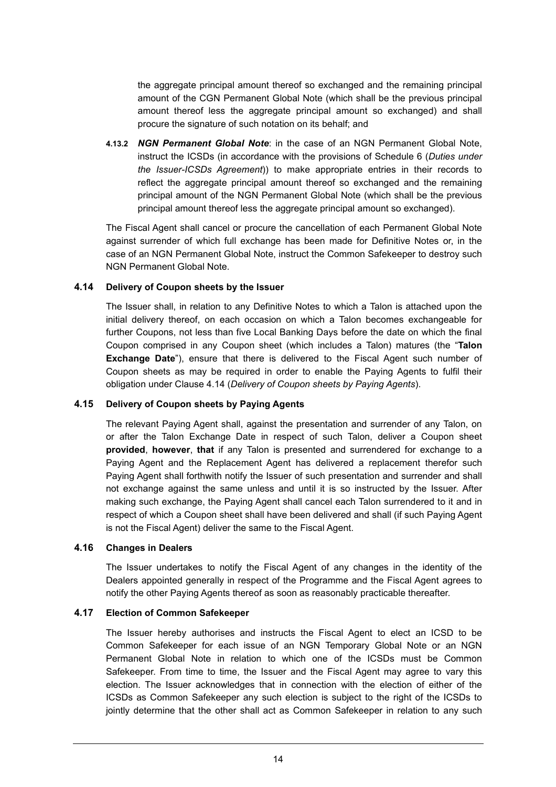the aggregate principal amount thereof so exchanged and the remaining principal amount of the CGN Permanent Global Note (which shall be the previous principal amount thereof less the aggregate principal amount so exchanged) and shall procure the signature of such notation on its behalf; and

**4.13.2** *NGN Permanent Global Note*: in the case of an NGN Permanent Global Note, instruct the ICSDs (in accordance with the provisions of Schedule 6 (*Duties under the Issuer-ICSDs Agreement*)) to make appropriate entries in their records to reflect the aggregate principal amount thereof so exchanged and the remaining principal amount of the NGN Permanent Global Note (which shall be the previous principal amount thereof less the aggregate principal amount so exchanged).

The Fiscal Agent shall cancel or procure the cancellation of each Permanent Global Note against surrender of which full exchange has been made for Definitive Notes or, in the case of an NGN Permanent Global Note, instruct the Common Safekeeper to destroy such NGN Permanent Global Note.

#### **4.14 Delivery of Coupon sheets by the Issuer**

The Issuer shall, in relation to any Definitive Notes to which a Talon is attached upon the initial delivery thereof, on each occasion on which a Talon becomes exchangeable for further Coupons, not less than five Local Banking Days before the date on which the final Coupon comprised in any Coupon sheet (which includes a Talon) matures (the "**Talon Exchange Date**"), ensure that there is delivered to the Fiscal Agent such number of Coupon sheets as may be required in order to enable the Paying Agents to fulfil their obligation under Clause 4.14 (*Delivery of Coupon sheets by Paying Agents*).

#### **4.15 Delivery of Coupon sheets by Paying Agents**

The relevant Paying Agent shall, against the presentation and surrender of any Talon, on or after the Talon Exchange Date in respect of such Talon, deliver a Coupon sheet **provided**, **however**, **that** if any Talon is presented and surrendered for exchange to a Paying Agent and the Replacement Agent has delivered a replacement therefor such Paying Agent shall forthwith notify the Issuer of such presentation and surrender and shall not exchange against the same unless and until it is so instructed by the Issuer. After making such exchange, the Paying Agent shall cancel each Talon surrendered to it and in respect of which a Coupon sheet shall have been delivered and shall (if such Paying Agent is not the Fiscal Agent) deliver the same to the Fiscal Agent.

#### **4.16 Changes in Dealers**

The Issuer undertakes to notify the Fiscal Agent of any changes in the identity of the Dealers appointed generally in respect of the Programme and the Fiscal Agent agrees to notify the other Paying Agents thereof as soon as reasonably practicable thereafter.

# **4.17 Election of Common Safekeeper**

The Issuer hereby authorises and instructs the Fiscal Agent to elect an ICSD to be Common Safekeeper for each issue of an NGN Temporary Global Note or an NGN Permanent Global Note in relation to which one of the ICSDs must be Common Safekeeper. From time to time, the Issuer and the Fiscal Agent may agree to vary this election. The Issuer acknowledges that in connection with the election of either of the ICSDs as Common Safekeeper any such election is subject to the right of the ICSDs to jointly determine that the other shall act as Common Safekeeper in relation to any such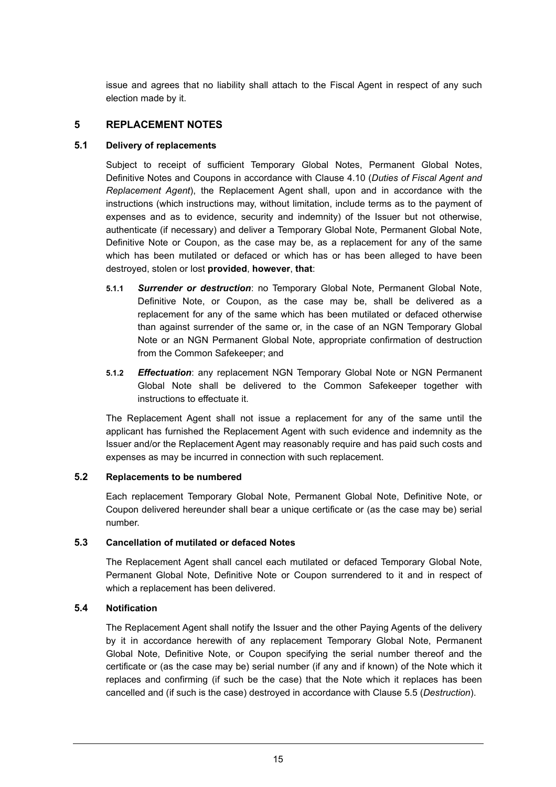issue and agrees that no liability shall attach to the Fiscal Agent in respect of any such election made by it.

# **5 REPLACEMENT NOTES**

### **5.1 Delivery of replacements**

Subject to receipt of sufficient Temporary Global Notes, Permanent Global Notes, Definitive Notes and Coupons in accordance with Clause 4.10 (*Duties of Fiscal Agent and Replacement Agent*), the Replacement Agent shall, upon and in accordance with the instructions (which instructions may, without limitation, include terms as to the payment of expenses and as to evidence, security and indemnity) of the Issuer but not otherwise, authenticate (if necessary) and deliver a Temporary Global Note, Permanent Global Note, Definitive Note or Coupon, as the case may be, as a replacement for any of the same which has been mutilated or defaced or which has or has been alleged to have been destroyed, stolen or lost **provided**, **however**, **that**:

- **5.1.1** *Surrender or destruction*: no Temporary Global Note, Permanent Global Note, Definitive Note, or Coupon, as the case may be, shall be delivered as a replacement for any of the same which has been mutilated or defaced otherwise than against surrender of the same or, in the case of an NGN Temporary Global Note or an NGN Permanent Global Note, appropriate confirmation of destruction from the Common Safekeeper; and
- **5.1.2** *Effectuation*: any replacement NGN Temporary Global Note or NGN Permanent Global Note shall be delivered to the Common Safekeeper together with instructions to effectuate it.

The Replacement Agent shall not issue a replacement for any of the same until the applicant has furnished the Replacement Agent with such evidence and indemnity as the Issuer and/or the Replacement Agent may reasonably require and has paid such costs and expenses as may be incurred in connection with such replacement.

### **5.2 Replacements to be numbered**

Each replacement Temporary Global Note, Permanent Global Note, Definitive Note, or Coupon delivered hereunder shall bear a unique certificate or (as the case may be) serial number.

### **5.3 Cancellation of mutilated or defaced Notes**

The Replacement Agent shall cancel each mutilated or defaced Temporary Global Note, Permanent Global Note, Definitive Note or Coupon surrendered to it and in respect of which a replacement has been delivered.

# **5.4 Notification**

The Replacement Agent shall notify the Issuer and the other Paying Agents of the delivery by it in accordance herewith of any replacement Temporary Global Note, Permanent Global Note, Definitive Note, or Coupon specifying the serial number thereof and the certificate or (as the case may be) serial number (if any and if known) of the Note which it replaces and confirming (if such be the case) that the Note which it replaces has been cancelled and (if such is the case) destroyed in accordance with Clause 5.5 (*Destruction*).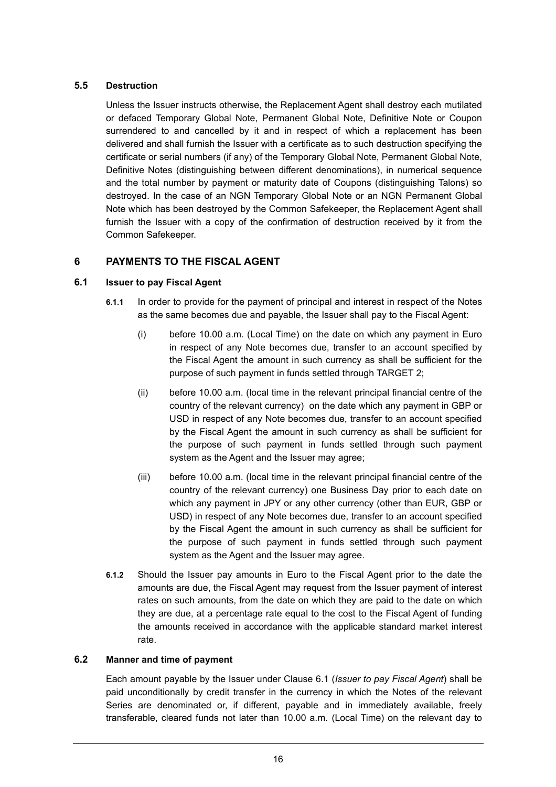# **5.5 Destruction**

Unless the Issuer instructs otherwise, the Replacement Agent shall destroy each mutilated or defaced Temporary Global Note, Permanent Global Note, Definitive Note or Coupon surrendered to and cancelled by it and in respect of which a replacement has been delivered and shall furnish the Issuer with a certificate as to such destruction specifying the certificate or serial numbers (if any) of the Temporary Global Note, Permanent Global Note, Definitive Notes (distinguishing between different denominations), in numerical sequence and the total number by payment or maturity date of Coupons (distinguishing Talons) so destroyed. In the case of an NGN Temporary Global Note or an NGN Permanent Global Note which has been destroyed by the Common Safekeeper, the Replacement Agent shall furnish the Issuer with a copy of the confirmation of destruction received by it from the Common Safekeeper.

# **6 PAYMENTS TO THE FISCAL AGENT**

### **6.1 Issuer to pay Fiscal Agent**

- **6.1.1** In order to provide for the payment of principal and interest in respect of the Notes as the same becomes due and payable, the Issuer shall pay to the Fiscal Agent:
	- (i) before 10.00 a.m. (Local Time) on the date on which any payment in Euro in respect of any Note becomes due, transfer to an account specified by the Fiscal Agent the amount in such currency as shall be sufficient for the purpose of such payment in funds settled through TARGET 2;
	- (ii) before 10.00 a.m. (local time in the relevant principal financial centre of the country of the relevant currency) on the date which any payment in GBP or USD in respect of any Note becomes due, transfer to an account specified by the Fiscal Agent the amount in such currency as shall be sufficient for the purpose of such payment in funds settled through such payment system as the Agent and the Issuer may agree;
	- (iii) before 10.00 a.m. (local time in the relevant principal financial centre of the country of the relevant currency) one Business Day prior to each date on which any payment in JPY or any other currency (other than EUR, GBP or USD) in respect of any Note becomes due, transfer to an account specified by the Fiscal Agent the amount in such currency as shall be sufficient for the purpose of such payment in funds settled through such payment system as the Agent and the Issuer may agree.
- **6.1.2** Should the Issuer pay amounts in Euro to the Fiscal Agent prior to the date the amounts are due, the Fiscal Agent may request from the Issuer payment of interest rates on such amounts, from the date on which they are paid to the date on which they are due, at a percentage rate equal to the cost to the Fiscal Agent of funding the amounts received in accordance with the applicable standard market interest rate.

#### **6.2 Manner and time of payment**

Each amount payable by the Issuer under Clause 6.1 (*Issuer to pay Fiscal Agent*) shall be paid unconditionally by credit transfer in the currency in which the Notes of the relevant Series are denominated or, if different, payable and in immediately available, freely transferable, cleared funds not later than 10.00 a.m. (Local Time) on the relevant day to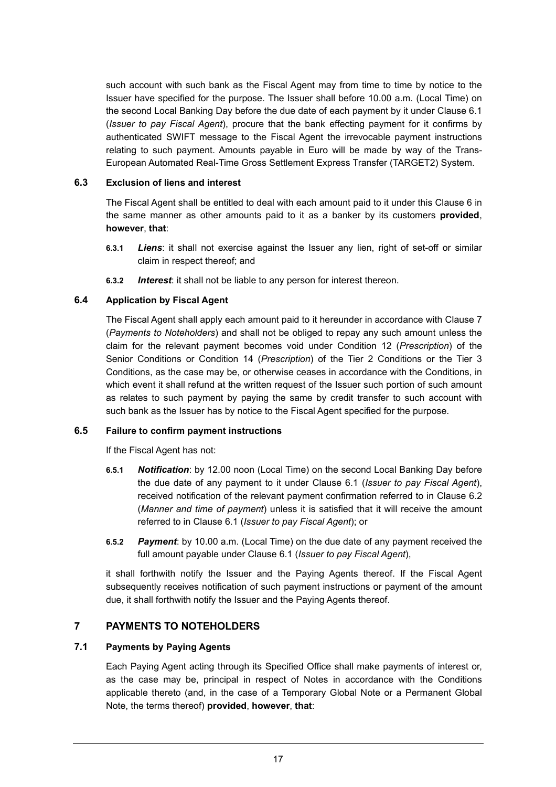such account with such bank as the Fiscal Agent may from time to time by notice to the Issuer have specified for the purpose. The Issuer shall before 10.00 a.m. (Local Time) on the second Local Banking Day before the due date of each payment by it under Clause 6.1 (*Issuer to pay Fiscal Agent*), procure that the bank effecting payment for it confirms by authenticated SWIFT message to the Fiscal Agent the irrevocable payment instructions relating to such payment. Amounts payable in Euro will be made by way of the Trans-European Automated Real-Time Gross Settlement Express Transfer (TARGET2) System.

### **6.3 Exclusion of liens and interest**

The Fiscal Agent shall be entitled to deal with each amount paid to it under this Clause 6 in the same manner as other amounts paid to it as a banker by its customers **provided**, **however**, **that**:

- **6.3.1** *Liens*: it shall not exercise against the Issuer any lien, right of set-off or similar claim in respect thereof; and
- **6.3.2** *Interest*: it shall not be liable to any person for interest thereon.

# **6.4 Application by Fiscal Agent**

The Fiscal Agent shall apply each amount paid to it hereunder in accordance with Clause 7 (*Payments to Noteholders*) and shall not be obliged to repay any such amount unless the claim for the relevant payment becomes void under Condition 12 (*Prescription*) of the Senior Conditions or Condition 14 (*Prescription*) of the Tier 2 Conditions or the Tier 3 Conditions, as the case may be, or otherwise ceases in accordance with the Conditions, in which event it shall refund at the written request of the Issuer such portion of such amount as relates to such payment by paying the same by credit transfer to such account with such bank as the Issuer has by notice to the Fiscal Agent specified for the purpose.

#### **6.5 Failure to confirm payment instructions**

If the Fiscal Agent has not:

- **6.5.1** *Notification*: by 12.00 noon (Local Time) on the second Local Banking Day before the due date of any payment to it under Clause 6.1 (*Issuer to pay Fiscal Agent*), received notification of the relevant payment confirmation referred to in Clause 6.2 (*Manner and time of payment*) unless it is satisfied that it will receive the amount referred to in Clause 6.1 (*Issuer to pay Fiscal Agent*); or
- **6.5.2** *Payment*: by 10.00 a.m. (Local Time) on the due date of any payment received the full amount payable under Clause 6.1 (*Issuer to pay Fiscal Agent*),

it shall forthwith notify the Issuer and the Paying Agents thereof. If the Fiscal Agent subsequently receives notification of such payment instructions or payment of the amount due, it shall forthwith notify the Issuer and the Paying Agents thereof.

# **7 PAYMENTS TO NOTEHOLDERS**

# **7.1 Payments by Paying Agents**

Each Paying Agent acting through its Specified Office shall make payments of interest or, as the case may be, principal in respect of Notes in accordance with the Conditions applicable thereto (and, in the case of a Temporary Global Note or a Permanent Global Note, the terms thereof) **provided**, **however**, **that**: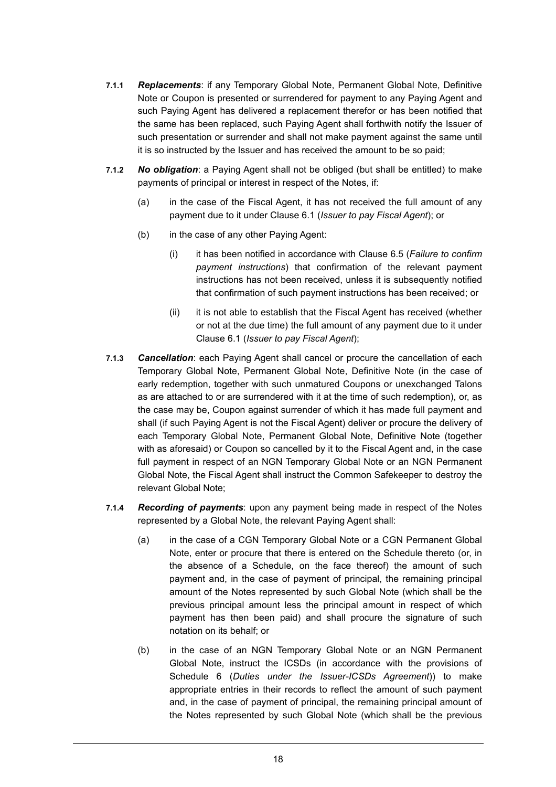- **7.1.1** *Replacements*: if any Temporary Global Note, Permanent Global Note, Definitive Note or Coupon is presented or surrendered for payment to any Paying Agent and such Paying Agent has delivered a replacement therefor or has been notified that the same has been replaced, such Paying Agent shall forthwith notify the Issuer of such presentation or surrender and shall not make payment against the same until it is so instructed by the Issuer and has received the amount to be so paid;
- **7.1.2** *No obligation*: a Paying Agent shall not be obliged (but shall be entitled) to make payments of principal or interest in respect of the Notes, if:
	- (a) in the case of the Fiscal Agent, it has not received the full amount of any payment due to it under Clause 6.1 (*Issuer to pay Fiscal Agent*); or
	- (b) in the case of any other Paying Agent:
		- (i) it has been notified in accordance with Clause 6.5 (*Failure to confirm payment instructions*) that confirmation of the relevant payment instructions has not been received, unless it is subsequently notified that confirmation of such payment instructions has been received; or
		- (ii) it is not able to establish that the Fiscal Agent has received (whether or not at the due time) the full amount of any payment due to it under Clause 6.1 (*Issuer to pay Fiscal Agent*);
- **7.1.3** *Cancellation*: each Paying Agent shall cancel or procure the cancellation of each Temporary Global Note, Permanent Global Note, Definitive Note (in the case of early redemption, together with such unmatured Coupons or unexchanged Talons as are attached to or are surrendered with it at the time of such redemption), or, as the case may be, Coupon against surrender of which it has made full payment and shall (if such Paying Agent is not the Fiscal Agent) deliver or procure the delivery of each Temporary Global Note, Permanent Global Note, Definitive Note (together with as aforesaid) or Coupon so cancelled by it to the Fiscal Agent and, in the case full payment in respect of an NGN Temporary Global Note or an NGN Permanent Global Note, the Fiscal Agent shall instruct the Common Safekeeper to destroy the relevant Global Note;
- **7.1.4** *Recording of payments*: upon any payment being made in respect of the Notes represented by a Global Note, the relevant Paying Agent shall:
	- (a) in the case of a CGN Temporary Global Note or a CGN Permanent Global Note, enter or procure that there is entered on the Schedule thereto (or, in the absence of a Schedule, on the face thereof) the amount of such payment and, in the case of payment of principal, the remaining principal amount of the Notes represented by such Global Note (which shall be the previous principal amount less the principal amount in respect of which payment has then been paid) and shall procure the signature of such notation on its behalf; or
	- (b) in the case of an NGN Temporary Global Note or an NGN Permanent Global Note, instruct the ICSDs (in accordance with the provisions of Schedule 6 (*Duties under the Issuer-ICSDs Agreement*)) to make appropriate entries in their records to reflect the amount of such payment and, in the case of payment of principal, the remaining principal amount of the Notes represented by such Global Note (which shall be the previous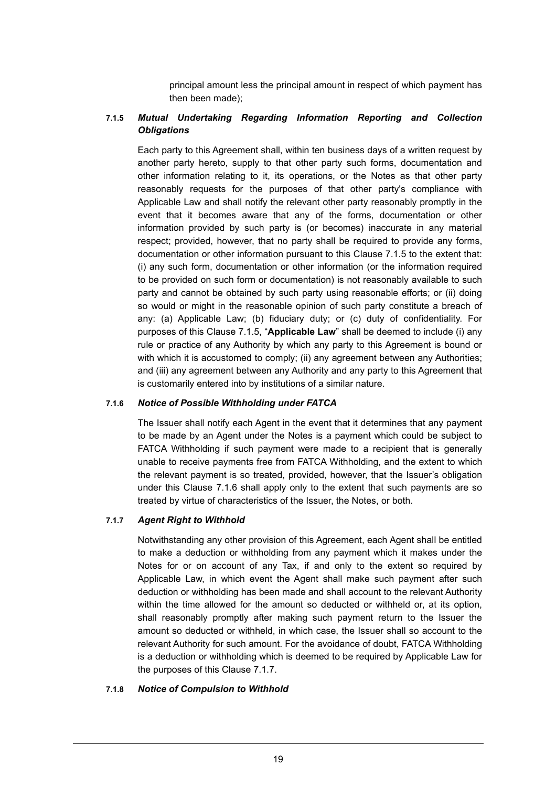principal amount less the principal amount in respect of which payment has then been made);

# **7.1.5** *Mutual Undertaking Regarding Information Reporting and Collection Obligations*

Each party to this Agreement shall, within ten business days of a written request by another party hereto, supply to that other party such forms, documentation and other information relating to it, its operations, or the Notes as that other party reasonably requests for the purposes of that other party's compliance with Applicable Law and shall notify the relevant other party reasonably promptly in the event that it becomes aware that any of the forms, documentation or other information provided by such party is (or becomes) inaccurate in any material respect; provided, however, that no party shall be required to provide any forms, documentation or other information pursuant to this Clause 7.1.5 to the extent that: (i) any such form, documentation or other information (or the information required to be provided on such form or documentation) is not reasonably available to such party and cannot be obtained by such party using reasonable efforts; or (ii) doing so would or might in the reasonable opinion of such party constitute a breach of any: (a) Applicable Law; (b) fiduciary duty; or (c) duty of confidentiality. For purposes of this Clause 7.1.5, "**Applicable Law**" shall be deemed to include (i) any rule or practice of any Authority by which any party to this Agreement is bound or with which it is accustomed to comply; (ii) any agreement between any Authorities; and (iii) any agreement between any Authority and any party to this Agreement that is customarily entered into by institutions of a similar nature.

#### **7.1.6** *Notice of Possible Withholding under FATCA*

The Issuer shall notify each Agent in the event that it determines that any payment to be made by an Agent under the Notes is a payment which could be subject to FATCA Withholding if such payment were made to a recipient that is generally unable to receive payments free from FATCA Withholding, and the extent to which the relevant payment is so treated, provided, however, that the Issuer's obligation under this Clause 7.1.6 shall apply only to the extent that such payments are so treated by virtue of characteristics of the Issuer, the Notes, or both.

# **7.1.7** *Agent Right to Withhold*

Notwithstanding any other provision of this Agreement, each Agent shall be entitled to make a deduction or withholding from any payment which it makes under the Notes for or on account of any Tax, if and only to the extent so required by Applicable Law, in which event the Agent shall make such payment after such deduction or withholding has been made and shall account to the relevant Authority within the time allowed for the amount so deducted or withheld or, at its option, shall reasonably promptly after making such payment return to the Issuer the amount so deducted or withheld, in which case, the Issuer shall so account to the relevant Authority for such amount. For the avoidance of doubt, FATCA Withholding is a deduction or withholding which is deemed to be required by Applicable Law for the purposes of this Clause 7.1.7.

#### **7.1.8** *Notice of Compulsion to Withhold*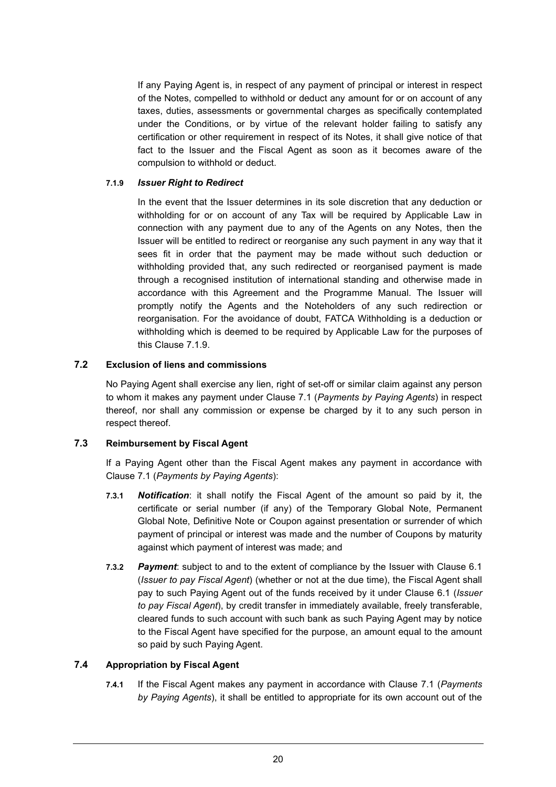If any Paying Agent is, in respect of any payment of principal or interest in respect of the Notes, compelled to withhold or deduct any amount for or on account of any taxes, duties, assessments or governmental charges as specifically contemplated under the Conditions, or by virtue of the relevant holder failing to satisfy any certification or other requirement in respect of its Notes, it shall give notice of that fact to the Issuer and the Fiscal Agent as soon as it becomes aware of the compulsion to withhold or deduct.

### **7.1.9** *Issuer Right to Redirect*

In the event that the Issuer determines in its sole discretion that any deduction or withholding for or on account of any Tax will be required by Applicable Law in connection with any payment due to any of the Agents on any Notes, then the Issuer will be entitled to redirect or reorganise any such payment in any way that it sees fit in order that the payment may be made without such deduction or withholding provided that, any such redirected or reorganised payment is made through a recognised institution of international standing and otherwise made in accordance with this Agreement and the Programme Manual. The Issuer will promptly notify the Agents and the Noteholders of any such redirection or reorganisation. For the avoidance of doubt, FATCA Withholding is a deduction or withholding which is deemed to be required by Applicable Law for the purposes of this Clause 7.1.9.

### **7.2 Exclusion of liens and commissions**

No Paying Agent shall exercise any lien, right of set-off or similar claim against any person to whom it makes any payment under Clause 7.1 (*Payments by Paying Agents*) in respect thereof, nor shall any commission or expense be charged by it to any such person in respect thereof.

#### **7.3 Reimbursement by Fiscal Agent**

If a Paying Agent other than the Fiscal Agent makes any payment in accordance with Clause 7.1 (*Payments by Paying Agents*):

- **7.3.1** *Notification*: it shall notify the Fiscal Agent of the amount so paid by it, the certificate or serial number (if any) of the Temporary Global Note, Permanent Global Note, Definitive Note or Coupon against presentation or surrender of which payment of principal or interest was made and the number of Coupons by maturity against which payment of interest was made; and
- **7.3.2** *Payment*: subject to and to the extent of compliance by the Issuer with Clause 6.1 (*Issuer to pay Fiscal Agent*) (whether or not at the due time), the Fiscal Agent shall pay to such Paying Agent out of the funds received by it under Clause 6.1 (*Issuer to pay Fiscal Agent*), by credit transfer in immediately available, freely transferable, cleared funds to such account with such bank as such Paying Agent may by notice to the Fiscal Agent have specified for the purpose, an amount equal to the amount so paid by such Paying Agent.

# **7.4 Appropriation by Fiscal Agent**

**7.4.1** If the Fiscal Agent makes any payment in accordance with Clause 7.1 (*Payments by Paying Agents*), it shall be entitled to appropriate for its own account out of the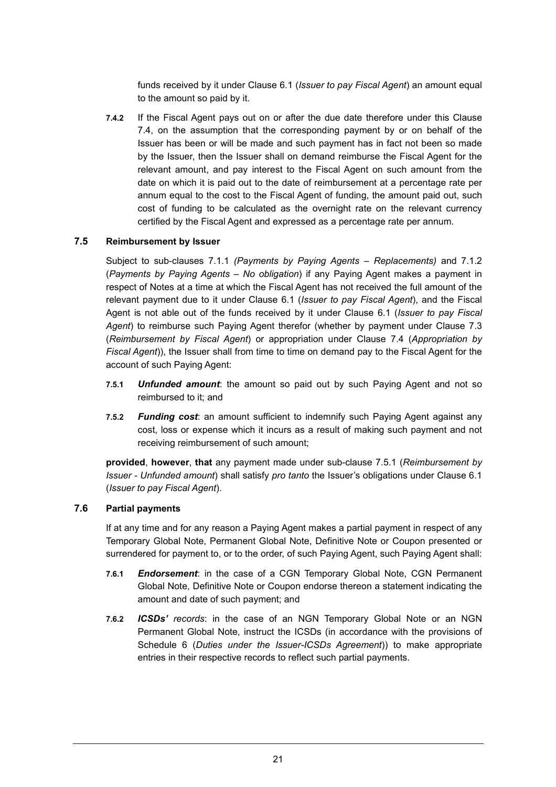funds received by it under Clause 6.1 (*Issuer to pay Fiscal Agent*) an amount equal to the amount so paid by it.

**7.4.2** If the Fiscal Agent pays out on or after the due date therefore under this Clause 7.4, on the assumption that the corresponding payment by or on behalf of the Issuer has been or will be made and such payment has in fact not been so made by the Issuer, then the Issuer shall on demand reimburse the Fiscal Agent for the relevant amount, and pay interest to the Fiscal Agent on such amount from the date on which it is paid out to the date of reimbursement at a percentage rate per annum equal to the cost to the Fiscal Agent of funding, the amount paid out, such cost of funding to be calculated as the overnight rate on the relevant currency certified by the Fiscal Agent and expressed as a percentage rate per annum.

### **7.5 Reimbursement by Issuer**

Subject to sub-clauses 7.1.1 *(Payments by Paying Agents – Replacements)* and 7.1.2 (*Payments by Paying Agents – No obligation*) if any Paying Agent makes a payment in respect of Notes at a time at which the Fiscal Agent has not received the full amount of the relevant payment due to it under Clause 6.1 (*Issuer to pay Fiscal Agent*), and the Fiscal Agent is not able out of the funds received by it under Clause 6.1 (*Issuer to pay Fiscal Agent*) to reimburse such Paying Agent therefor (whether by payment under Clause 7.3 (*Reimbursement by Fiscal Agent*) or appropriation under Clause 7.4 (*Appropriation by Fiscal Agent*)), the Issuer shall from time to time on demand pay to the Fiscal Agent for the account of such Paying Agent:

- **7.5.1** *Unfunded amount*: the amount so paid out by such Paying Agent and not so reimbursed to it; and
- **7.5.2** *Funding cost*: an amount sufficient to indemnify such Paying Agent against any cost, loss or expense which it incurs as a result of making such payment and not receiving reimbursement of such amount;

**provided**, **however**, **that** any payment made under sub-clause 7.5.1 (*Reimbursement by Issuer - Unfunded amount*) shall satisfy *pro tanto* the Issuer's obligations under Clause 6.1 (*Issuer to pay Fiscal Agent*).

### **7.6 Partial payments**

If at any time and for any reason a Paying Agent makes a partial payment in respect of any Temporary Global Note, Permanent Global Note, Definitive Note or Coupon presented or surrendered for payment to, or to the order, of such Paying Agent, such Paying Agent shall:

- **7.6.1** *Endorsement*: in the case of a CGN Temporary Global Note, CGN Permanent Global Note, Definitive Note or Coupon endorse thereon a statement indicating the amount and date of such payment; and
- **7.6.2** *ICSDs' records*: in the case of an NGN Temporary Global Note or an NGN Permanent Global Note, instruct the ICSDs (in accordance with the provisions of Schedule 6 (*Duties under the Issuer-ICSDs Agreement*)) to make appropriate entries in their respective records to reflect such partial payments.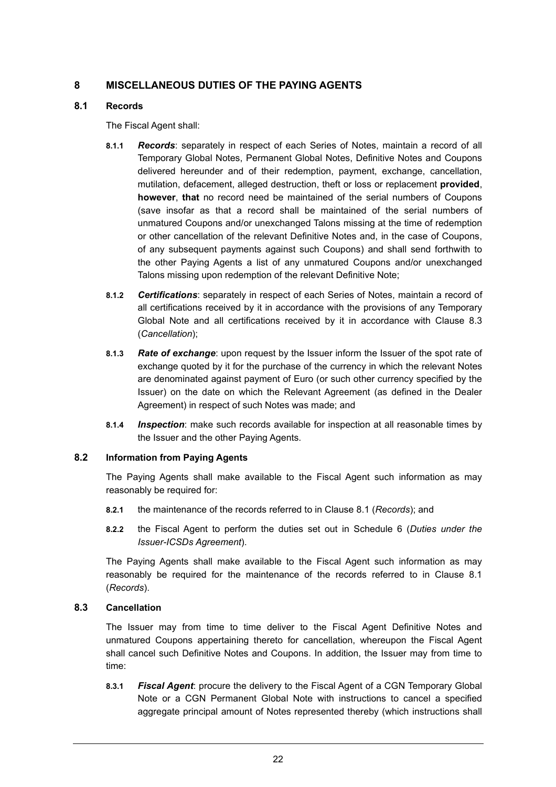# **8 MISCELLANEOUS DUTIES OF THE PAYING AGENTS**

### **8.1 Records**

The Fiscal Agent shall:

- **8.1.1** *Records*: separately in respect of each Series of Notes, maintain a record of all Temporary Global Notes, Permanent Global Notes, Definitive Notes and Coupons delivered hereunder and of their redemption, payment, exchange, cancellation, mutilation, defacement, alleged destruction, theft or loss or replacement **provided**, **however**, **that** no record need be maintained of the serial numbers of Coupons (save insofar as that a record shall be maintained of the serial numbers of unmatured Coupons and/or unexchanged Talons missing at the time of redemption or other cancellation of the relevant Definitive Notes and, in the case of Coupons, of any subsequent payments against such Coupons) and shall send forthwith to the other Paying Agents a list of any unmatured Coupons and/or unexchanged Talons missing upon redemption of the relevant Definitive Note;
- **8.1.2** *Certifications*: separately in respect of each Series of Notes, maintain a record of all certifications received by it in accordance with the provisions of any Temporary Global Note and all certifications received by it in accordance with Clause 8.3 (*Cancellation*);
- **8.1.3** *Rate of exchange*: upon request by the Issuer inform the Issuer of the spot rate of exchange quoted by it for the purchase of the currency in which the relevant Notes are denominated against payment of Euro (or such other currency specified by the Issuer) on the date on which the Relevant Agreement (as defined in the Dealer Agreement) in respect of such Notes was made; and
- **8.1.4** *Inspection*: make such records available for inspection at all reasonable times by the Issuer and the other Paying Agents.

# **8.2 Information from Paying Agents**

The Paying Agents shall make available to the Fiscal Agent such information as may reasonably be required for:

- **8.2.1** the maintenance of the records referred to in Clause 8.1 (*Records*); and
- **8.2.2** the Fiscal Agent to perform the duties set out in Schedule 6 (*Duties under the Issuer-ICSDs Agreement*).

The Paying Agents shall make available to the Fiscal Agent such information as may reasonably be required for the maintenance of the records referred to in Clause 8.1 (*Records*).

# **8.3 Cancellation**

The Issuer may from time to time deliver to the Fiscal Agent Definitive Notes and unmatured Coupons appertaining thereto for cancellation, whereupon the Fiscal Agent shall cancel such Definitive Notes and Coupons. In addition, the Issuer may from time to time:

**8.3.1** *Fiscal Agent*: procure the delivery to the Fiscal Agent of a CGN Temporary Global Note or a CGN Permanent Global Note with instructions to cancel a specified aggregate principal amount of Notes represented thereby (which instructions shall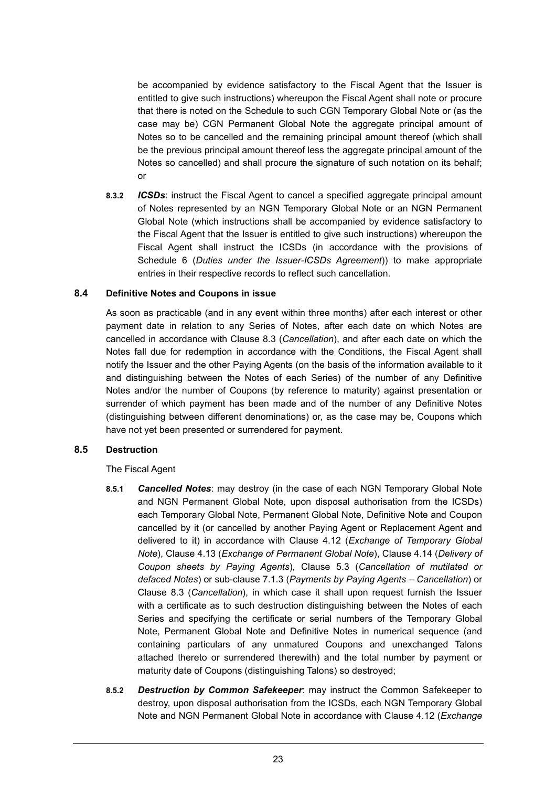be accompanied by evidence satisfactory to the Fiscal Agent that the Issuer is entitled to give such instructions) whereupon the Fiscal Agent shall note or procure that there is noted on the Schedule to such CGN Temporary Global Note or (as the case may be) CGN Permanent Global Note the aggregate principal amount of Notes so to be cancelled and the remaining principal amount thereof (which shall be the previous principal amount thereof less the aggregate principal amount of the Notes so cancelled) and shall procure the signature of such notation on its behalf; or

**8.3.2** *ICSDs*: instruct the Fiscal Agent to cancel a specified aggregate principal amount of Notes represented by an NGN Temporary Global Note or an NGN Permanent Global Note (which instructions shall be accompanied by evidence satisfactory to the Fiscal Agent that the Issuer is entitled to give such instructions) whereupon the Fiscal Agent shall instruct the ICSDs (in accordance with the provisions of Schedule 6 (*Duties under the Issuer-ICSDs Agreement*)) to make appropriate entries in their respective records to reflect such cancellation.

#### **8.4 Definitive Notes and Coupons in issue**

As soon as practicable (and in any event within three months) after each interest or other payment date in relation to any Series of Notes, after each date on which Notes are cancelled in accordance with Clause 8.3 (*Cancellation*), and after each date on which the Notes fall due for redemption in accordance with the Conditions, the Fiscal Agent shall notify the Issuer and the other Paying Agents (on the basis of the information available to it and distinguishing between the Notes of each Series) of the number of any Definitive Notes and/or the number of Coupons (by reference to maturity) against presentation or surrender of which payment has been made and of the number of any Definitive Notes (distinguishing between different denominations) or, as the case may be, Coupons which have not yet been presented or surrendered for payment.

#### **8.5 Destruction**

The Fiscal Agent

- **8.5.1** *Cancelled Notes*: may destroy (in the case of each NGN Temporary Global Note and NGN Permanent Global Note, upon disposal authorisation from the ICSDs) each Temporary Global Note, Permanent Global Note, Definitive Note and Coupon cancelled by it (or cancelled by another Paying Agent or Replacement Agent and delivered to it) in accordance with Clause 4.12 (*Exchange of Temporary Global Note*), Clause 4.13 (*Exchange of Permanent Global Note*), Clause 4.14 (*Delivery of Coupon sheets by Paying Agents*), Clause 5.3 (*Cancellation of mutilated or defaced Notes*) or sub-clause 7.1.3 (*Payments by Paying Agents* – *Cancellation*) or Clause 8.3 (*Cancellation*), in which case it shall upon request furnish the Issuer with a certificate as to such destruction distinguishing between the Notes of each Series and specifying the certificate or serial numbers of the Temporary Global Note, Permanent Global Note and Definitive Notes in numerical sequence (and containing particulars of any unmatured Coupons and unexchanged Talons attached thereto or surrendered therewith) and the total number by payment or maturity date of Coupons (distinguishing Talons) so destroyed;
- **8.5.2** *Destruction by Common Safekeeper*: may instruct the Common Safekeeper to destroy, upon disposal authorisation from the ICSDs, each NGN Temporary Global Note and NGN Permanent Global Note in accordance with Clause 4.12 (*Exchange*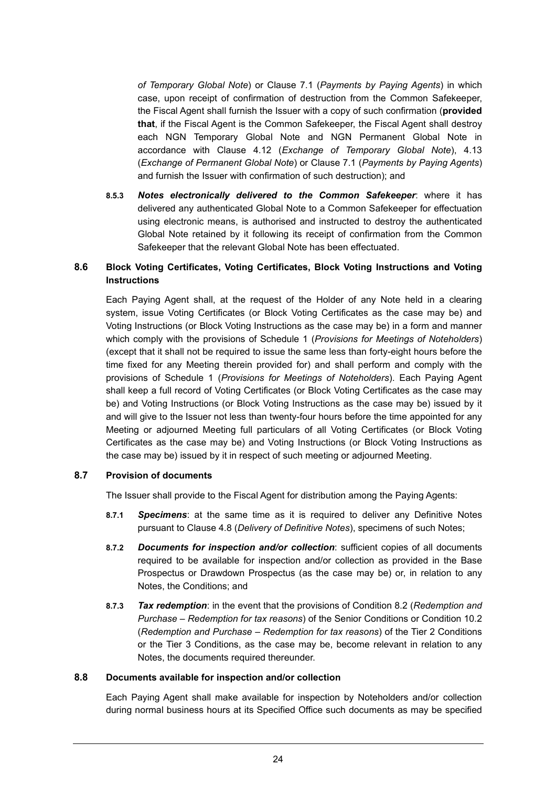*of Temporary Global Note*) or Clause 7.1 (*Payments by Paying Agents*) in which case, upon receipt of confirmation of destruction from the Common Safekeeper, the Fiscal Agent shall furnish the Issuer with a copy of such confirmation (**provided that**, if the Fiscal Agent is the Common Safekeeper, the Fiscal Agent shall destroy each NGN Temporary Global Note and NGN Permanent Global Note in accordance with Clause 4.12 (*Exchange of Temporary Global Note*), 4.13 (*Exchange of Permanent Global Note*) or Clause 7.1 (*Payments by Paying Agents*) and furnish the Issuer with confirmation of such destruction); and

**8.5.3** *Notes electronically delivered to the Common Safekeeper*: where it has delivered any authenticated Global Note to a Common Safekeeper for effectuation using electronic means, is authorised and instructed to destroy the authenticated Global Note retained by it following its receipt of confirmation from the Common Safekeeper that the relevant Global Note has been effectuated.

# **8.6 Block Voting Certificates, Voting Certificates, Block Voting Instructions and Voting Instructions**

Each Paying Agent shall, at the request of the Holder of any Note held in a clearing system, issue Voting Certificates (or Block Voting Certificates as the case may be) and Voting Instructions (or Block Voting Instructions as the case may be) in a form and manner which comply with the provisions of Schedule 1 (*Provisions for Meetings of Noteholders*) (except that it shall not be required to issue the same less than forty-eight hours before the time fixed for any Meeting therein provided for) and shall perform and comply with the provisions of Schedule 1 (*Provisions for Meetings of Noteholders*). Each Paying Agent shall keep a full record of Voting Certificates (or Block Voting Certificates as the case may be) and Voting Instructions (or Block Voting Instructions as the case may be) issued by it and will give to the Issuer not less than twenty-four hours before the time appointed for any Meeting or adjourned Meeting full particulars of all Voting Certificates (or Block Voting Certificates as the case may be) and Voting Instructions (or Block Voting Instructions as the case may be) issued by it in respect of such meeting or adjourned Meeting.

### **8.7 Provision of documents**

The Issuer shall provide to the Fiscal Agent for distribution among the Paying Agents:

- **8.7.1** *Specimens*: at the same time as it is required to deliver any Definitive Notes pursuant to Clause 4.8 (*Delivery of Definitive Notes*), specimens of such Notes;
- **8.7.2** *Documents for inspection and/or collection*: sufficient copies of all documents required to be available for inspection and/or collection as provided in the Base Prospectus or Drawdown Prospectus (as the case may be) or, in relation to any Notes, the Conditions; and
- **8.7.3** *Tax redemption*: in the event that the provisions of Condition 8.2 (*Redemption and Purchase – Redemption for tax reasons*) of the Senior Conditions or Condition 10.2 (*Redemption and Purchase – Redemption for tax reasons*) of the Tier 2 Conditions or the Tier 3 Conditions, as the case may be, become relevant in relation to any Notes, the documents required thereunder.

#### **8.8 Documents available for inspection and/or collection**

Each Paying Agent shall make available for inspection by Noteholders and/or collection during normal business hours at its Specified Office such documents as may be specified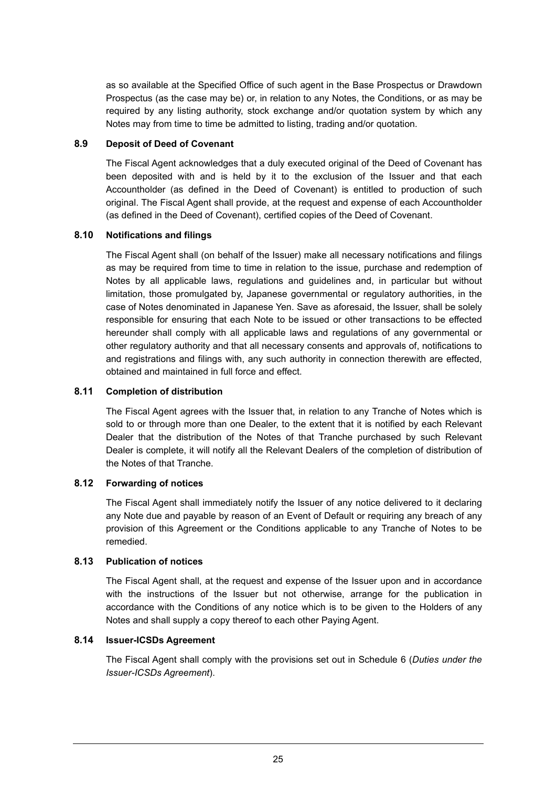as so available at the Specified Office of such agent in the Base Prospectus or Drawdown Prospectus (as the case may be) or, in relation to any Notes, the Conditions, or as may be required by any listing authority, stock exchange and/or quotation system by which any Notes may from time to time be admitted to listing, trading and/or quotation.

### **8.9 Deposit of Deed of Covenant**

The Fiscal Agent acknowledges that a duly executed original of the Deed of Covenant has been deposited with and is held by it to the exclusion of the Issuer and that each Accountholder (as defined in the Deed of Covenant) is entitled to production of such original. The Fiscal Agent shall provide, at the request and expense of each Accountholder (as defined in the Deed of Covenant), certified copies of the Deed of Covenant.

# **8.10 Notifications and filings**

The Fiscal Agent shall (on behalf of the Issuer) make all necessary notifications and filings as may be required from time to time in relation to the issue, purchase and redemption of Notes by all applicable laws, regulations and guidelines and, in particular but without limitation, those promulgated by, Japanese governmental or regulatory authorities, in the case of Notes denominated in Japanese Yen. Save as aforesaid, the Issuer, shall be solely responsible for ensuring that each Note to be issued or other transactions to be effected hereunder shall comply with all applicable laws and regulations of any governmental or other regulatory authority and that all necessary consents and approvals of, notifications to and registrations and filings with, any such authority in connection therewith are effected, obtained and maintained in full force and effect.

### **8.11 Completion of distribution**

The Fiscal Agent agrees with the Issuer that, in relation to any Tranche of Notes which is sold to or through more than one Dealer, to the extent that it is notified by each Relevant Dealer that the distribution of the Notes of that Tranche purchased by such Relevant Dealer is complete, it will notify all the Relevant Dealers of the completion of distribution of the Notes of that Tranche.

# **8.12 Forwarding of notices**

The Fiscal Agent shall immediately notify the Issuer of any notice delivered to it declaring any Note due and payable by reason of an Event of Default or requiring any breach of any provision of this Agreement or the Conditions applicable to any Tranche of Notes to be remedied.

#### **8.13 Publication of notices**

The Fiscal Agent shall, at the request and expense of the Issuer upon and in accordance with the instructions of the Issuer but not otherwise, arrange for the publication in accordance with the Conditions of any notice which is to be given to the Holders of any Notes and shall supply a copy thereof to each other Paying Agent.

#### **8.14 Issuer-ICSDs Agreement**

The Fiscal Agent shall comply with the provisions set out in Schedule 6 (*Duties under the Issuer-ICSDs Agreement*).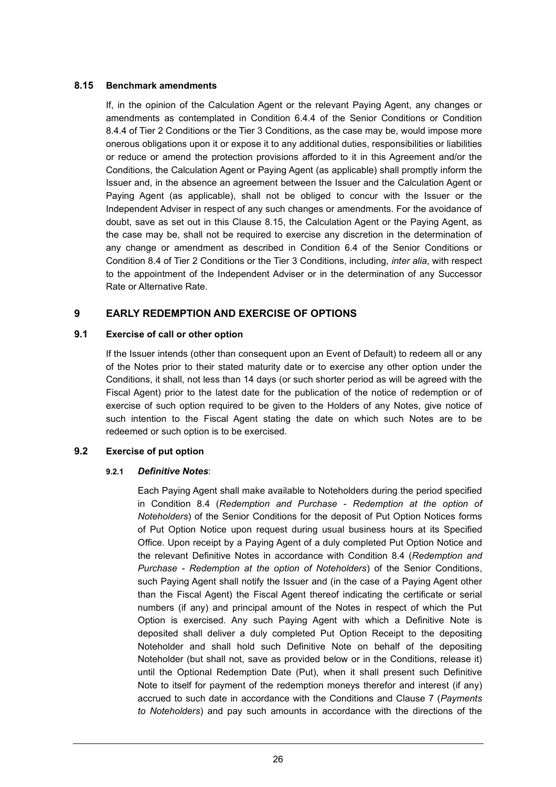### **8.15 Benchmark amendments**

If, in the opinion of the Calculation Agent or the relevant Paying Agent, any changes or amendments as contemplated in Condition 6.4.4 of the Senior Conditions or Condition 8.4.4 of Tier 2 Conditions or the Tier 3 Conditions, as the case may be, would impose more onerous obligations upon it or expose it to any additional duties, responsibilities or liabilities or reduce or amend the protection provisions afforded to it in this Agreement and/or the Conditions, the Calculation Agent or Paying Agent (as applicable) shall promptly inform the Issuer and, in the absence an agreement between the Issuer and the Calculation Agent or Paying Agent (as applicable), shall not be obliged to concur with the Issuer or the Independent Adviser in respect of any such changes or amendments. For the avoidance of doubt, save as set out in this Clause 8.15, the Calculation Agent or the Paying Agent, as the case may be, shall not be required to exercise any discretion in the determination of any change or amendment as described in Condition 6.4 of the Senior Conditions or Condition 8.4 of Tier 2 Conditions or the Tier 3 Conditions, including, *inter alia*, with respect to the appointment of the Independent Adviser or in the determination of any Successor Rate or Alternative Rate.

# **9 EARLY REDEMPTION AND EXERCISE OF OPTIONS**

### **9.1 Exercise of call or other option**

If the Issuer intends (other than consequent upon an Event of Default) to redeem all or any of the Notes prior to their stated maturity date or to exercise any other option under the Conditions, it shall, not less than 14 days (or such shorter period as will be agreed with the Fiscal Agent) prior to the latest date for the publication of the notice of redemption or of exercise of such option required to be given to the Holders of any Notes, give notice of such intention to the Fiscal Agent stating the date on which such Notes are to be redeemed or such option is to be exercised.

# **9.2 Exercise of put option**

#### **9.2.1** *Definitive Notes*:

Each Paying Agent shall make available to Noteholders during the period specified in Condition 8.4 (*Redemption and Purchase - Redemption at the option of Noteholders*) of the Senior Conditions for the deposit of Put Option Notices forms of Put Option Notice upon request during usual business hours at its Specified Office. Upon receipt by a Paying Agent of a duly completed Put Option Notice and the relevant Definitive Notes in accordance with Condition 8.4 (*Redemption and Purchase - Redemption at the option of Noteholders*) of the Senior Conditions, such Paying Agent shall notify the Issuer and (in the case of a Paying Agent other than the Fiscal Agent) the Fiscal Agent thereof indicating the certificate or serial numbers (if any) and principal amount of the Notes in respect of which the Put Option is exercised. Any such Paying Agent with which a Definitive Note is deposited shall deliver a duly completed Put Option Receipt to the depositing Noteholder and shall hold such Definitive Note on behalf of the depositing Noteholder (but shall not, save as provided below or in the Conditions, release it) until the Optional Redemption Date (Put), when it shall present such Definitive Note to itself for payment of the redemption moneys therefor and interest (if any) accrued to such date in accordance with the Conditions and Clause 7 (*Payments to Noteholders*) and pay such amounts in accordance with the directions of the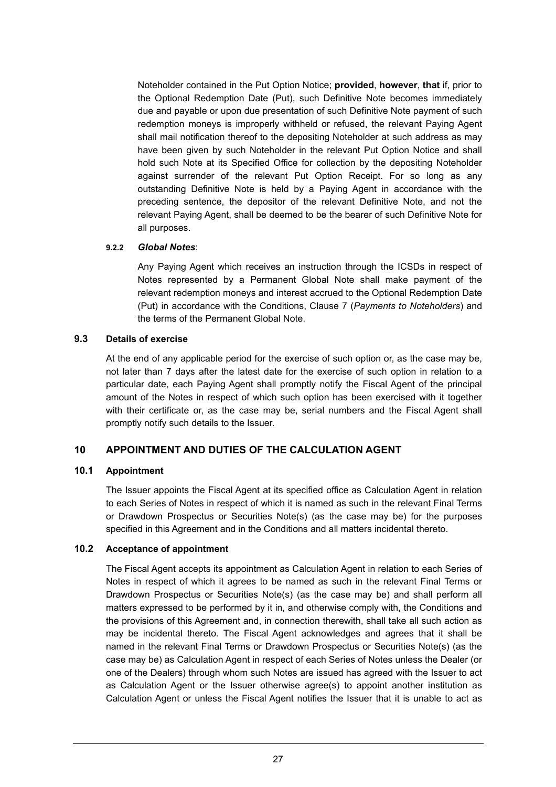Noteholder contained in the Put Option Notice; **provided**, **however**, **that** if, prior to the Optional Redemption Date (Put), such Definitive Note becomes immediately due and payable or upon due presentation of such Definitive Note payment of such redemption moneys is improperly withheld or refused, the relevant Paying Agent shall mail notification thereof to the depositing Noteholder at such address as may have been given by such Noteholder in the relevant Put Option Notice and shall hold such Note at its Specified Office for collection by the depositing Noteholder against surrender of the relevant Put Option Receipt. For so long as any outstanding Definitive Note is held by a Paying Agent in accordance with the preceding sentence, the depositor of the relevant Definitive Note, and not the relevant Paying Agent, shall be deemed to be the bearer of such Definitive Note for all purposes.

### **9.2.2** *Global Notes*:

Any Paying Agent which receives an instruction through the ICSDs in respect of Notes represented by a Permanent Global Note shall make payment of the relevant redemption moneys and interest accrued to the Optional Redemption Date (Put) in accordance with the Conditions, Clause 7 (*Payments to Noteholders*) and the terms of the Permanent Global Note.

### **9.3 Details of exercise**

At the end of any applicable period for the exercise of such option or, as the case may be, not later than 7 days after the latest date for the exercise of such option in relation to a particular date, each Paying Agent shall promptly notify the Fiscal Agent of the principal amount of the Notes in respect of which such option has been exercised with it together with their certificate or, as the case may be, serial numbers and the Fiscal Agent shall promptly notify such details to the Issuer.

# **10 APPOINTMENT AND DUTIES OF THE CALCULATION AGENT**

# **10.1 Appointment**

The Issuer appoints the Fiscal Agent at its specified office as Calculation Agent in relation to each Series of Notes in respect of which it is named as such in the relevant Final Terms or Drawdown Prospectus or Securities Note(s) (as the case may be) for the purposes specified in this Agreement and in the Conditions and all matters incidental thereto.

# **10.2 Acceptance of appointment**

The Fiscal Agent accepts its appointment as Calculation Agent in relation to each Series of Notes in respect of which it agrees to be named as such in the relevant Final Terms or Drawdown Prospectus or Securities Note(s) (as the case may be) and shall perform all matters expressed to be performed by it in, and otherwise comply with, the Conditions and the provisions of this Agreement and, in connection therewith, shall take all such action as may be incidental thereto. The Fiscal Agent acknowledges and agrees that it shall be named in the relevant Final Terms or Drawdown Prospectus or Securities Note(s) (as the case may be) as Calculation Agent in respect of each Series of Notes unless the Dealer (or one of the Dealers) through whom such Notes are issued has agreed with the Issuer to act as Calculation Agent or the Issuer otherwise agree(s) to appoint another institution as Calculation Agent or unless the Fiscal Agent notifies the Issuer that it is unable to act as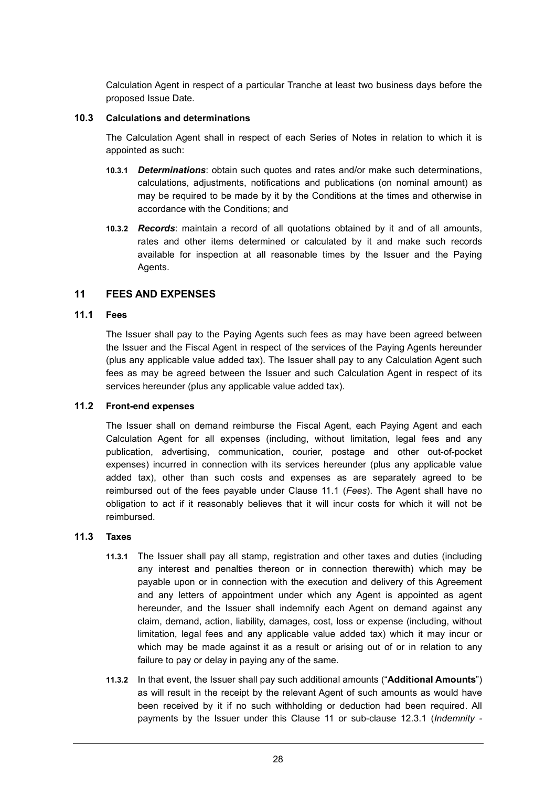Calculation Agent in respect of a particular Tranche at least two business days before the proposed Issue Date.

#### **10.3 Calculations and determinations**

The Calculation Agent shall in respect of each Series of Notes in relation to which it is appointed as such:

- **10.3.1** *Determinations*: obtain such quotes and rates and/or make such determinations, calculations, adjustments, notifications and publications (on nominal amount) as may be required to be made by it by the Conditions at the times and otherwise in accordance with the Conditions; and
- **10.3.2** *Records*: maintain a record of all quotations obtained by it and of all amounts, rates and other items determined or calculated by it and make such records available for inspection at all reasonable times by the Issuer and the Paying Agents.

### **11 FEES AND EXPENSES**

### **11.1 Fees**

The Issuer shall pay to the Paying Agents such fees as may have been agreed between the Issuer and the Fiscal Agent in respect of the services of the Paying Agents hereunder (plus any applicable value added tax). The Issuer shall pay to any Calculation Agent such fees as may be agreed between the Issuer and such Calculation Agent in respect of its services hereunder (plus any applicable value added tax).

#### **11.2 Front-end expenses**

The Issuer shall on demand reimburse the Fiscal Agent, each Paying Agent and each Calculation Agent for all expenses (including, without limitation, legal fees and any publication, advertising, communication, courier, postage and other out-of-pocket expenses) incurred in connection with its services hereunder (plus any applicable value added tax), other than such costs and expenses as are separately agreed to be reimbursed out of the fees payable under Clause 11.1 (*Fees*). The Agent shall have no obligation to act if it reasonably believes that it will incur costs for which it will not be reimbursed.

#### **11.3 Taxes**

- **11.3.1** The Issuer shall pay all stamp, registration and other taxes and duties (including any interest and penalties thereon or in connection therewith) which may be payable upon or in connection with the execution and delivery of this Agreement and any letters of appointment under which any Agent is appointed as agent hereunder, and the Issuer shall indemnify each Agent on demand against any claim, demand, action, liability, damages, cost, loss or expense (including, without limitation, legal fees and any applicable value added tax) which it may incur or which may be made against it as a result or arising out of or in relation to any failure to pay or delay in paying any of the same.
- **11.3.2** In that event, the Issuer shall pay such additional amounts ("**Additional Amounts**") as will result in the receipt by the relevant Agent of such amounts as would have been received by it if no such withholding or deduction had been required. All payments by the Issuer under this Clause 11 or sub-clause 12.3.1 (*Indemnity -*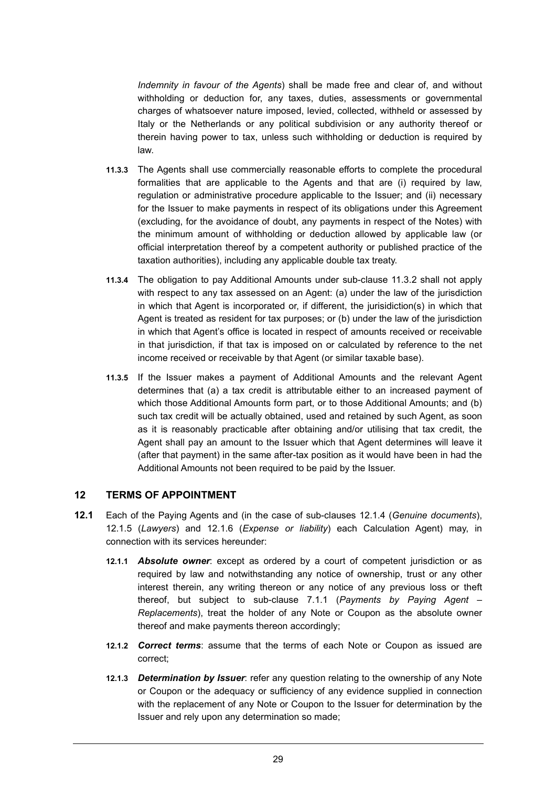*Indemnity in favour of the Agents*) shall be made free and clear of, and without withholding or deduction for, any taxes, duties, assessments or governmental charges of whatsoever nature imposed, levied, collected, withheld or assessed by Italy or the Netherlands or any political subdivision or any authority thereof or therein having power to tax, unless such withholding or deduction is required by law.

- **11.3.3** The Agents shall use commercially reasonable efforts to complete the procedural formalities that are applicable to the Agents and that are (i) required by law, regulation or administrative procedure applicable to the Issuer; and (ii) necessary for the Issuer to make payments in respect of its obligations under this Agreement (excluding, for the avoidance of doubt, any payments in respect of the Notes) with the minimum amount of withholding or deduction allowed by applicable law (or official interpretation thereof by a competent authority or published practice of the taxation authorities), including any applicable double tax treaty.
- **11.3.4** The obligation to pay Additional Amounts under sub-clause 11.3.2 shall not apply with respect to any tax assessed on an Agent: (a) under the law of the jurisdiction in which that Agent is incorporated or, if different, the jurisidiction(s) in which that Agent is treated as resident for tax purposes; or (b) under the law of the jurisdiction in which that Agent's office is located in respect of amounts received or receivable in that jurisdiction, if that tax is imposed on or calculated by reference to the net income received or receivable by that Agent (or similar taxable base).
- **11.3.5** If the Issuer makes a payment of Additional Amounts and the relevant Agent determines that (a) a tax credit is attributable either to an increased payment of which those Additional Amounts form part, or to those Additional Amounts; and (b) such tax credit will be actually obtained, used and retained by such Agent, as soon as it is reasonably practicable after obtaining and/or utilising that tax credit, the Agent shall pay an amount to the Issuer which that Agent determines will leave it (after that payment) in the same after-tax position as it would have been in had the Additional Amounts not been required to be paid by the Issuer.

#### **12 TERMS OF APPOINTMENT**

- **12.1** Each of the Paying Agents and (in the case of sub-clauses 12.1.4 (*Genuine documents*), 12.1.5 (*Lawyers*) and 12.1.6 (*Expense or liability*) each Calculation Agent) may, in connection with its services hereunder:
	- **12.1.1** *Absolute owner*: except as ordered by a court of competent jurisdiction or as required by law and notwithstanding any notice of ownership, trust or any other interest therein, any writing thereon or any notice of any previous loss or theft thereof, but subject to sub-clause 7.1.1 (*Payments by Paying Agent – Replacements*), treat the holder of any Note or Coupon as the absolute owner thereof and make payments thereon accordingly;
	- **12.1.2** *Correct terms*: assume that the terms of each Note or Coupon as issued are correct;
	- **12.1.3** *Determination by Issuer*: refer any question relating to the ownership of any Note or Coupon or the adequacy or sufficiency of any evidence supplied in connection with the replacement of any Note or Coupon to the Issuer for determination by the Issuer and rely upon any determination so made;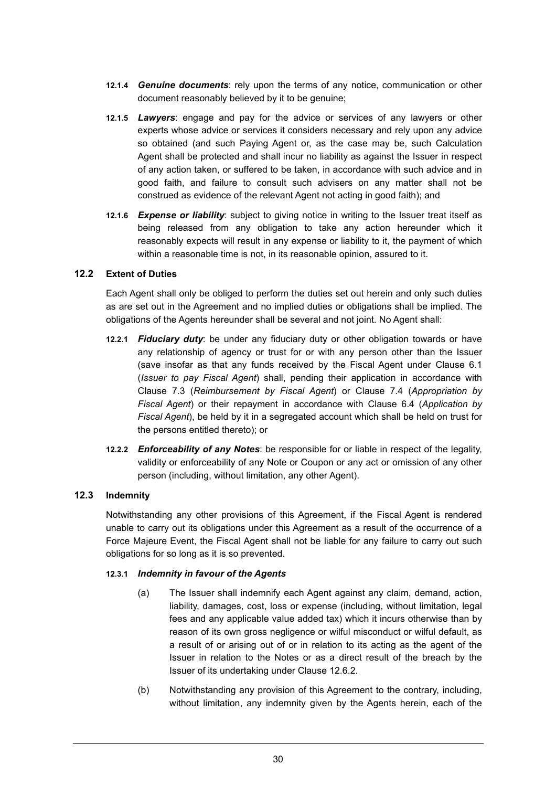- **12.1.4** *Genuine documents*: rely upon the terms of any notice, communication or other document reasonably believed by it to be genuine;
- **12.1.5** *Lawyers*: engage and pay for the advice or services of any lawyers or other experts whose advice or services it considers necessary and rely upon any advice so obtained (and such Paying Agent or, as the case may be, such Calculation Agent shall be protected and shall incur no liability as against the Issuer in respect of any action taken, or suffered to be taken, in accordance with such advice and in good faith, and failure to consult such advisers on any matter shall not be construed as evidence of the relevant Agent not acting in good faith); and
- **12.1.6** *Expense or liability*: subject to giving notice in writing to the Issuer treat itself as being released from any obligation to take any action hereunder which it reasonably expects will result in any expense or liability to it, the payment of which within a reasonable time is not, in its reasonable opinion, assured to it.

### **12.2 Extent of Duties**

Each Agent shall only be obliged to perform the duties set out herein and only such duties as are set out in the Agreement and no implied duties or obligations shall be implied. The obligations of the Agents hereunder shall be several and not joint. No Agent shall:

- **12.2.1** *Fiduciary duty*: be under any fiduciary duty or other obligation towards or have any relationship of agency or trust for or with any person other than the Issuer (save insofar as that any funds received by the Fiscal Agent under Clause 6.1 (*Issuer to pay Fiscal Agent*) shall, pending their application in accordance with Clause 7.3 (*Reimbursement by Fiscal Agent*) or Clause 7.4 (*Appropriation by Fiscal Agent*) or their repayment in accordance with Clause 6.4 (*Application by Fiscal Agent*), be held by it in a segregated account which shall be held on trust for the persons entitled thereto); or
- **12.2.2** *Enforceability of any Notes*: be responsible for or liable in respect of the legality, validity or enforceability of any Note or Coupon or any act or omission of any other person (including, without limitation, any other Agent).

#### **12.3 Indemnity**

Notwithstanding any other provisions of this Agreement, if the Fiscal Agent is rendered unable to carry out its obligations under this Agreement as a result of the occurrence of a Force Majeure Event, the Fiscal Agent shall not be liable for any failure to carry out such obligations for so long as it is so prevented.

#### **12.3.1** *Indemnity in favour of the Agents*

- (a) The Issuer shall indemnify each Agent against any claim, demand, action, liability, damages, cost, loss or expense (including, without limitation, legal fees and any applicable value added tax) which it incurs otherwise than by reason of its own gross negligence or wilful misconduct or wilful default, as a result of or arising out of or in relation to its acting as the agent of the Issuer in relation to the Notes or as a direct result of the breach by the Issuer of its undertaking under Clause 12.6.2.
- (b) Notwithstanding any provision of this Agreement to the contrary, including, without limitation, any indemnity given by the Agents herein, each of the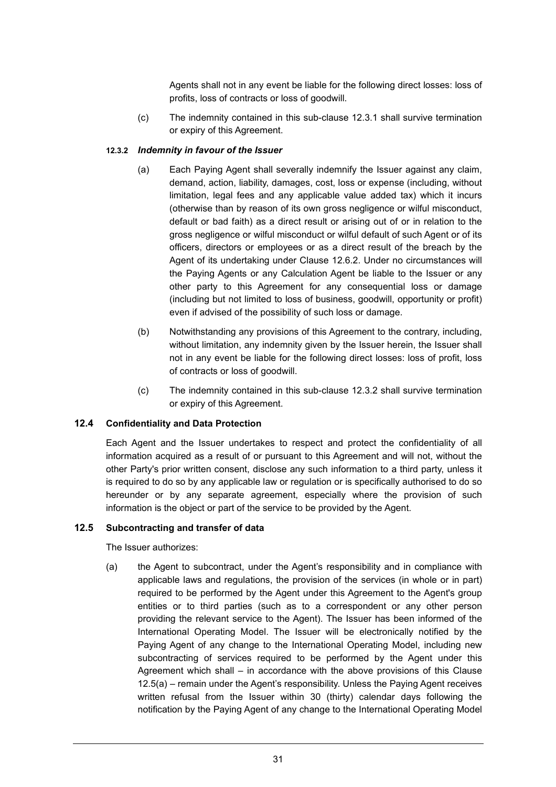Agents shall not in any event be liable for the following direct losses: loss of profits, loss of contracts or loss of goodwill.

(c) The indemnity contained in this sub-clause 12.3.1 shall survive termination or expiry of this Agreement.

# **12.3.2** *Indemnity in favour of the Issuer*

- (a) Each Paying Agent shall severally indemnify the Issuer against any claim, demand, action, liability, damages, cost, loss or expense (including, without limitation, legal fees and any applicable value added tax) which it incurs (otherwise than by reason of its own gross negligence or wilful misconduct, default or bad faith) as a direct result or arising out of or in relation to the gross negligence or wilful misconduct or wilful default of such Agent or of its officers, directors or employees or as a direct result of the breach by the Agent of its undertaking under Clause 12.6.2. Under no circumstances will the Paying Agents or any Calculation Agent be liable to the Issuer or any other party to this Agreement for any consequential loss or damage (including but not limited to loss of business, goodwill, opportunity or profit) even if advised of the possibility of such loss or damage.
- (b) Notwithstanding any provisions of this Agreement to the contrary, including, without limitation, any indemnity given by the Issuer herein, the Issuer shall not in any event be liable for the following direct losses: loss of profit, loss of contracts or loss of goodwill.
- (c) The indemnity contained in this sub-clause 12.3.2 shall survive termination or expiry of this Agreement.

### **12.4 Confidentiality and Data Protection**

Each Agent and the Issuer undertakes to respect and protect the confidentiality of all information acquired as a result of or pursuant to this Agreement and will not, without the other Party's prior written consent, disclose any such information to a third party, unless it is required to do so by any applicable law or regulation or is specifically authorised to do so hereunder or by any separate agreement, especially where the provision of such information is the object or part of the service to be provided by the Agent.

#### **12.5 Subcontracting and transfer of data**

The Issuer authorizes:

(a) the Agent to subcontract, under the Agent's responsibility and in compliance with applicable laws and regulations, the provision of the services (in whole or in part) required to be performed by the Agent under this Agreement to the Agent's group entities or to third parties (such as to a correspondent or any other person providing the relevant service to the Agent). The Issuer has been informed of the International Operating Model. The Issuer will be electronically notified by the Paying Agent of any change to the International Operating Model, including new subcontracting of services required to be performed by the Agent under this Agreement which shall – in accordance with the above provisions of this Clause 12.5(a) – remain under the Agent's responsibility. Unless the Paying Agent receives written refusal from the Issuer within 30 (thirty) calendar days following the notification by the Paying Agent of any change to the International Operating Model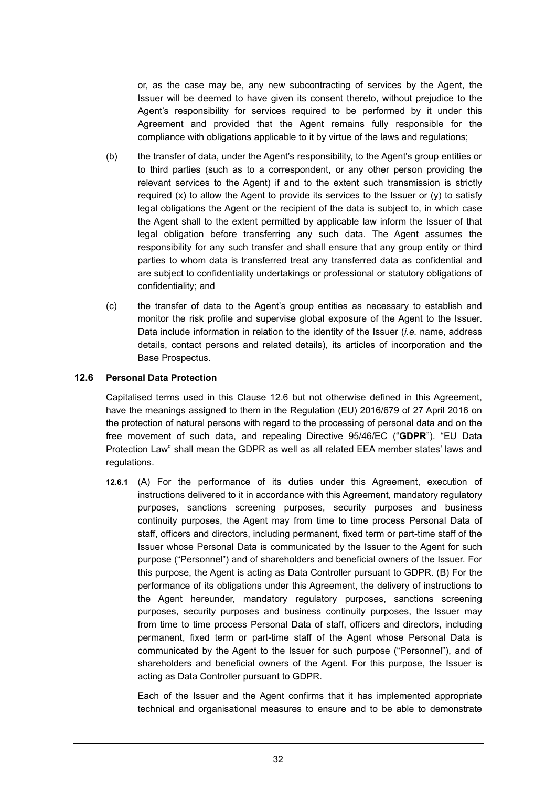or, as the case may be, any new subcontracting of services by the Agent, the Issuer will be deemed to have given its consent thereto, without prejudice to the Agent's responsibility for services required to be performed by it under this Agreement and provided that the Agent remains fully responsible for the compliance with obligations applicable to it by virtue of the laws and regulations;

- (b) the transfer of data, under the Agent's responsibility, to the Agent's group entities or to third parties (such as to a correspondent, or any other person providing the relevant services to the Agent) if and to the extent such transmission is strictly required  $(x)$  to allow the Agent to provide its services to the Issuer or  $(y)$  to satisfy legal obligations the Agent or the recipient of the data is subject to, in which case the Agent shall to the extent permitted by applicable law inform the Issuer of that legal obligation before transferring any such data. The Agent assumes the responsibility for any such transfer and shall ensure that any group entity or third parties to whom data is transferred treat any transferred data as confidential and are subject to confidentiality undertakings or professional or statutory obligations of confidentiality; and
- (c) the transfer of data to the Agent's group entities as necessary to establish and monitor the risk profile and supervise global exposure of the Agent to the Issuer. Data include information in relation to the identity of the Issuer (*i.e.* name, address details, contact persons and related details), its articles of incorporation and the Base Prospectus.

### **12.6 Personal Data Protection**

Capitalised terms used in this Clause 12.6 but not otherwise defined in this Agreement, have the meanings assigned to them in the Regulation (EU) 2016/679 of 27 April 2016 on the protection of natural persons with regard to the processing of personal data and on the free movement of such data, and repealing Directive 95/46/EC ("**GDPR**"). "EU Data Protection Law" shall mean the GDPR as well as all related EEA member states' laws and regulations.

**12.6.1** (A) For the performance of its duties under this Agreement, execution of instructions delivered to it in accordance with this Agreement, mandatory regulatory purposes, sanctions screening purposes, security purposes and business continuity purposes, the Agent may from time to time process Personal Data of staff, officers and directors, including permanent, fixed term or part-time staff of the Issuer whose Personal Data is communicated by the Issuer to the Agent for such purpose ("Personnel") and of shareholders and beneficial owners of the Issuer. For this purpose, the Agent is acting as Data Controller pursuant to GDPR. (B) For the performance of its obligations under this Agreement, the delivery of instructions to the Agent hereunder, mandatory regulatory purposes, sanctions screening purposes, security purposes and business continuity purposes, the Issuer may from time to time process Personal Data of staff, officers and directors, including permanent, fixed term or part-time staff of the Agent whose Personal Data is communicated by the Agent to the Issuer for such purpose ("Personnel"), and of shareholders and beneficial owners of the Agent. For this purpose, the Issuer is acting as Data Controller pursuant to GDPR.

Each of the Issuer and the Agent confirms that it has implemented appropriate technical and organisational measures to ensure and to be able to demonstrate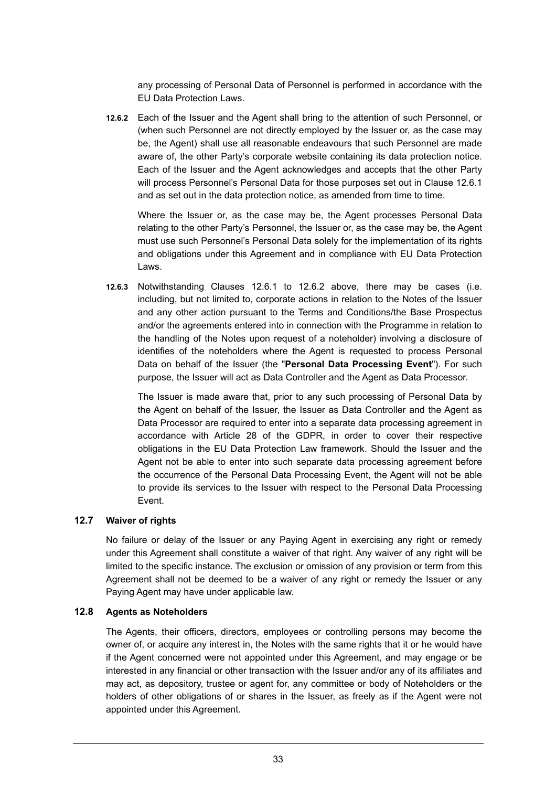any processing of Personal Data of Personnel is performed in accordance with the EU Data Protection Laws.

**12.6.2** Each of the Issuer and the Agent shall bring to the attention of such Personnel, or (when such Personnel are not directly employed by the Issuer or, as the case may be, the Agent) shall use all reasonable endeavours that such Personnel are made aware of, the other Party's corporate website containing its data protection notice. Each of the Issuer and the Agent acknowledges and accepts that the other Party will process Personnel's Personal Data for those purposes set out in Clause 12.6.1 and as set out in the data protection notice, as amended from time to time.

Where the Issuer or, as the case may be, the Agent processes Personal Data relating to the other Party's Personnel, the Issuer or, as the case may be, the Agent must use such Personnel's Personal Data solely for the implementation of its rights and obligations under this Agreement and in compliance with EU Data Protection Laws.

**12.6.3** Notwithstanding Clauses 12.6.1 to 12.6.2 above, there may be cases (i.e. including, but not limited to, corporate actions in relation to the Notes of the Issuer and any other action pursuant to the Terms and Conditions/the Base Prospectus and/or the agreements entered into in connection with the Programme in relation to the handling of the Notes upon request of a noteholder) involving a disclosure of identifies of the noteholders where the Agent is requested to process Personal Data on behalf of the Issuer (the "**Personal Data Processing Event**"). For such purpose, the Issuer will act as Data Controller and the Agent as Data Processor.

The Issuer is made aware that, prior to any such processing of Personal Data by the Agent on behalf of the Issuer, the Issuer as Data Controller and the Agent as Data Processor are required to enter into a separate data processing agreement in accordance with Article 28 of the GDPR, in order to cover their respective obligations in the EU Data Protection Law framework. Should the Issuer and the Agent not be able to enter into such separate data processing agreement before the occurrence of the Personal Data Processing Event, the Agent will not be able to provide its services to the Issuer with respect to the Personal Data Processing Event.

# **12.7 Waiver of rights**

No failure or delay of the Issuer or any Paying Agent in exercising any right or remedy under this Agreement shall constitute a waiver of that right. Any waiver of any right will be limited to the specific instance. The exclusion or omission of any provision or term from this Agreement shall not be deemed to be a waiver of any right or remedy the Issuer or any Paying Agent may have under applicable law.

#### **12.8 Agents as Noteholders**

The Agents, their officers, directors, employees or controlling persons may become the owner of, or acquire any interest in, the Notes with the same rights that it or he would have if the Agent concerned were not appointed under this Agreement, and may engage or be interested in any financial or other transaction with the Issuer and/or any of its affiliates and may act, as depository, trustee or agent for, any committee or body of Noteholders or the holders of other obligations of or shares in the Issuer, as freely as if the Agent were not appointed under this Agreement.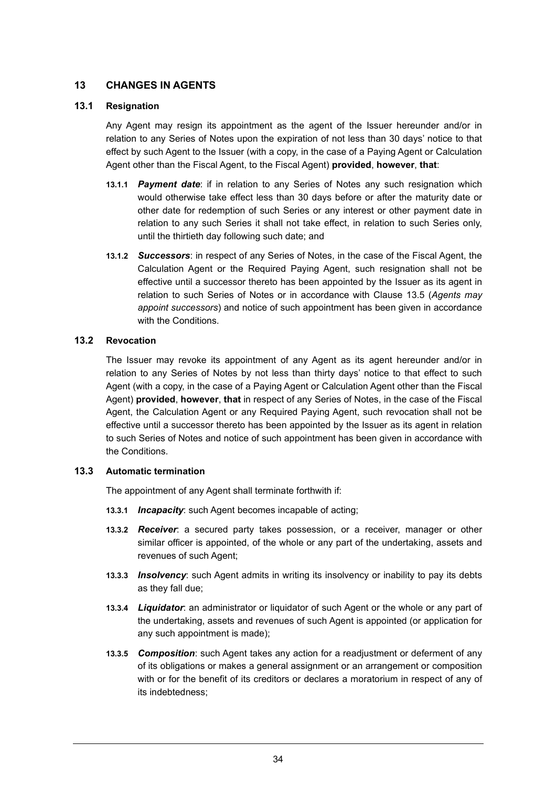# **13 CHANGES IN AGENTS**

### **13.1 Resignation**

Any Agent may resign its appointment as the agent of the Issuer hereunder and/or in relation to any Series of Notes upon the expiration of not less than 30 days' notice to that effect by such Agent to the Issuer (with a copy, in the case of a Paying Agent or Calculation Agent other than the Fiscal Agent, to the Fiscal Agent) **provided**, **however**, **that**:

- **13.1.1** *Payment date*: if in relation to any Series of Notes any such resignation which would otherwise take effect less than 30 days before or after the maturity date or other date for redemption of such Series or any interest or other payment date in relation to any such Series it shall not take effect, in relation to such Series only, until the thirtieth day following such date; and
- **13.1.2** *Successors*: in respect of any Series of Notes, in the case of the Fiscal Agent, the Calculation Agent or the Required Paying Agent, such resignation shall not be effective until a successor thereto has been appointed by the Issuer as its agent in relation to such Series of Notes or in accordance with Clause 13.5 (*Agents may appoint successors*) and notice of such appointment has been given in accordance with the Conditions.

#### **13.2 Revocation**

The Issuer may revoke its appointment of any Agent as its agent hereunder and/or in relation to any Series of Notes by not less than thirty days' notice to that effect to such Agent (with a copy, in the case of a Paying Agent or Calculation Agent other than the Fiscal Agent) **provided**, **however**, **that** in respect of any Series of Notes, in the case of the Fiscal Agent, the Calculation Agent or any Required Paying Agent, such revocation shall not be effective until a successor thereto has been appointed by the Issuer as its agent in relation to such Series of Notes and notice of such appointment has been given in accordance with the Conditions.

### **13.3 Automatic termination**

The appointment of any Agent shall terminate forthwith if:

- **13.3.1** *Incapacity*: such Agent becomes incapable of acting;
- **13.3.2** *Receiver*: a secured party takes possession, or a receiver, manager or other similar officer is appointed, of the whole or any part of the undertaking, assets and revenues of such Agent;
- **13.3.3** *Insolvency*: such Agent admits in writing its insolvency or inability to pay its debts as they fall due;
- **13.3.4** *Liquidator*: an administrator or liquidator of such Agent or the whole or any part of the undertaking, assets and revenues of such Agent is appointed (or application for any such appointment is made);
- **13.3.5** *Composition*: such Agent takes any action for a readjustment or deferment of any of its obligations or makes a general assignment or an arrangement or composition with or for the benefit of its creditors or declares a moratorium in respect of any of its indebtedness;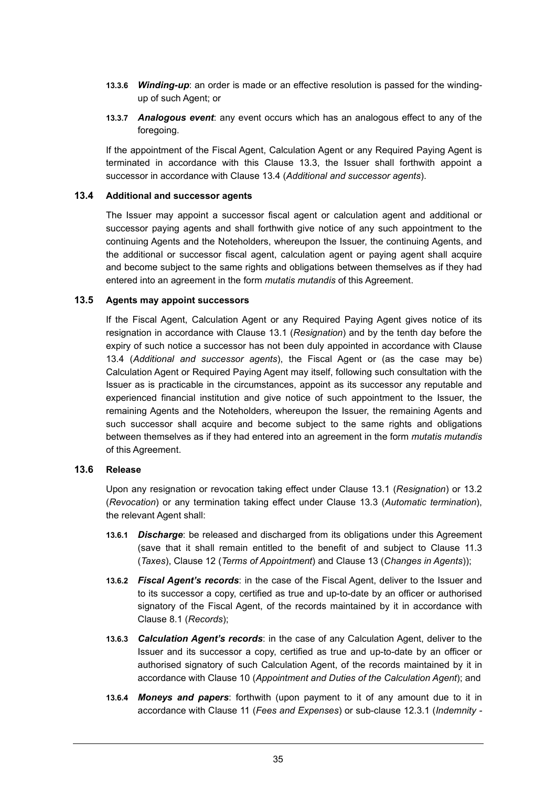- **13.3.6** *Winding-up*: an order is made or an effective resolution is passed for the windingup of such Agent; or
- **13.3.7** *Analogous event*: any event occurs which has an analogous effect to any of the foregoing.

If the appointment of the Fiscal Agent, Calculation Agent or any Required Paying Agent is terminated in accordance with this Clause 13.3, the Issuer shall forthwith appoint a successor in accordance with Clause 13.4 (*Additional and successor agents*).

#### **13.4 Additional and successor agents**

The Issuer may appoint a successor fiscal agent or calculation agent and additional or successor paying agents and shall forthwith give notice of any such appointment to the continuing Agents and the Noteholders, whereupon the Issuer, the continuing Agents, and the additional or successor fiscal agent, calculation agent or paying agent shall acquire and become subject to the same rights and obligations between themselves as if they had entered into an agreement in the form *mutatis mutandis* of this Agreement.

#### **13.5 Agents may appoint successors**

If the Fiscal Agent, Calculation Agent or any Required Paying Agent gives notice of its resignation in accordance with Clause 13.1 (*Resignation*) and by the tenth day before the expiry of such notice a successor has not been duly appointed in accordance with Clause 13.4 (*Additional and successor agents*), the Fiscal Agent or (as the case may be) Calculation Agent or Required Paying Agent may itself, following such consultation with the Issuer as is practicable in the circumstances, appoint as its successor any reputable and experienced financial institution and give notice of such appointment to the Issuer, the remaining Agents and the Noteholders, whereupon the Issuer, the remaining Agents and such successor shall acquire and become subject to the same rights and obligations between themselves as if they had entered into an agreement in the form *mutatis mutandis* of this Agreement.

#### **13.6 Release**

Upon any resignation or revocation taking effect under Clause 13.1 (*Resignation*) or 13.2 (*Revocation*) or any termination taking effect under Clause 13.3 (*Automatic termination*), the relevant Agent shall:

- **13.6.1** *Discharge*: be released and discharged from its obligations under this Agreement (save that it shall remain entitled to the benefit of and subject to Clause 11.3 (*Taxes*), Clause 12 (*Terms of Appointment*) and Clause 13 (*Changes in Agents*));
- **13.6.2** *Fiscal Agent's records*: in the case of the Fiscal Agent, deliver to the Issuer and to its successor a copy, certified as true and up-to-date by an officer or authorised signatory of the Fiscal Agent, of the records maintained by it in accordance with Clause 8.1 (*Records*);
- **13.6.3** *Calculation Agent's records*: in the case of any Calculation Agent, deliver to the Issuer and its successor a copy, certified as true and up-to-date by an officer or authorised signatory of such Calculation Agent, of the records maintained by it in accordance with Clause 10 (*Appointment and Duties of the Calculation Agent*); and
- **13.6.4** *Moneys and papers*: forthwith (upon payment to it of any amount due to it in accordance with Clause 11 (*Fees and Expenses*) or sub-clause 12.3.1 (*Indemnity -*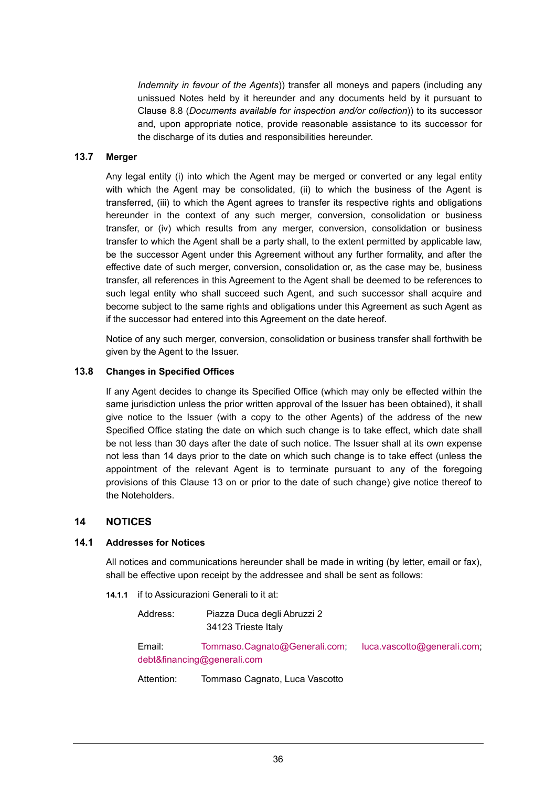*Indemnity in favour of the Agents*)) transfer all moneys and papers (including any unissued Notes held by it hereunder and any documents held by it pursuant to Clause 8.8 (*Documents available for inspection and/or collection*)) to its successor and, upon appropriate notice, provide reasonable assistance to its successor for the discharge of its duties and responsibilities hereunder.

#### **13.7 Merger**

Any legal entity (i) into which the Agent may be merged or converted or any legal entity with which the Agent may be consolidated, (ii) to which the business of the Agent is transferred, (iii) to which the Agent agrees to transfer its respective rights and obligations hereunder in the context of any such merger, conversion, consolidation or business transfer, or (iv) which results from any merger, conversion, consolidation or business transfer to which the Agent shall be a party shall, to the extent permitted by applicable law, be the successor Agent under this Agreement without any further formality, and after the effective date of such merger, conversion, consolidation or, as the case may be, business transfer, all references in this Agreement to the Agent shall be deemed to be references to such legal entity who shall succeed such Agent, and such successor shall acquire and become subject to the same rights and obligations under this Agreement as such Agent as if the successor had entered into this Agreement on the date hereof.

Notice of any such merger, conversion, consolidation or business transfer shall forthwith be given by the Agent to the Issuer.

#### **13.8 Changes in Specified Offices**

If any Agent decides to change its Specified Office (which may only be effected within the same jurisdiction unless the prior written approval of the Issuer has been obtained), it shall give notice to the Issuer (with a copy to the other Agents) of the address of the new Specified Office stating the date on which such change is to take effect, which date shall be not less than 30 days after the date of such notice. The Issuer shall at its own expense not less than 14 days prior to the date on which such change is to take effect (unless the appointment of the relevant Agent is to terminate pursuant to any of the foregoing provisions of this Clause 13 on or prior to the date of such change) give notice thereof to the Noteholders.

# **14 NOTICES**

### **14.1 Addresses for Notices**

All notices and communications hereunder shall be made in writing (by letter, email or fax), shall be effective upon receipt by the addressee and shall be sent as follows:

**14.1.1** if to Assicurazioni Generali to it at:

Address: Piazza Duca degli Abruzzi 2 34123 Trieste Italy

Email: Tommaso.Cagnato@Generali.com; luca.vascotto@generali.com; debt&financing@generali.com

Attention: Tommaso Cagnato, Luca Vascotto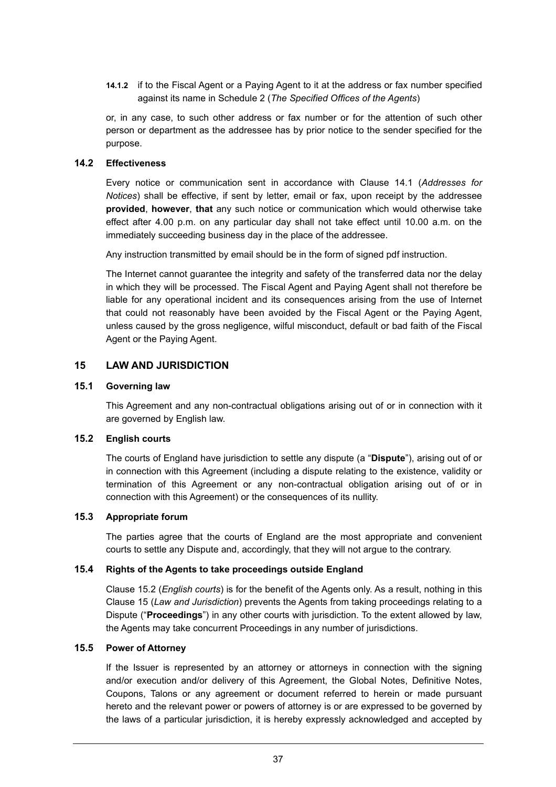**14.1.2** if to the Fiscal Agent or a Paying Agent to it at the address or fax number specified against its name in Schedule 2 (*The Specified Offices of the Agents*)

or, in any case, to such other address or fax number or for the attention of such other person or department as the addressee has by prior notice to the sender specified for the purpose.

### **14.2 Effectiveness**

Every notice or communication sent in accordance with Clause 14.1 (*Addresses for Notices*) shall be effective, if sent by letter, email or fax, upon receipt by the addressee **provided**, **however**, **that** any such notice or communication which would otherwise take effect after 4.00 p.m. on any particular day shall not take effect until 10.00 a.m. on the immediately succeeding business day in the place of the addressee.

Any instruction transmitted by email should be in the form of signed pdf instruction.

The Internet cannot guarantee the integrity and safety of the transferred data nor the delay in which they will be processed. The Fiscal Agent and Paying Agent shall not therefore be liable for any operational incident and its consequences arising from the use of Internet that could not reasonably have been avoided by the Fiscal Agent or the Paying Agent, unless caused by the gross negligence, wilful misconduct, default or bad faith of the Fiscal Agent or the Paying Agent.

# **15 LAW AND JURISDICTION**

#### **15.1 Governing law**

This Agreement and any non-contractual obligations arising out of or in connection with it are governed by English law.

#### **15.2 English courts**

The courts of England have jurisdiction to settle any dispute (a "**Dispute**"), arising out of or in connection with this Agreement (including a dispute relating to the existence, validity or termination of this Agreement or any non-contractual obligation arising out of or in connection with this Agreement) or the consequences of its nullity.

#### **15.3 Appropriate forum**

The parties agree that the courts of England are the most appropriate and convenient courts to settle any Dispute and, accordingly, that they will not argue to the contrary.

#### **15.4 Rights of the Agents to take proceedings outside England**

Clause 15.2 (*English courts*) is for the benefit of the Agents only. As a result, nothing in this Clause 15 (*Law and Jurisdiction*) prevents the Agents from taking proceedings relating to a Dispute ("**Proceedings**") in any other courts with jurisdiction. To the extent allowed by law, the Agents may take concurrent Proceedings in any number of jurisdictions.

### **15.5 Power of Attorney**

If the Issuer is represented by an attorney or attorneys in connection with the signing and/or execution and/or delivery of this Agreement, the Global Notes, Definitive Notes, Coupons, Talons or any agreement or document referred to herein or made pursuant hereto and the relevant power or powers of attorney is or are expressed to be governed by the laws of a particular jurisdiction, it is hereby expressly acknowledged and accepted by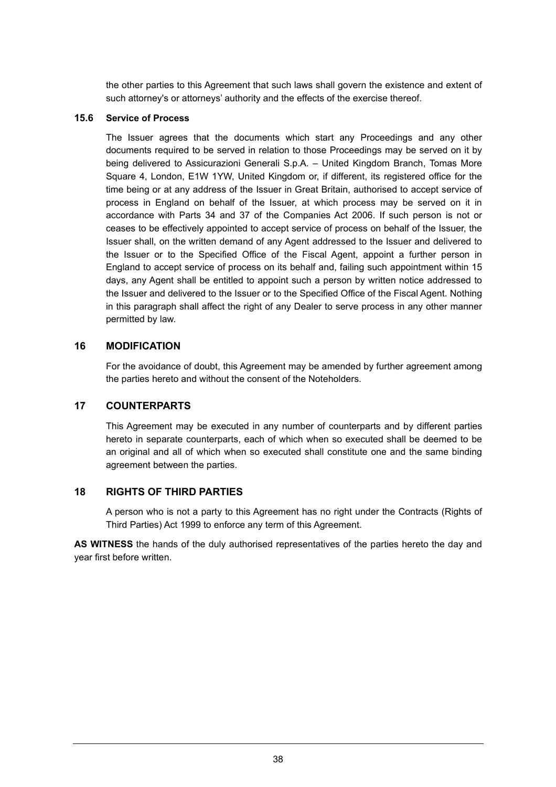the other parties to this Agreement that such laws shall govern the existence and extent of such attorney's or attorneys' authority and the effects of the exercise thereof.

### **15.6 Service of Process**

The Issuer agrees that the documents which start any Proceedings and any other documents required to be served in relation to those Proceedings may be served on it by being delivered to Assicurazioni Generali S.p.A. – United Kingdom Branch, Tomas More Square 4, London, E1W 1YW, United Kingdom or, if different, its registered office for the time being or at any address of the Issuer in Great Britain, authorised to accept service of process in England on behalf of the Issuer, at which process may be served on it in accordance with Parts 34 and 37 of the Companies Act 2006. If such person is not or ceases to be effectively appointed to accept service of process on behalf of the Issuer, the Issuer shall, on the written demand of any Agent addressed to the Issuer and delivered to the Issuer or to the Specified Office of the Fiscal Agent, appoint a further person in England to accept service of process on its behalf and, failing such appointment within 15 days, any Agent shall be entitled to appoint such a person by written notice addressed to the Issuer and delivered to the Issuer or to the Specified Office of the Fiscal Agent. Nothing in this paragraph shall affect the right of any Dealer to serve process in any other manner permitted by law.

# **16 MODIFICATION**

For the avoidance of doubt, this Agreement may be amended by further agreement among the parties hereto and without the consent of the Noteholders.

# **17 COUNTERPARTS**

This Agreement may be executed in any number of counterparts and by different parties hereto in separate counterparts, each of which when so executed shall be deemed to be an original and all of which when so executed shall constitute one and the same binding agreement between the parties.

# **18 RIGHTS OF THIRD PARTIES**

A person who is not a party to this Agreement has no right under the Contracts (Rights of Third Parties) Act 1999 to enforce any term of this Agreement.

**AS WITNESS** the hands of the duly authorised representatives of the parties hereto the day and year first before written.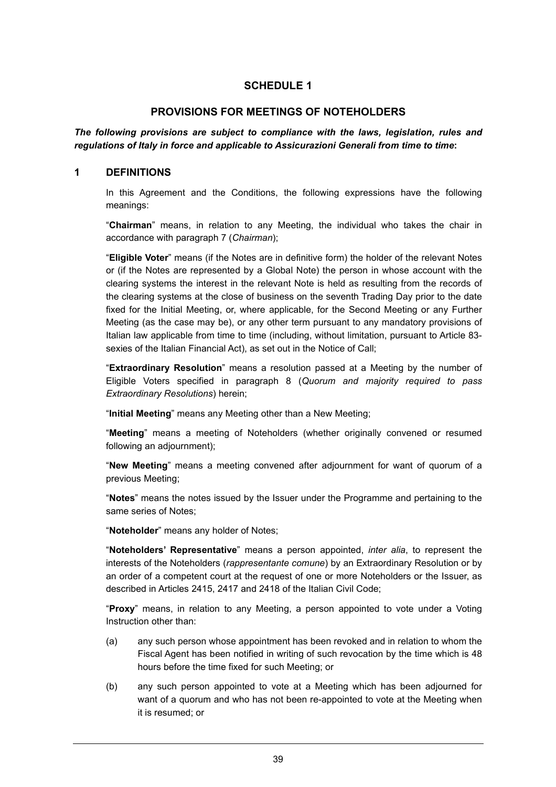# **PROVISIONS FOR MEETINGS OF NOTEHOLDERS**

*The following provisions are subject to compliance with the laws, legislation, rules and regulations of Italy in force and applicable to Assicurazioni Generali from time to time***:** 

#### **1 DEFINITIONS**

In this Agreement and the Conditions, the following expressions have the following meanings:

"**Chairman**" means, in relation to any Meeting, the individual who takes the chair in accordance with paragraph 7 (*Chairman*);

"**Eligible Voter**" means (if the Notes are in definitive form) the holder of the relevant Notes or (if the Notes are represented by a Global Note) the person in whose account with the clearing systems the interest in the relevant Note is held as resulting from the records of the clearing systems at the close of business on the seventh Trading Day prior to the date fixed for the Initial Meeting, or, where applicable, for the Second Meeting or any Further Meeting (as the case may be), or any other term pursuant to any mandatory provisions of Italian law applicable from time to time (including, without limitation, pursuant to Article 83 sexies of the Italian Financial Act), as set out in the Notice of Call;

"**Extraordinary Resolution**" means a resolution passed at a Meeting by the number of Eligible Voters specified in paragraph 8 (*Quorum and majority required to pass Extraordinary Resolutions*) herein;

"**Initial Meeting**" means any Meeting other than a New Meeting;

"**Meeting**" means a meeting of Noteholders (whether originally convened or resumed following an adjournment);

"**New Meeting**" means a meeting convened after adjournment for want of quorum of a previous Meeting;

"**Notes**" means the notes issued by the Issuer under the Programme and pertaining to the same series of Notes;

"**Noteholder**" means any holder of Notes;

"**Noteholders' Representative**" means a person appointed, *inter alia*, to represent the interests of the Noteholders (*rappresentante comune*) by an Extraordinary Resolution or by an order of a competent court at the request of one or more Noteholders or the Issuer, as described in Articles 2415, 2417 and 2418 of the Italian Civil Code;

"**Proxy**" means, in relation to any Meeting, a person appointed to vote under a Voting Instruction other than:

- (a) any such person whose appointment has been revoked and in relation to whom the Fiscal Agent has been notified in writing of such revocation by the time which is 48 hours before the time fixed for such Meeting; or
- (b) any such person appointed to vote at a Meeting which has been adjourned for want of a quorum and who has not been re-appointed to vote at the Meeting when it is resumed; or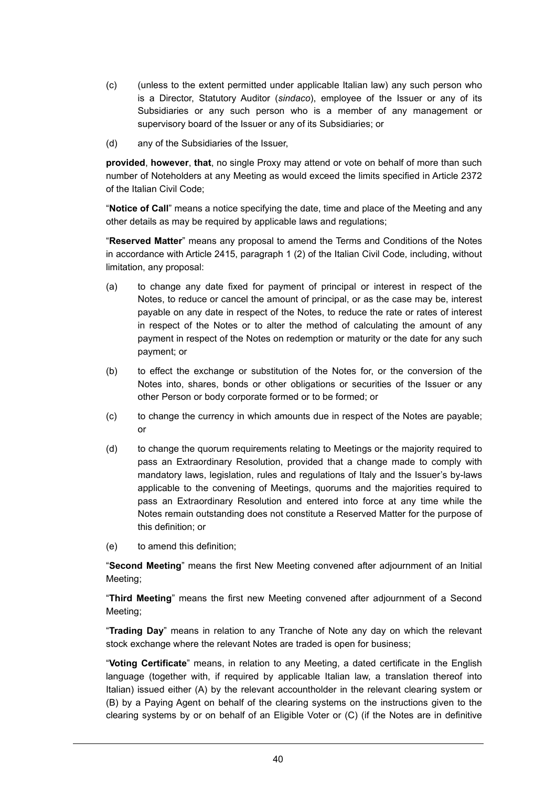- (c) (unless to the extent permitted under applicable Italian law) any such person who is a Director, Statutory Auditor (*sindaco*), employee of the Issuer or any of its Subsidiaries or any such person who is a member of any management or supervisory board of the Issuer or any of its Subsidiaries; or
- (d) any of the Subsidiaries of the Issuer,

**provided**, **however**, **that**, no single Proxy may attend or vote on behalf of more than such number of Noteholders at any Meeting as would exceed the limits specified in Article 2372 of the Italian Civil Code;

"**Notice of Call**" means a notice specifying the date, time and place of the Meeting and any other details as may be required by applicable laws and regulations;

"**Reserved Matter**" means any proposal to amend the Terms and Conditions of the Notes in accordance with Article 2415, paragraph 1 (2) of the Italian Civil Code, including, without limitation, any proposal:

- (a) to change any date fixed for payment of principal or interest in respect of the Notes, to reduce or cancel the amount of principal, or as the case may be, interest payable on any date in respect of the Notes, to reduce the rate or rates of interest in respect of the Notes or to alter the method of calculating the amount of any payment in respect of the Notes on redemption or maturity or the date for any such payment; or
- (b) to effect the exchange or substitution of the Notes for, or the conversion of the Notes into, shares, bonds or other obligations or securities of the Issuer or any other Person or body corporate formed or to be formed; or
- (c) to change the currency in which amounts due in respect of the Notes are payable; or
- (d) to change the quorum requirements relating to Meetings or the majority required to pass an Extraordinary Resolution, provided that a change made to comply with mandatory laws, legislation, rules and regulations of Italy and the Issuer's by-laws applicable to the convening of Meetings, quorums and the majorities required to pass an Extraordinary Resolution and entered into force at any time while the Notes remain outstanding does not constitute a Reserved Matter for the purpose of this definition; or
- (e) to amend this definition;

"**Second Meeting**" means the first New Meeting convened after adjournment of an Initial Meeting;

"**Third Meeting**" means the first new Meeting convened after adjournment of a Second Meeting;

"**Trading Day**" means in relation to any Tranche of Note any day on which the relevant stock exchange where the relevant Notes are traded is open for business;

"**Voting Certificate**" means, in relation to any Meeting, a dated certificate in the English language (together with, if required by applicable Italian law, a translation thereof into Italian) issued either (A) by the relevant accountholder in the relevant clearing system or (B) by a Paying Agent on behalf of the clearing systems on the instructions given to the clearing systems by or on behalf of an Eligible Voter or (C) (if the Notes are in definitive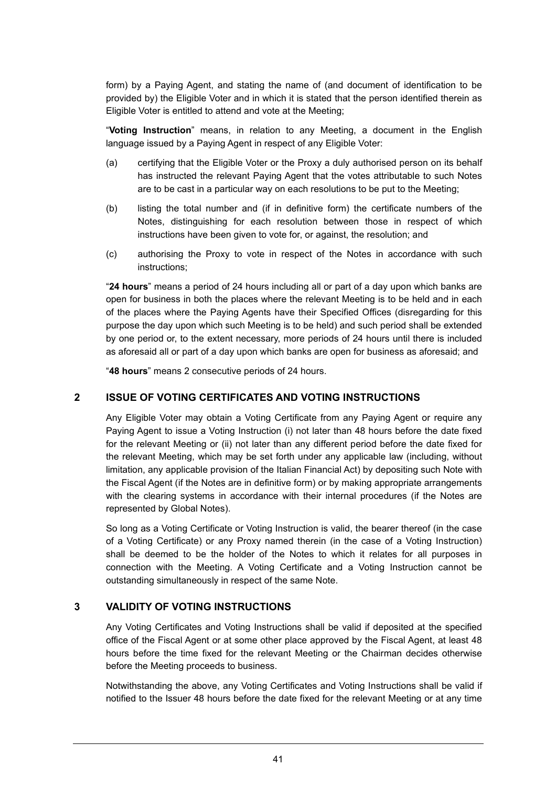form) by a Paying Agent, and stating the name of (and document of identification to be provided by) the Eligible Voter and in which it is stated that the person identified therein as Eligible Voter is entitled to attend and vote at the Meeting;

"**Voting Instruction**" means, in relation to any Meeting, a document in the English language issued by a Paying Agent in respect of any Eligible Voter:

- (a) certifying that the Eligible Voter or the Proxy a duly authorised person on its behalf has instructed the relevant Paying Agent that the votes attributable to such Notes are to be cast in a particular way on each resolutions to be put to the Meeting;
- (b) listing the total number and (if in definitive form) the certificate numbers of the Notes, distinguishing for each resolution between those in respect of which instructions have been given to vote for, or against, the resolution; and
- (c) authorising the Proxy to vote in respect of the Notes in accordance with such instructions;

"**24 hours**" means a period of 24 hours including all or part of a day upon which banks are open for business in both the places where the relevant Meeting is to be held and in each of the places where the Paying Agents have their Specified Offices (disregarding for this purpose the day upon which such Meeting is to be held) and such period shall be extended by one period or, to the extent necessary, more periods of 24 hours until there is included as aforesaid all or part of a day upon which banks are open for business as aforesaid; and

"**48 hours**" means 2 consecutive periods of 24 hours.

### **2 ISSUE OF VOTING CERTIFICATES AND VOTING INSTRUCTIONS**

Any Eligible Voter may obtain a Voting Certificate from any Paying Agent or require any Paying Agent to issue a Voting Instruction (i) not later than 48 hours before the date fixed for the relevant Meeting or (ii) not later than any different period before the date fixed for the relevant Meeting, which may be set forth under any applicable law (including, without limitation, any applicable provision of the Italian Financial Act) by depositing such Note with the Fiscal Agent (if the Notes are in definitive form) or by making appropriate arrangements with the clearing systems in accordance with their internal procedures (if the Notes are represented by Global Notes).

So long as a Voting Certificate or Voting Instruction is valid, the bearer thereof (in the case of a Voting Certificate) or any Proxy named therein (in the case of a Voting Instruction) shall be deemed to be the holder of the Notes to which it relates for all purposes in connection with the Meeting. A Voting Certificate and a Voting Instruction cannot be outstanding simultaneously in respect of the same Note.

#### **3 VALIDITY OF VOTING INSTRUCTIONS**

Any Voting Certificates and Voting Instructions shall be valid if deposited at the specified office of the Fiscal Agent or at some other place approved by the Fiscal Agent, at least 48 hours before the time fixed for the relevant Meeting or the Chairman decides otherwise before the Meeting proceeds to business.

Notwithstanding the above, any Voting Certificates and Voting Instructions shall be valid if notified to the Issuer 48 hours before the date fixed for the relevant Meeting or at any time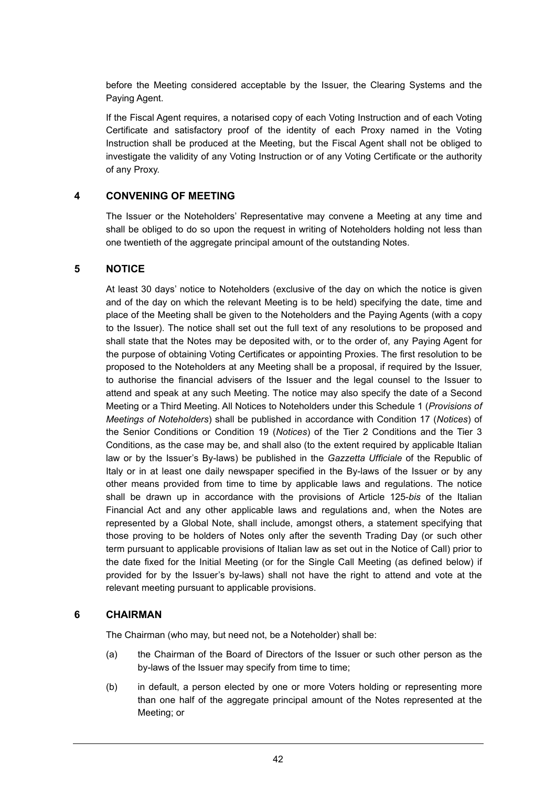before the Meeting considered acceptable by the Issuer, the Clearing Systems and the Paying Agent.

If the Fiscal Agent requires, a notarised copy of each Voting Instruction and of each Voting Certificate and satisfactory proof of the identity of each Proxy named in the Voting Instruction shall be produced at the Meeting, but the Fiscal Agent shall not be obliged to investigate the validity of any Voting Instruction or of any Voting Certificate or the authority of any Proxy.

# **4 CONVENING OF MEETING**

The Issuer or the Noteholders' Representative may convene a Meeting at any time and shall be obliged to do so upon the request in writing of Noteholders holding not less than one twentieth of the aggregate principal amount of the outstanding Notes.

#### **5 NOTICE**

At least 30 days' notice to Noteholders (exclusive of the day on which the notice is given and of the day on which the relevant Meeting is to be held) specifying the date, time and place of the Meeting shall be given to the Noteholders and the Paying Agents (with a copy to the Issuer). The notice shall set out the full text of any resolutions to be proposed and shall state that the Notes may be deposited with, or to the order of, any Paying Agent for the purpose of obtaining Voting Certificates or appointing Proxies. The first resolution to be proposed to the Noteholders at any Meeting shall be a proposal, if required by the Issuer, to authorise the financial advisers of the Issuer and the legal counsel to the Issuer to attend and speak at any such Meeting. The notice may also specify the date of a Second Meeting or a Third Meeting. All Notices to Noteholders under this Schedule 1 (*Provisions of Meetings of Noteholders*) shall be published in accordance with Condition 17 (*Notices*) of the Senior Conditions or Condition 19 (*Notices*) of the Tier 2 Conditions and the Tier 3 Conditions, as the case may be, and shall also (to the extent required by applicable Italian law or by the Issuer's By-laws) be published in the *Gazzetta Ufficiale* of the Republic of Italy or in at least one daily newspaper specified in the By-laws of the Issuer or by any other means provided from time to time by applicable laws and regulations. The notice shall be drawn up in accordance with the provisions of Article 125-*bis* of the Italian Financial Act and any other applicable laws and regulations and, when the Notes are represented by a Global Note, shall include, amongst others, a statement specifying that those proving to be holders of Notes only after the seventh Trading Day (or such other term pursuant to applicable provisions of Italian law as set out in the Notice of Call) prior to the date fixed for the Initial Meeting (or for the Single Call Meeting (as defined below) if provided for by the Issuer's by-laws) shall not have the right to attend and vote at the relevant meeting pursuant to applicable provisions.

#### **6 CHAIRMAN**

The Chairman (who may, but need not, be a Noteholder) shall be:

- (a) the Chairman of the Board of Directors of the Issuer or such other person as the by-laws of the Issuer may specify from time to time;
- (b) in default, a person elected by one or more Voters holding or representing more than one half of the aggregate principal amount of the Notes represented at the Meeting; or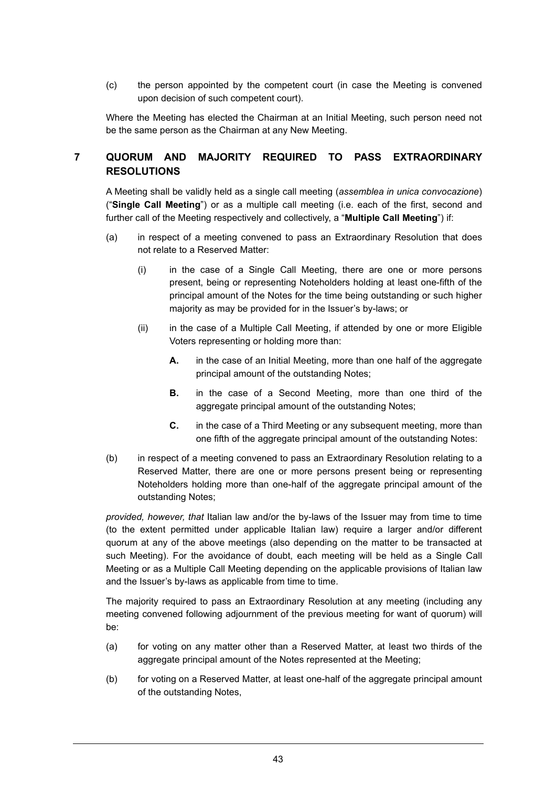(c) the person appointed by the competent court (in case the Meeting is convened upon decision of such competent court).

Where the Meeting has elected the Chairman at an Initial Meeting, such person need not be the same person as the Chairman at any New Meeting.

# **7 QUORUM AND MAJORITY REQUIRED TO PASS EXTRAORDINARY RESOLUTIONS**

A Meeting shall be validly held as a single call meeting (*assemblea in unica convocazione*) ("**Single Call Meeting**") or as a multiple call meeting (i.e. each of the first, second and further call of the Meeting respectively and collectively, a "**Multiple Call Meeting**") if:

- (a) in respect of a meeting convened to pass an Extraordinary Resolution that does not relate to a Reserved Matter:
	- (i) in the case of a Single Call Meeting, there are one or more persons present, being or representing Noteholders holding at least one-fifth of the principal amount of the Notes for the time being outstanding or such higher majority as may be provided for in the Issuer's by-laws; or
	- (ii) in the case of a Multiple Call Meeting, if attended by one or more Eligible Voters representing or holding more than:
		- **A.** in the case of an Initial Meeting, more than one half of the aggregate principal amount of the outstanding Notes;
		- **B.** in the case of a Second Meeting, more than one third of the agaregate principal amount of the outstanding Notes;
		- **C.** in the case of a Third Meeting or any subsequent meeting, more than one fifth of the aggregate principal amount of the outstanding Notes:
- (b) in respect of a meeting convened to pass an Extraordinary Resolution relating to a Reserved Matter, there are one or more persons present being or representing Noteholders holding more than one-half of the aggregate principal amount of the outstanding Notes;

*provided, however, that* Italian law and/or the by-laws of the Issuer may from time to time (to the extent permitted under applicable Italian law) require a larger and/or different quorum at any of the above meetings (also depending on the matter to be transacted at such Meeting). For the avoidance of doubt, each meeting will be held as a Single Call Meeting or as a Multiple Call Meeting depending on the applicable provisions of Italian law and the Issuer's by-laws as applicable from time to time.

The majority required to pass an Extraordinary Resolution at any meeting (including any meeting convened following adjournment of the previous meeting for want of quorum) will be:

- (a) for voting on any matter other than a Reserved Matter, at least two thirds of the aggregate principal amount of the Notes represented at the Meeting;
- (b) for voting on a Reserved Matter, at least one-half of the aggregate principal amount of the outstanding Notes,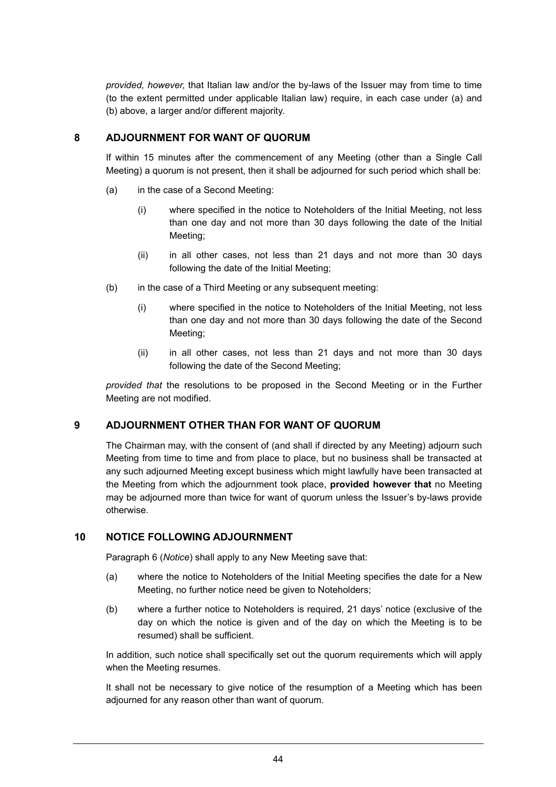*provided, however,* that Italian law and/or the by-laws of the Issuer may from time to time (to the extent permitted under applicable Italian law) require, in each case under (a) and (b) above, a larger and/or different majority.

# **8 ADJOURNMENT FOR WANT OF QUORUM**

If within 15 minutes after the commencement of any Meeting (other than a Single Call Meeting) a quorum is not present, then it shall be adjourned for such period which shall be:

- (a) in the case of a Second Meeting:
	- (i) where specified in the notice to Noteholders of the Initial Meeting, not less than one day and not more than 30 days following the date of the Initial Meeting;
	- (ii) in all other cases, not less than 21 days and not more than 30 days following the date of the Initial Meeting;
- (b) in the case of a Third Meeting or any subsequent meeting:
	- (i) where specified in the notice to Noteholders of the Initial Meeting, not less than one day and not more than 30 days following the date of the Second Meeting;
	- (ii) in all other cases, not less than 21 days and not more than 30 days following the date of the Second Meeting;

*provided that* the resolutions to be proposed in the Second Meeting or in the Further Meeting are not modified.

# **9 ADJOURNMENT OTHER THAN FOR WANT OF QUORUM**

The Chairman may, with the consent of (and shall if directed by any Meeting) adjourn such Meeting from time to time and from place to place, but no business shall be transacted at any such adjourned Meeting except business which might lawfully have been transacted at the Meeting from which the adjournment took place, **provided however that** no Meeting may be adjourned more than twice for want of quorum unless the Issuer's by-laws provide otherwise.

# **10 NOTICE FOLLOWING ADJOURNMENT**

Paragraph 6 (*Notice*) shall apply to any New Meeting save that:

- (a) where the notice to Noteholders of the Initial Meeting specifies the date for a New Meeting, no further notice need be given to Noteholders;
- (b) where a further notice to Noteholders is required, 21 days' notice (exclusive of the day on which the notice is given and of the day on which the Meeting is to be resumed) shall be sufficient.

In addition, such notice shall specifically set out the quorum requirements which will apply when the Meeting resumes.

It shall not be necessary to give notice of the resumption of a Meeting which has been adjourned for any reason other than want of quorum.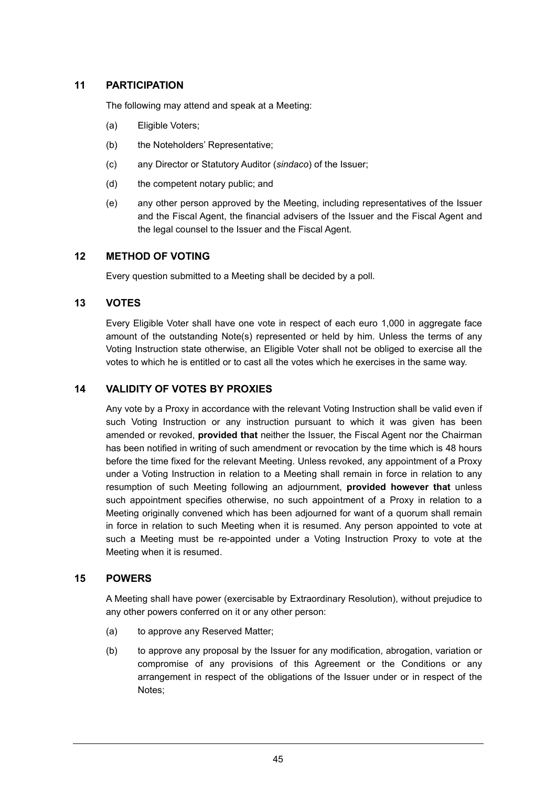# **11 PARTICIPATION**

The following may attend and speak at a Meeting:

- (a) Eligible Voters;
- (b) the Noteholders' Representative:
- (c) any Director or Statutory Auditor (*sindaco*) of the Issuer;
- (d) the competent notary public; and
- (e) any other person approved by the Meeting, including representatives of the Issuer and the Fiscal Agent, the financial advisers of the Issuer and the Fiscal Agent and the legal counsel to the Issuer and the Fiscal Agent.

# **12 METHOD OF VOTING**

Every question submitted to a Meeting shall be decided by a poll.

### **13 VOTES**

Every Eligible Voter shall have one vote in respect of each euro 1,000 in aggregate face amount of the outstanding Note(s) represented or held by him. Unless the terms of any Voting Instruction state otherwise, an Eligible Voter shall not be obliged to exercise all the votes to which he is entitled or to cast all the votes which he exercises in the same way.

### **14 VALIDITY OF VOTES BY PROXIES**

Any vote by a Proxy in accordance with the relevant Voting Instruction shall be valid even if such Voting Instruction or any instruction pursuant to which it was given has been amended or revoked, **provided that** neither the Issuer, the Fiscal Agent nor the Chairman has been notified in writing of such amendment or revocation by the time which is 48 hours before the time fixed for the relevant Meeting. Unless revoked, any appointment of a Proxy under a Voting Instruction in relation to a Meeting shall remain in force in relation to any resumption of such Meeting following an adjournment, **provided however that** unless such appointment specifies otherwise, no such appointment of a Proxy in relation to a Meeting originally convened which has been adjourned for want of a quorum shall remain in force in relation to such Meeting when it is resumed. Any person appointed to vote at such a Meeting must be re-appointed under a Voting Instruction Proxy to vote at the Meeting when it is resumed.

### **15 POWERS**

A Meeting shall have power (exercisable by Extraordinary Resolution), without prejudice to any other powers conferred on it or any other person:

- (a) to approve any Reserved Matter;
- (b) to approve any proposal by the Issuer for any modification, abrogation, variation or compromise of any provisions of this Agreement or the Conditions or any arrangement in respect of the obligations of the Issuer under or in respect of the Notes;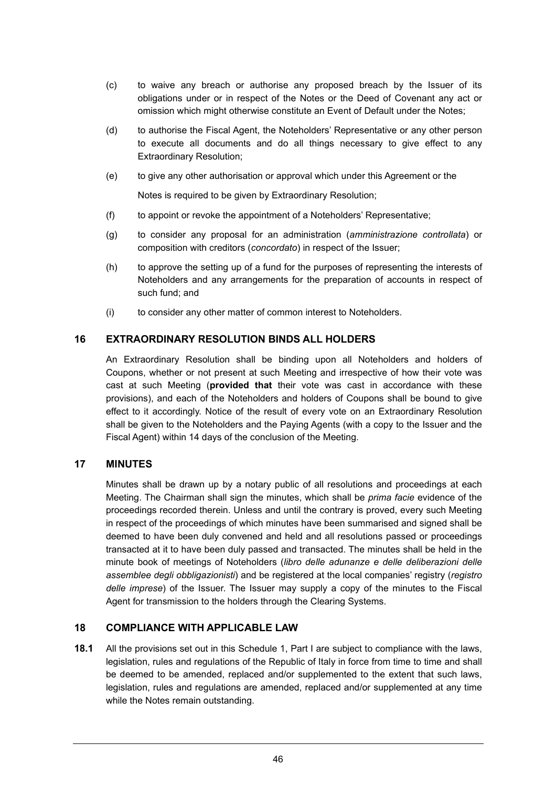- (c) to waive any breach or authorise any proposed breach by the Issuer of its obligations under or in respect of the Notes or the Deed of Covenant any act or omission which might otherwise constitute an Event of Default under the Notes;
- (d) to authorise the Fiscal Agent, the Noteholders' Representative or any other person to execute all documents and do all things necessary to give effect to any Extraordinary Resolution;
- (e) to give any other authorisation or approval which under this Agreement or the

Notes is required to be given by Extraordinary Resolution;

- (f) to appoint or revoke the appointment of a Noteholders' Representative;
- (g) to consider any proposal for an administration (*amministrazione controllata*) or composition with creditors (*concordato*) in respect of the Issuer;
- (h) to approve the setting up of a fund for the purposes of representing the interests of Noteholders and any arrangements for the preparation of accounts in respect of such fund; and
- (i) to consider any other matter of common interest to Noteholders.

# **16 EXTRAORDINARY RESOLUTION BINDS ALL HOLDERS**

An Extraordinary Resolution shall be binding upon all Noteholders and holders of Coupons, whether or not present at such Meeting and irrespective of how their vote was cast at such Meeting (**provided that** their vote was cast in accordance with these provisions), and each of the Noteholders and holders of Coupons shall be bound to give effect to it accordingly. Notice of the result of every vote on an Extraordinary Resolution shall be given to the Noteholders and the Paying Agents (with a copy to the Issuer and the Fiscal Agent) within 14 days of the conclusion of the Meeting.

# **17 MINUTES**

Minutes shall be drawn up by a notary public of all resolutions and proceedings at each Meeting. The Chairman shall sign the minutes, which shall be *prima facie* evidence of the proceedings recorded therein. Unless and until the contrary is proved, every such Meeting in respect of the proceedings of which minutes have been summarised and signed shall be deemed to have been duly convened and held and all resolutions passed or proceedings transacted at it to have been duly passed and transacted. The minutes shall be held in the minute book of meetings of Noteholders (*libro delle adunanze e delle deliberazioni delle assemblee degli obbligazionisti*) and be registered at the local companies' registry (*registro delle imprese*) of the Issuer. The Issuer may supply a copy of the minutes to the Fiscal Agent for transmission to the holders through the Clearing Systems.

# **18 COMPLIANCE WITH APPLICABLE LAW**

**18.1** All the provisions set out in this Schedule 1, Part I are subject to compliance with the laws, legislation, rules and regulations of the Republic of Italy in force from time to time and shall be deemed to be amended, replaced and/or supplemented to the extent that such laws, legislation, rules and regulations are amended, replaced and/or supplemented at any time while the Notes remain outstanding.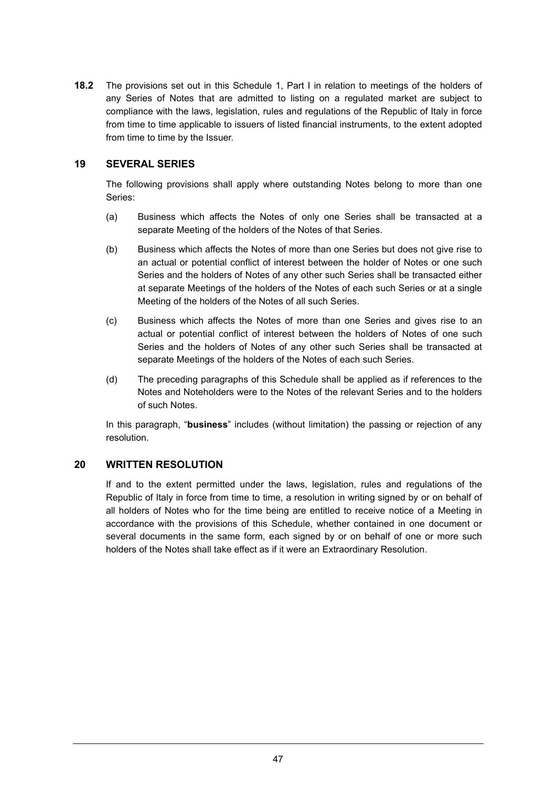**18.2** The provisions set out in this Schedule 1, Part I in relation to meetings of the holders of any Series of Notes that are admitted to listing on a regulated market are subject to compliance with the laws, legislation, rules and regulations of the Republic of Italy in force from time to time applicable to issuers of listed financial instruments, to the extent adopted from time to time by the Issuer.

# **19 SEVERAL SERIES**

The following provisions shall apply where outstanding Notes belong to more than one Series:

- (a) Business which affects the Notes of only one Series shall be transacted at a separate Meeting of the holders of the Notes of that Series.
- (b) Business which affects the Notes of more than one Series but does not give rise to an actual or potential conflict of interest between the holder of Notes or one such Series and the holders of Notes of any other such Series shall be transacted either at separate Meetings of the holders of the Notes of each such Series or at a single Meeting of the holders of the Notes of all such Series.
- (c) Business which affects the Notes of more than one Series and gives rise to an actual or potential conflict of interest between the holders of Notes of one such Series and the holders of Notes of any other such Series shall be transacted at separate Meetings of the holders of the Notes of each such Series.
- (d) The preceding paragraphs of this Schedule shall be applied as if references to the Notes and Noteholders were to the Notes of the relevant Series and to the holders of such Notes.

In this paragraph, "**business**" includes (without limitation) the passing or rejection of any resolution.

# **20 WRITTEN RESOLUTION**

If and to the extent permitted under the laws, legislation, rules and regulations of the Republic of Italy in force from time to time, a resolution in writing signed by or on behalf of all holders of Notes who for the time being are entitled to receive notice of a Meeting in accordance with the provisions of this Schedule, whether contained in one document or several documents in the same form, each signed by or on behalf of one or more such holders of the Notes shall take effect as if it were an Extraordinary Resolution.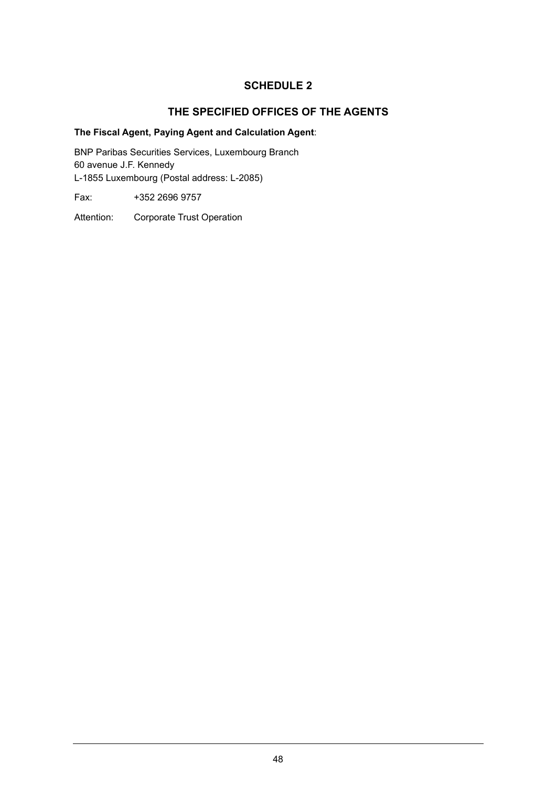# **THE SPECIFIED OFFICES OF THE AGENTS**

# **The Fiscal Agent, Paying Agent and Calculation Agent**:

BNP Paribas Securities Services, Luxembourg Branch 60 avenue J.F. Kennedy L-1855 Luxembourg (Postal address: L-2085)

Fax: +352 2696 9757

Attention: Corporate Trust Operation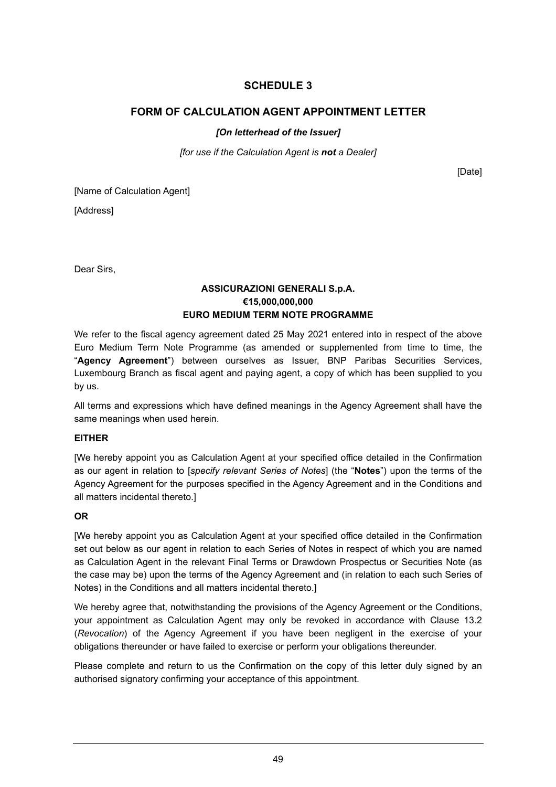# **FORM OF CALCULATION AGENT APPOINTMENT LETTER**

# *[On letterhead of the Issuer]*

*[for use if the Calculation Agent is not a Dealer]* 

[Date]

[Name of Calculation Agent]

[Address]

Dear Sirs,

### **ASSICURAZIONI GENERALI S.p.A. €15,000,000,000 EURO MEDIUM TERM NOTE PROGRAMME**

We refer to the fiscal agency agreement dated 25 May 2021 entered into in respect of the above Euro Medium Term Note Programme (as amended or supplemented from time to time, the "**Agency Agreement**") between ourselves as Issuer, BNP Paribas Securities Services, Luxembourg Branch as fiscal agent and paying agent, a copy of which has been supplied to you by us.

All terms and expressions which have defined meanings in the Agency Agreement shall have the same meanings when used herein.

#### **EITHER**

[We hereby appoint you as Calculation Agent at your specified office detailed in the Confirmation as our agent in relation to [*specify relevant Series of Notes*] (the "**Notes**") upon the terms of the Agency Agreement for the purposes specified in the Agency Agreement and in the Conditions and all matters incidental thereto.]

# **OR**

[We hereby appoint you as Calculation Agent at your specified office detailed in the Confirmation set out below as our agent in relation to each Series of Notes in respect of which you are named as Calculation Agent in the relevant Final Terms or Drawdown Prospectus or Securities Note (as the case may be) upon the terms of the Agency Agreement and (in relation to each such Series of Notes) in the Conditions and all matters incidental thereto.]

We hereby agree that, notwithstanding the provisions of the Agency Agreement or the Conditions, your appointment as Calculation Agent may only be revoked in accordance with Clause 13.2 (*Revocation*) of the Agency Agreement if you have been negligent in the exercise of your obligations thereunder or have failed to exercise or perform your obligations thereunder.

Please complete and return to us the Confirmation on the copy of this letter duly signed by an authorised signatory confirming your acceptance of this appointment.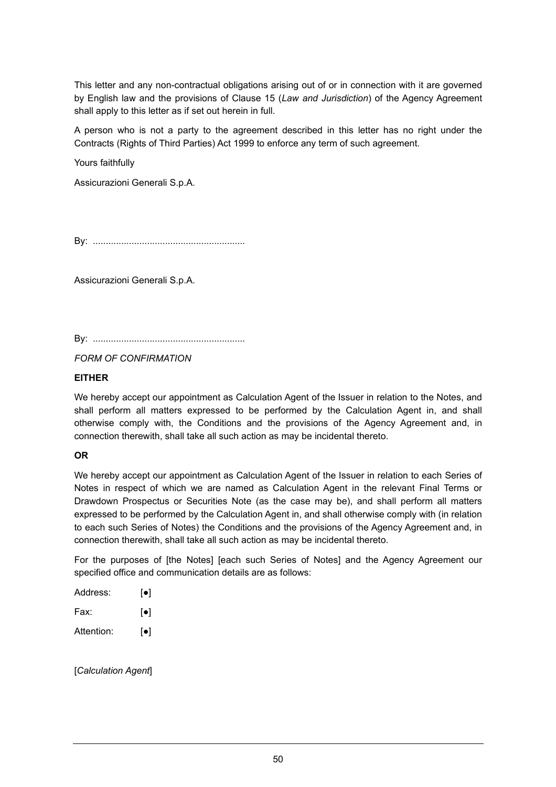This letter and any non-contractual obligations arising out of or in connection with it are governed by English law and the provisions of Clause 15 (*Law and Jurisdiction*) of the Agency Agreement shall apply to this letter as if set out herein in full.

A person who is not a party to the agreement described in this letter has no right under the Contracts (Rights of Third Parties) Act 1999 to enforce any term of such agreement.

Yours faithfully

Assicurazioni Generali S.p.A.

By: ...........................................................

Assicurazioni Generali S.p.A.

By: ...........................................................

*FORM OF CONFIRMATION*

#### **EITHER**

We hereby accept our appointment as Calculation Agent of the Issuer in relation to the Notes, and shall perform all matters expressed to be performed by the Calculation Agent in, and shall otherwise comply with, the Conditions and the provisions of the Agency Agreement and, in connection therewith, shall take all such action as may be incidental thereto.

#### **OR**

We hereby accept our appointment as Calculation Agent of the Issuer in relation to each Series of Notes in respect of which we are named as Calculation Agent in the relevant Final Terms or Drawdown Prospectus or Securities Note (as the case may be), and shall perform all matters expressed to be performed by the Calculation Agent in, and shall otherwise comply with (in relation to each such Series of Notes) the Conditions and the provisions of the Agency Agreement and, in connection therewith, shall take all such action as may be incidental thereto.

For the purposes of [the Notes] [each such Series of Notes] and the Agency Agreement our specified office and communication details are as follows:

| Address:   | $\lceil \bullet \rceil$ |
|------------|-------------------------|
| Fax:       | $\lceil \bullet \rceil$ |
| Attention: | $\lceil \bullet \rceil$ |

[*Calculation Agent*]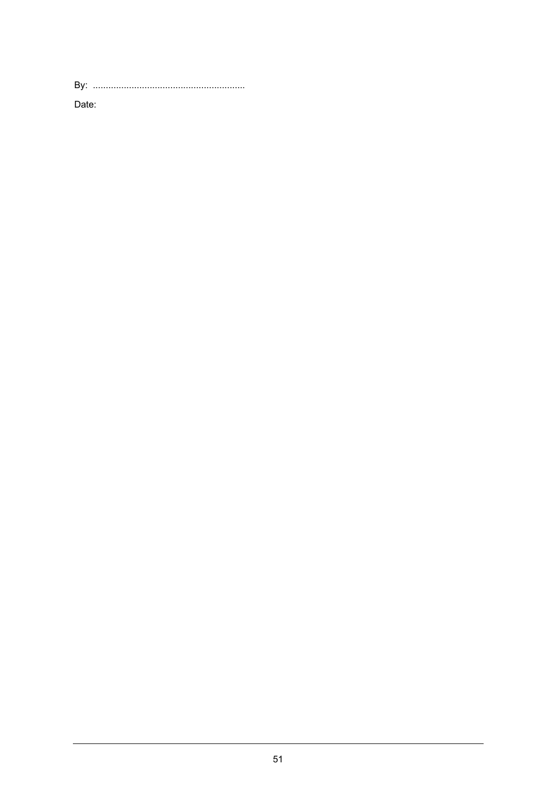Date: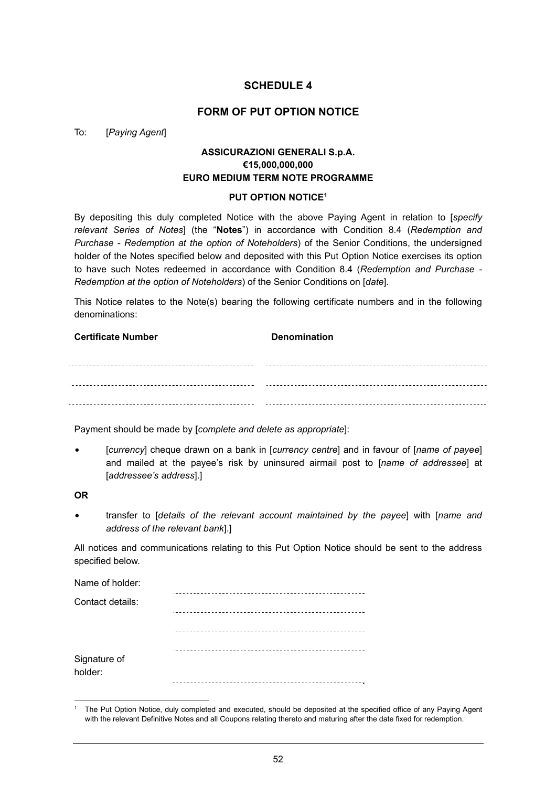### **FORM OF PUT OPTION NOTICE**

#### To: [*Paying Agent*]

# **ASSICURAZIONI GENERALI S.p.A. €15,000,000,000 EURO MEDIUM TERM NOTE PROGRAMME**

#### **PUT OPTION NOTICE1**

By depositing this duly completed Notice with the above Paying Agent in relation to [*specify relevant Series of Notes*] (the "**Notes**") in accordance with Condition 8.4 (*Redemption and Purchase - Redemption at the option of Noteholders*) of the Senior Conditions, the undersigned holder of the Notes specified below and deposited with this Put Option Notice exercises its option to have such Notes redeemed in accordance with Condition 8.4 (*Redemption and Purchase - Redemption at the option of Noteholders*) of the Senior Conditions on [*date*].

This Notice relates to the Note(s) bearing the following certificate numbers and in the following denominations:

**Certificate Number Certificate Number** 

Payment should be made by [*complete and delete as appropriate*]:

• [*currency*] cheque drawn on a bank in [*currency centre*] and in favour of [*name of payee*] and mailed at the payee's risk by uninsured airmail post to [*name of addressee*] at [*addressee's address*].]

#### **OR**

• transfer to [*details of the relevant account maintained by the payee*] with [*name and address of the relevant bank*].]

All notices and communications relating to this Put Option Notice should be sent to the address specified below.

| Name of holder:         |  |
|-------------------------|--|
| Contact details:        |  |
|                         |  |
|                         |  |
| Signature of<br>holder: |  |
|                         |  |

<sup>1</sup> The Put Option Notice, duly completed and executed, should be deposited at the specified office of any Paying Agent with the relevant Definitive Notes and all Coupons relating thereto and maturing after the date fixed for redemption.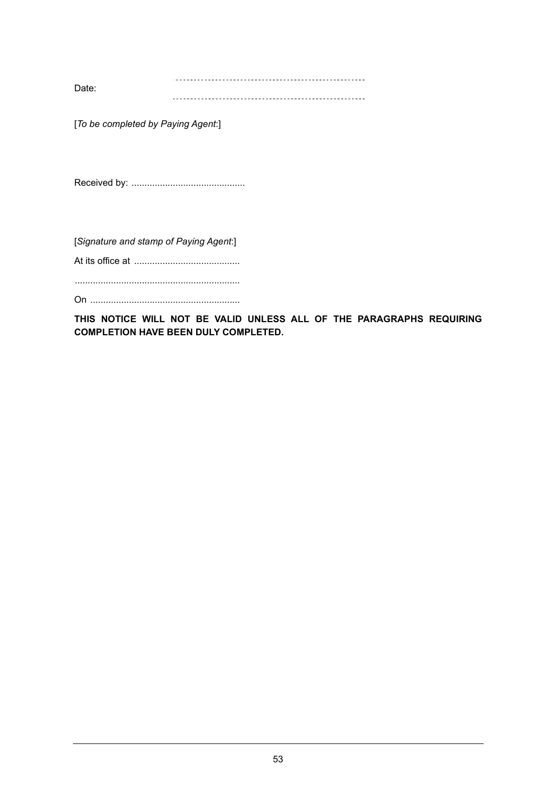Date: 

[*To be completed by Paying Agent*:]

Received by: ............................................

[*Signature and stamp of Paying Agent*:]

At its office at .........................................

................................................................

On ..........................................................

**THIS NOTICE WILL NOT BE VALID UNLESS ALL OF THE PARAGRAPHS REQUIRING COMPLETION HAVE BEEN DULY COMPLETED.**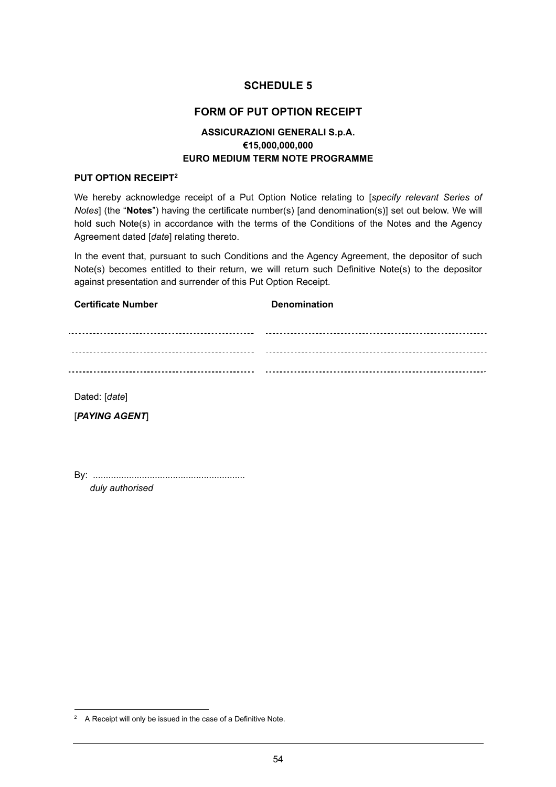# **FORM OF PUT OPTION RECEIPT**

# **ASSICURAZIONI GENERALI S.p.A. €15,000,000,000 EURO MEDIUM TERM NOTE PROGRAMME**

#### **PUT OPTION RECEIPT2**

We hereby acknowledge receipt of a Put Option Notice relating to [*specify relevant Series of Notes*] (the "**Notes**") having the certificate number(s) [and denomination(s)] set out below. We will hold such Note(s) in accordance with the terms of the Conditions of the Notes and the Agency Agreement dated [*date*] relating thereto.

In the event that, pursuant to such Conditions and the Agency Agreement, the depositor of such Note(s) becomes entitled to their return, we will return such Definitive Note(s) to the depositor against presentation and surrender of this Put Option Receipt.

| <b>Certificate Number</b> | <b>Denomination</b> |
|---------------------------|---------------------|
| <u>-----------</u>        |                     |
|                           |                     |
|                           |                     |
|                           |                     |

Dated: [*date*]

[*PAYING AGENT*]

By: ........................................................... *duly authorised* 

 $2^2$  A Receipt will only be issued in the case of a Definitive Note.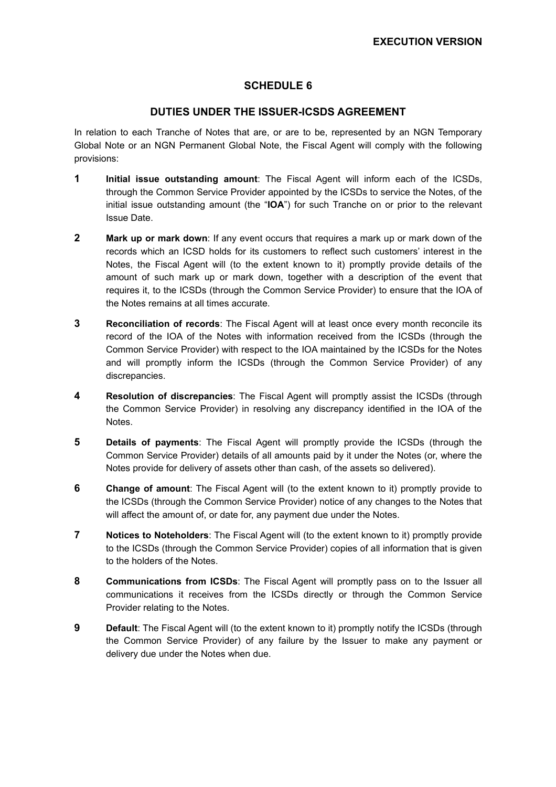# **DUTIES UNDER THE ISSUER-ICSDS AGREEMENT**

In relation to each Tranche of Notes that are, or are to be, represented by an NGN Temporary Global Note or an NGN Permanent Global Note, the Fiscal Agent will comply with the following provisions:

- **1 Initial issue outstanding amount**: The Fiscal Agent will inform each of the ICSDs, through the Common Service Provider appointed by the ICSDs to service the Notes, of the initial issue outstanding amount (the "**IOA**") for such Tranche on or prior to the relevant Issue Date.
- **2 Mark up or mark down**: If any event occurs that requires a mark up or mark down of the records which an ICSD holds for its customers to reflect such customers' interest in the Notes, the Fiscal Agent will (to the extent known to it) promptly provide details of the amount of such mark up or mark down, together with a description of the event that requires it, to the ICSDs (through the Common Service Provider) to ensure that the IOA of the Notes remains at all times accurate.
- **3 Reconciliation of records**: The Fiscal Agent will at least once every month reconcile its record of the IOA of the Notes with information received from the ICSDs (through the Common Service Provider) with respect to the IOA maintained by the ICSDs for the Notes and will promptly inform the ICSDs (through the Common Service Provider) of any discrepancies.
- **4 Resolution of discrepancies**: The Fiscal Agent will promptly assist the ICSDs (through the Common Service Provider) in resolving any discrepancy identified in the IOA of the Notes.
- **5** Details of payments: The Fiscal Agent will promptly provide the ICSDs (through the Common Service Provider) details of all amounts paid by it under the Notes (or, where the Notes provide for delivery of assets other than cash, of the assets so delivered).
- **6** Change of amount: The Fiscal Agent will (to the extent known to it) promptly provide to the ICSDs (through the Common Service Provider) notice of any changes to the Notes that will affect the amount of, or date for, any payment due under the Notes.
- **7** Notices to Noteholders: The Fiscal Agent will (to the extent known to it) promptly provide to the ICSDs (through the Common Service Provider) copies of all information that is given to the holders of the Notes.
- **8 Communications from ICSDs**: The Fiscal Agent will promptly pass on to the Issuer all communications it receives from the ICSDs directly or through the Common Service Provider relating to the Notes.
- **9** Default: The Fiscal Agent will (to the extent known to it) promptly notify the ICSDs (through the Common Service Provider) of any failure by the Issuer to make any payment or delivery due under the Notes when due.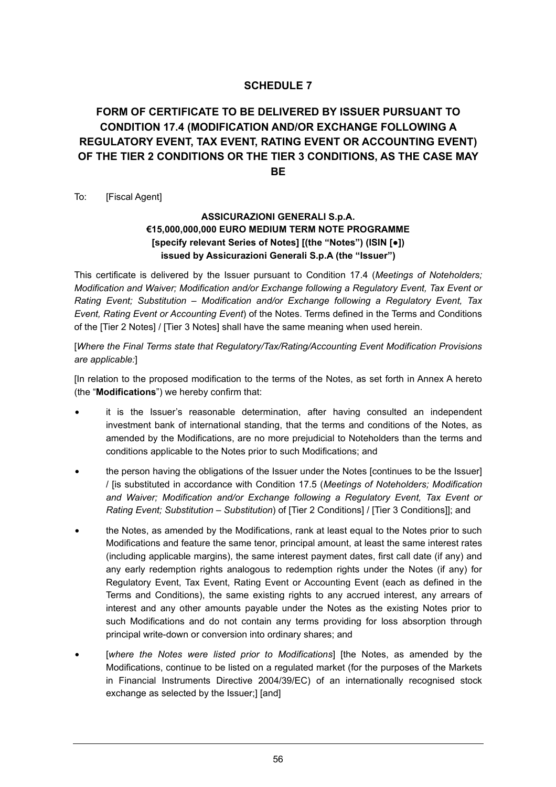# **FORM OF CERTIFICATE TO BE DELIVERED BY ISSUER PURSUANT TO CONDITION 17.4 (MODIFICATION AND/OR EXCHANGE FOLLOWING A REGULATORY EVENT, TAX EVENT, RATING EVENT OR ACCOUNTING EVENT) OF THE TIER 2 CONDITIONS OR THE TIER 3 CONDITIONS, AS THE CASE MAY BE**

To: [Fiscal Agent]

# **ASSICURAZIONI GENERALI S.p.A. €15,000,000,000 EURO MEDIUM TERM NOTE PROGRAMME [specify relevant Series of Notes] [(the "Notes") (ISIN [●]) issued by Assicurazioni Generali S.p.A (the "Issuer")**

This certificate is delivered by the Issuer pursuant to Condition 17.4 (*Meetings of Noteholders; Modification and Waiver; Modification and/or Exchange following a Regulatory Event, Tax Event or Rating Event; Substitution – Modification and/or Exchange following a Regulatory Event, Tax Event, Rating Event or Accounting Event*) of the Notes. Terms defined in the Terms and Conditions of the [Tier 2 Notes] / [Tier 3 Notes] shall have the same meaning when used herein.

[*Where the Final Terms state that Regulatory/Tax/Rating/Accounting Event Modification Provisions are applicable:*]

[In relation to the proposed modification to the terms of the Notes, as set forth in Annex A hereto (the "**Modifications**") we hereby confirm that:

- it is the Issuer's reasonable determination, after having consulted an independent investment bank of international standing, that the terms and conditions of the Notes, as amended by the Modifications, are no more prejudicial to Noteholders than the terms and conditions applicable to the Notes prior to such Modifications; and
- the person having the obligations of the Issuer under the Notes [continues to be the Issuer] / [is substituted in accordance with Condition 17.5 (*Meetings of Noteholders; Modification and Waiver; Modification and/or Exchange following a Regulatory Event, Tax Event or Rating Event; Substitution – Substitution*) of [Tier 2 Conditions] / [Tier 3 Conditions]]; and
- the Notes, as amended by the Modifications, rank at least equal to the Notes prior to such Modifications and feature the same tenor, principal amount, at least the same interest rates (including applicable margins), the same interest payment dates, first call date (if any) and any early redemption rights analogous to redemption rights under the Notes (if any) for Regulatory Event, Tax Event, Rating Event or Accounting Event (each as defined in the Terms and Conditions), the same existing rights to any accrued interest, any arrears of interest and any other amounts payable under the Notes as the existing Notes prior to such Modifications and do not contain any terms providing for loss absorption through principal write-down or conversion into ordinary shares; and
- [where the Notes were listed prior to Modifications] [the Notes, as amended by the Modifications, continue to be listed on a regulated market (for the purposes of the Markets in Financial Instruments Directive 2004/39/EC) of an internationally recognised stock exchange as selected by the Issuer;] [and]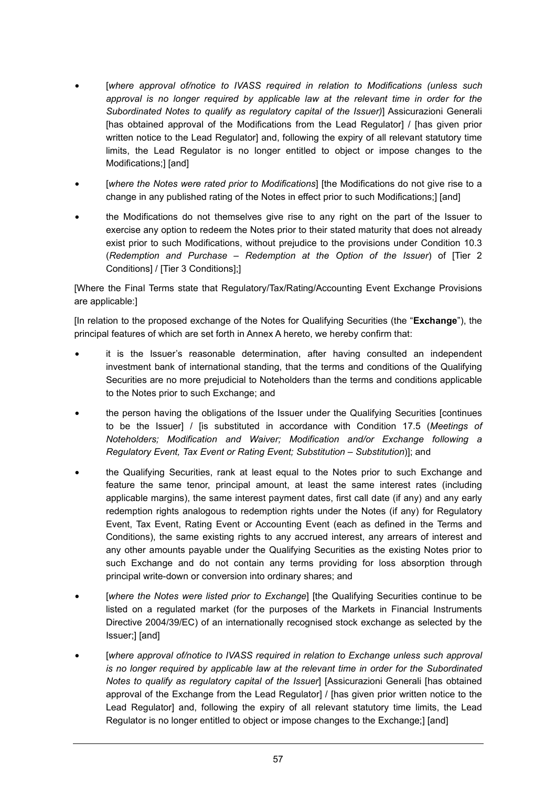- [*where approval of/notice to IVASS required in relation to Modifications (unless such approval is no longer required by applicable law at the relevant time in order for the Subordinated Notes to qualify as regulatory capital of the Issuer)*] Assicurazioni Generali [has obtained approval of the Modifications from the Lead Regulator] / [has given prior written notice to the Lead Regulator] and, following the expiry of all relevant statutory time limits, the Lead Regulator is no longer entitled to object or impose changes to the Modifications;] [and]
- [where the Notes were rated prior to Modifications] [the Modifications do not give rise to a change in any published rating of the Notes in effect prior to such Modifications;] [and]
- the Modifications do not themselves give rise to any right on the part of the Issuer to exercise any option to redeem the Notes prior to their stated maturity that does not already exist prior to such Modifications, without prejudice to the provisions under Condition 10.3 (*Redemption and Purchase – Redemption at the Option of the Issuer*) of [Tier 2 Conditions] / [Tier 3 Conditions];]

[Where the Final Terms state that Regulatory/Tax/Rating/Accounting Event Exchange Provisions are applicable:]

[In relation to the proposed exchange of the Notes for Qualifying Securities (the "**Exchange**"), the principal features of which are set forth in Annex A hereto, we hereby confirm that:

- it is the Issuer's reasonable determination, after having consulted an independent investment bank of international standing, that the terms and conditions of the Qualifying Securities are no more prejudicial to Noteholders than the terms and conditions applicable to the Notes prior to such Exchange; and
- the person having the obligations of the Issuer under the Qualifying Securities [continues to be the Issuer] / [is substituted in accordance with Condition 17.5 (*Meetings of Noteholders; Modification and Waiver; Modification and/or Exchange following a Regulatory Event, Tax Event or Rating Event; Substitution – Substitution*)]; and
- the Qualifying Securities, rank at least equal to the Notes prior to such Exchange and feature the same tenor, principal amount, at least the same interest rates (including applicable margins), the same interest payment dates, first call date (if any) and any early redemption rights analogous to redemption rights under the Notes (if any) for Regulatory Event, Tax Event, Rating Event or Accounting Event (each as defined in the Terms and Conditions), the same existing rights to any accrued interest, any arrears of interest and any other amounts payable under the Qualifying Securities as the existing Notes prior to such Exchange and do not contain any terms providing for loss absorption through principal write-down or conversion into ordinary shares; and
- [*where the Notes were listed prior to Exchange*] [the Qualifying Securities continue to be listed on a regulated market (for the purposes of the Markets in Financial Instruments Directive 2004/39/EC) of an internationally recognised stock exchange as selected by the Issuer;] [and]
- [where approval of/notice to IVASS required in relation to Exchange unless such approval *is no longer required by applicable law at the relevant time in order for the Subordinated Notes to qualify as regulatory capital of the Issuer*] [Assicurazioni Generali [has obtained approval of the Exchange from the Lead Regulator] / [has given prior written notice to the Lead Regulator] and, following the expiry of all relevant statutory time limits, the Lead Regulator is no longer entitled to object or impose changes to the Exchange;] [and]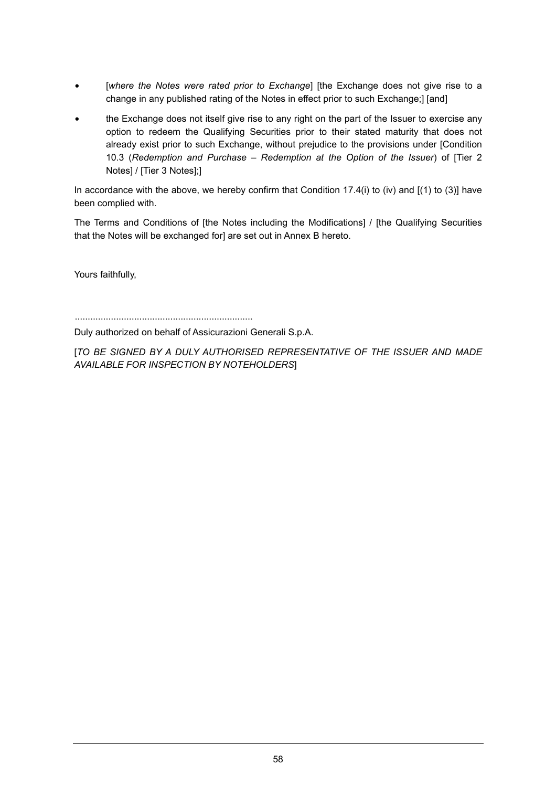- [where the Notes were rated prior to Exchange] [the Exchange does not give rise to a change in any published rating of the Notes in effect prior to such Exchange;] [and]
- the Exchange does not itself give rise to any right on the part of the Issuer to exercise any option to redeem the Qualifying Securities prior to their stated maturity that does not already exist prior to such Exchange, without prejudice to the provisions under [Condition 10.3 (*Redemption and Purchase – Redemption at the Option of the Issuer*) of [Tier 2 Notes] / [Tier 3 Notes];]

In accordance with the above, we hereby confirm that Condition 17.4(i) to (iv) and  $[(1)$  to (3)] have been complied with.

The Terms and Conditions of [the Notes including the Modifications] / [the Qualifying Securities that the Notes will be exchanged for] are set out in Annex B hereto.

Yours faithfully,

.....................................................................

Duly authorized on behalf of Assicurazioni Generali S.p.A.

[*TO BE SIGNED BY A DULY AUTHORISED REPRESENTATIVE OF THE ISSUER AND MADE AVAILABLE FOR INSPECTION BY NOTEHOLDERS*]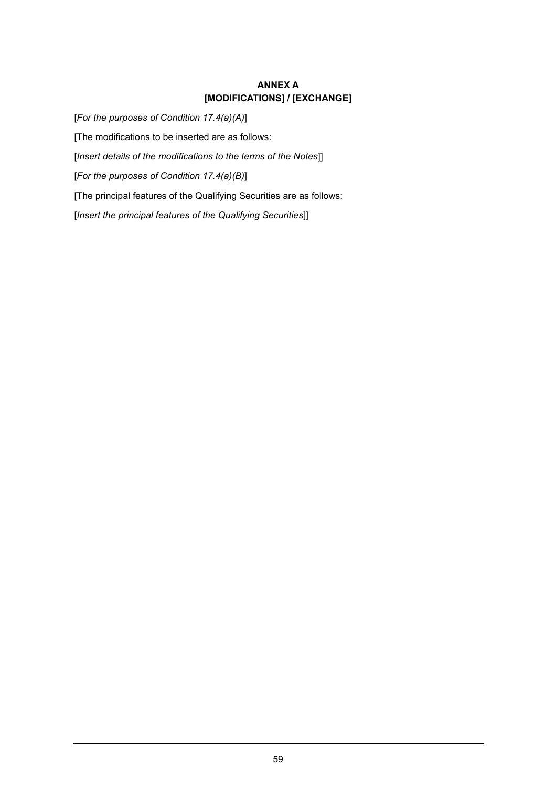# **ANNEX A [MODIFICATIONS] / [EXCHANGE]**

[*For the purposes of Condition 17.4(a)(A)*] [The modifications to be inserted are as follows: [*Insert details of the modifications to the terms of the Notes*]] [*For the purposes of Condition 17.4(a)(B)*] [The principal features of the Qualifying Securities are as follows: [*Insert the principal features of the Qualifying Securities*]]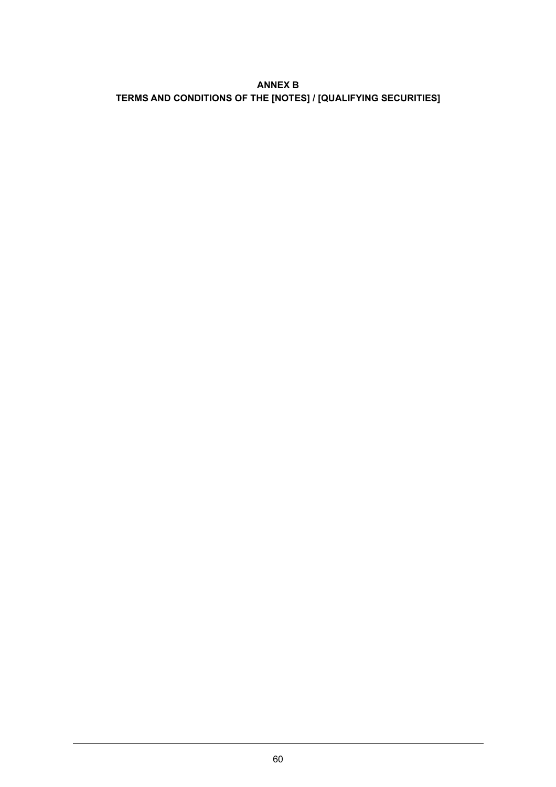# **ANNEX B TERMS AND CONDITIONS OF THE [NOTES] / [QUALIFYING SECURITIES]**